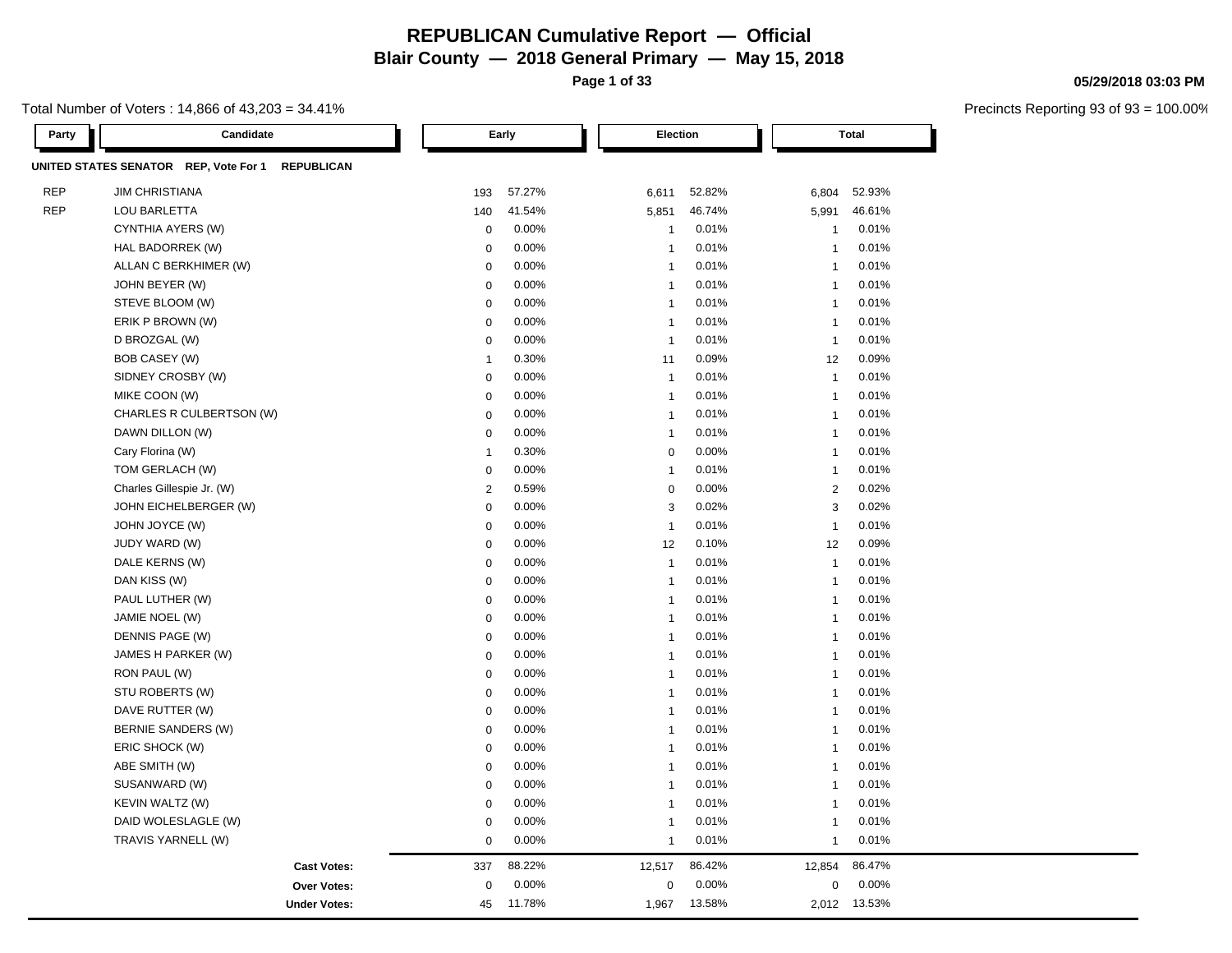**Page 1 of 33**

#### Total Number of Voters : 14,866 of 43,203 = 34.41%

**Party Candidate Early Election Total UNITED STATES SENATOR REP, Vote For 1 REPUBLICAN** REP JIM CHRISTIANA 193 57.27% 6,611 52.82% 6,804 52.93% REP LOU BARLETTA 140 41.54% 5,851 46.74% 5,991 46.61% CYNTHIA AYERS (W) 0 0.00% 1 0.01% 1 0.01% HAL BADORREK (W) 0 0.00% 1 0.01% 1 0.01% ALLAN C BERKHIMER (W) 0 0.00% 1 0.01% 1 0.01% JOHN BEYER (W) 0 0.00% 1 0.01% 1 0.01% STEVE BLOOM (W) 0 0.00% 1 0.01% 1 0.01% ERIK P BROWN (W) 0 0.00% 1 0.01% 1 0.01% D BROZGAL (W) 0 0.00% 1 0.01% 1 0.01% BOB CASEY (W) 1 0.30% 11 0.09% 12 0.09% SIDNEY CROSBY (W) 0 0.00% 1 0.01% 1 0.01% MIKE COON (W) 0 0.00% 1 0.01% 1 0.01% CHARLES R CULBERTSON (W)  $0.00\%$  0.00% 1 0.01% 1 0.01% 1 0.01% DAWN DILLON (W) 0 0.00% 1 0.01% 1 0.01% Cary Florina (W) 1 0.30% 0 0.00% 1 0.01% TOM GERLACH (W) 0 0.00% 1 0.01% 1 0.01% Charles Gillespie Jr. (W) 2 0.02% 2 0.02% 0 0.00% 2 0.02% JOHN EICHELBERGER (W) 0 0.00% 3 0.02% 3 0.02% JOHN JOYCE (W) 0 0.00% 1 0.01% 1 0.01% JUDY WARD (W) 0 0.00% 12 0.10% 12 0.09% DALE KERNS (W) 0 0.00% 1 0.01% 1 0.01% DAN KISS (W) 0 0.00% 1 0.01% 1 0.01% PAUL LUTHER (W) 0 0.00% 1 0.01% 1 0.01% JAMIE NOEL (W) 0 0.00% 1 0.01% 1 0.01% DENNIS PAGE (W) 0 0.00% 1 0.01% 1 0.01%  $J$ AMES H PARKER (W)  $0.00\%$  1 0.01% 1 0.01% 1 0.01% RON PAUL (W) 0 0.00% 1 0.01% 1 0.01% STU ROBERTS (W) 0 0.00% 1 0.01% 1 0.01% DAVE RUTTER (W) 0 0.00% 1 0.01% 1 0.01% BERNIE SANDERS (W) 0 0.00% 1 0.01% 1 0.01% ERIC SHOCK (W) 0 0.00% 1 0.01% 1 0.01% ABE SMITH (W) 0 0.00% 1 0.01% 1 0.01% SUSANWARD (W) 0 0.00% 1 0.01% 1 0.01% KEVIN WALTZ (W) 0 0.00% 1 0.01% 1 0.01% DAID WOLESLAGLE (W) 0 0.00% 1 0.01% 1 0.01% TRAVIS YARNELL (W) 0 0.00% 1 0.01% 1 0.01% **Cast Votes:** 337 88.22% 12,517 86.42% 12,854 86.47% **Over Votes:** 0 0.00% **Under Votes:** 45 0.00% 0 1.967 13.58% 1,967 2,012 13.58% 13.53%0.00% 0 0.00%

#### **05/29/2018 03:03 PM**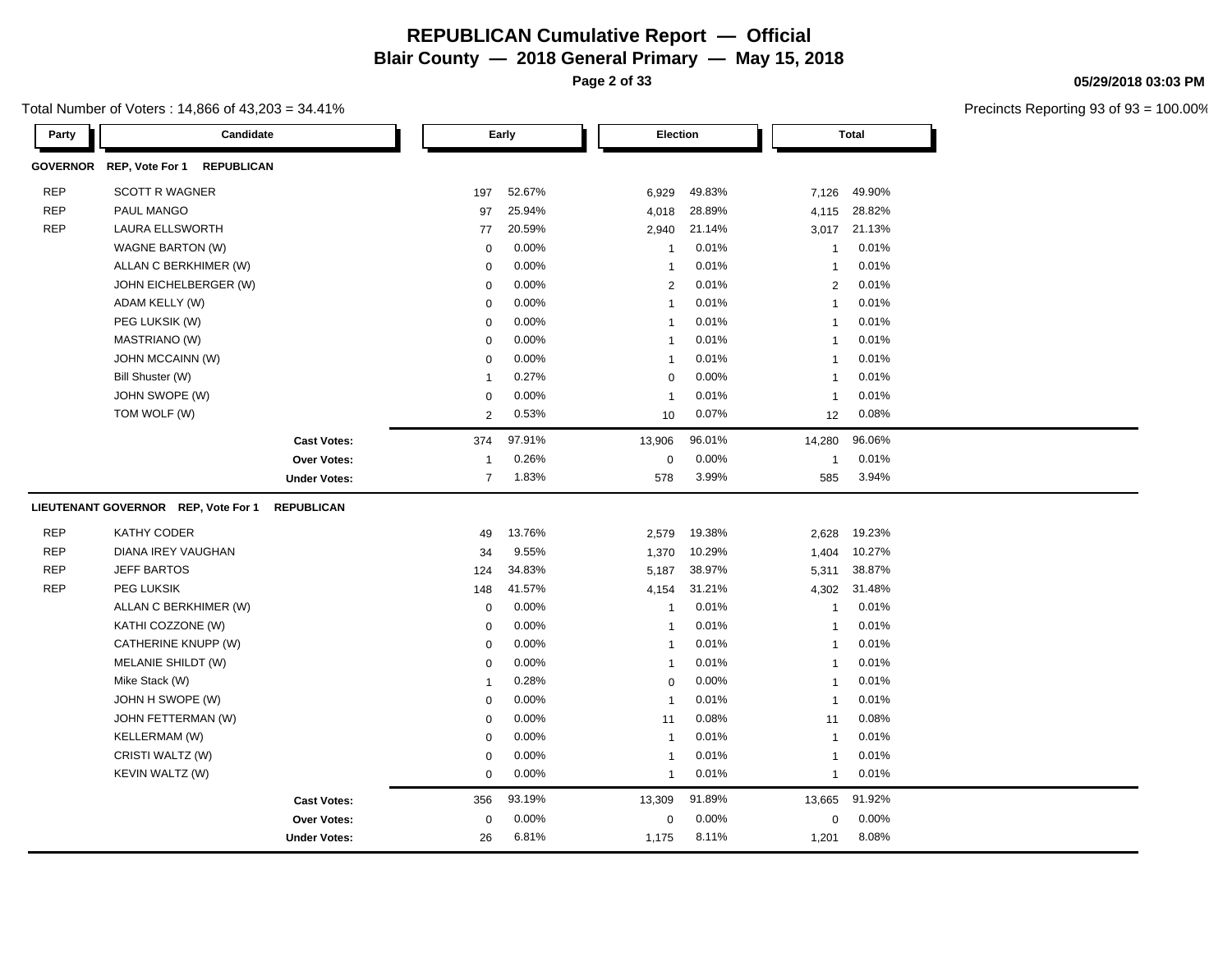**Page 2 of 33**

**05/29/2018 03:03 PM**

| Total Number of Voters : 14,866 of 43,203 = 34.41% |  |
|----------------------------------------------------|--|
|----------------------------------------------------|--|

| Party      | Candidate                                     |                     |                | Early    | Election     |        |                | <b>Total</b> |  |
|------------|-----------------------------------------------|---------------------|----------------|----------|--------------|--------|----------------|--------------|--|
|            | GOVERNOR REP, Vote For 1<br><b>REPUBLICAN</b> |                     |                |          |              |        |                |              |  |
| <b>REP</b> | <b>SCOTT R WAGNER</b>                         |                     | 197            | 52.67%   | 6,929        | 49.83% | 7,126          | 49.90%       |  |
| <b>REP</b> | PAUL MANGO                                    |                     | 97             | 25.94%   | 4,018        | 28.89% | 4,115          | 28.82%       |  |
| <b>REP</b> | <b>LAURA ELLSWORTH</b>                        |                     | 77             | 20.59%   | 2,940        | 21.14% | 3,017          | 21.13%       |  |
|            | WAGNE BARTON (W)                              |                     | $\mathbf 0$    | 0.00%    | $\mathbf{1}$ | 0.01%  | $\mathbf 1$    | 0.01%        |  |
|            | ALLAN C BERKHIMER (W)                         |                     | $\mathbf 0$    | 0.00%    | $\mathbf{1}$ | 0.01%  | $\mathbf{1}$   | 0.01%        |  |
|            | JOHN EICHELBERGER (W)                         |                     | $\mathbf 0$    | 0.00%    | 2            | 0.01%  | 2              | 0.01%        |  |
|            | ADAM KELLY (W)                                |                     | $\mathbf 0$    | 0.00%    | $\mathbf{1}$ | 0.01%  |                | 0.01%        |  |
|            | PEG LUKSIK (W)                                |                     | $\mathbf 0$    | 0.00%    | -1           | 0.01%  | -1             | 0.01%        |  |
|            | MASTRIANO (W)                                 |                     | $\mathbf 0$    | 0.00%    | $\mathbf{1}$ | 0.01%  | -1             | 0.01%        |  |
|            | JOHN MCCAINN (W)                              |                     | $\mathbf 0$    | 0.00%    | $\mathbf{1}$ | 0.01%  | -1             | 0.01%        |  |
|            | Bill Shuster (W)                              |                     | $\overline{1}$ | 0.27%    | $\mathbf 0$  | 0.00%  | -1             | 0.01%        |  |
|            | JOHN SWOPE (W)                                |                     | $\mathbf 0$    | 0.00%    | $\mathbf{1}$ | 0.01%  | $\overline{1}$ | 0.01%        |  |
|            | TOM WOLF (W)                                  |                     | $\overline{2}$ | 0.53%    | 10           | 0.07%  | 12             | 0.08%        |  |
|            |                                               | <b>Cast Votes:</b>  | 374            | 97.91%   | 13,906       | 96.01% | 14,280         | 96.06%       |  |
|            |                                               | <b>Over Votes:</b>  | $\overline{1}$ | 0.26%    | $\mathbf 0$  | 0.00%  | $\overline{1}$ | 0.01%        |  |
|            |                                               | <b>Under Votes:</b> | $\overline{7}$ | 1.83%    | 578          | 3.99%  | 585            | 3.94%        |  |
|            | LIEUTENANT GOVERNOR REP, Vote For 1           | <b>REPUBLICAN</b>   |                |          |              |        |                |              |  |
| <b>REP</b> | KATHY CODER                                   |                     | 49             | 13.76%   | 2,579        | 19.38% | 2,628          | 19.23%       |  |
| <b>REP</b> | DIANA IREY VAUGHAN                            |                     | 34             | 9.55%    | 1,370        | 10.29% | 1,404          | 10.27%       |  |
| <b>REP</b> | <b>JEFF BARTOS</b>                            |                     | 124            | 34.83%   | 5,187        | 38.97% | 5,311          | 38.87%       |  |
| <b>REP</b> | PEG LUKSIK                                    |                     | 148            | 41.57%   | 4,154        | 31.21% | 4,302          | 31.48%       |  |
|            | ALLAN C BERKHIMER (W)                         |                     | $\mathbf 0$    | 0.00%    | $\mathbf{1}$ | 0.01%  | $\mathbf 1$    | 0.01%        |  |
|            | KATHI COZZONE (W)                             |                     | $\mathbf 0$    | 0.00%    | $\mathbf{1}$ | 0.01%  |                | 0.01%        |  |
|            | CATHERINE KNUPP (W)                           |                     | $\mathbf 0$    | 0.00%    | -1           | 0.01%  | -1             | 0.01%        |  |
|            | MELANIE SHILDT (W)                            |                     | $\mathbf 0$    | 0.00%    | $\mathbf{1}$ | 0.01%  | $\mathbf 1$    | 0.01%        |  |
|            | Mike Stack (W)                                |                     | $\overline{1}$ | 0.28%    | $\mathbf 0$  | 0.00%  | -1             | 0.01%        |  |
|            | JOHN H SWOPE (W)                              |                     | $\mathbf 0$    | 0.00%    | $\mathbf{1}$ | 0.01%  | $\mathbf{1}$   | 0.01%        |  |
|            | JOHN FETTERMAN (W)                            |                     | $\mathbf 0$    | 0.00%    | 11           | 0.08%  | 11             | 0.08%        |  |
|            | KELLERMAM (W)                                 |                     | 0              | 0.00%    | $\mathbf{1}$ | 0.01%  | $\overline{1}$ | 0.01%        |  |
|            | CRISTI WALTZ (W)                              |                     | $\mathbf 0$    | 0.00%    | $\mathbf{1}$ | 0.01%  | $\overline{1}$ | 0.01%        |  |
|            | KEVIN WALTZ (W)                               |                     | 0              | $0.00\%$ | $\mathbf{1}$ | 0.01%  | $\mathbf{1}$   | 0.01%        |  |
|            |                                               | <b>Cast Votes:</b>  | 356            | 93.19%   | 13,309       | 91.89% | 13,665         | 91.92%       |  |
|            |                                               | <b>Over Votes:</b>  | $\mathbf 0$    | 0.00%    | $\mathbf 0$  | 0.00%  | $\mathbf 0$    | 0.00%        |  |
|            |                                               | <b>Under Votes:</b> | 26             | 6.81%    | 1,175        | 8.11%  | 1,201          | 8.08%        |  |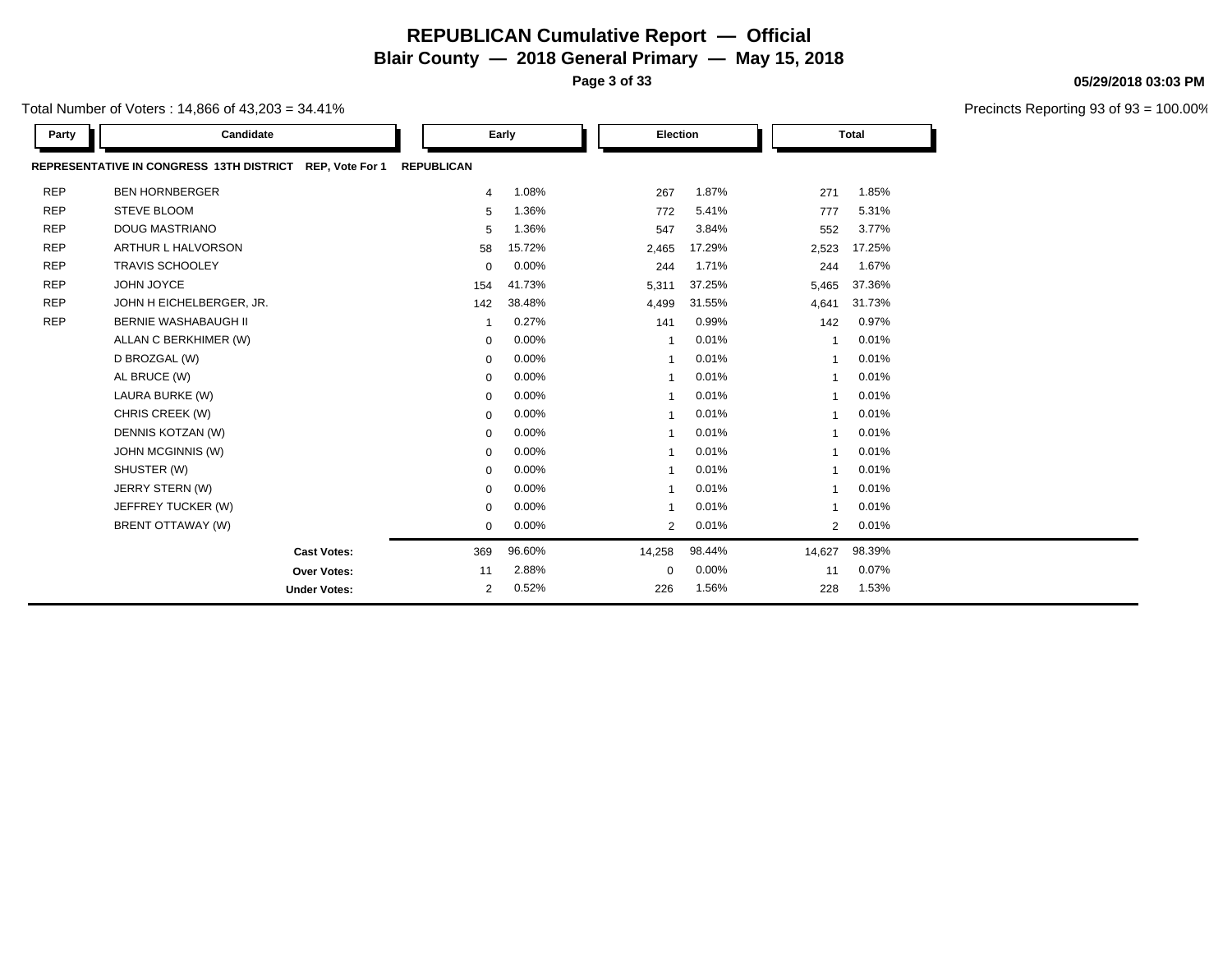**Page 3 of 33**

Precincts Reporting 93 of 93 = 100.00%

**05/29/2018 03:03 PM**

| Total Number of Voters : 14,866 of 43,203 = 34.41% |  |
|----------------------------------------------------|--|
|----------------------------------------------------|--|

| Party      | Candidate                                                |                   | Election<br>Early |                |        | <b>Total</b>   |        |  |
|------------|----------------------------------------------------------|-------------------|-------------------|----------------|--------|----------------|--------|--|
|            | REPRESENTATIVE IN CONGRESS 13TH DISTRICT REP, Vote For 1 | <b>REPUBLICAN</b> |                   |                |        |                |        |  |
| <b>REP</b> | <b>BEN HORNBERGER</b>                                    | 4                 | 1.08%             | 267            | 1.87%  | 271            | 1.85%  |  |
| <b>REP</b> | <b>STEVE BLOOM</b>                                       | 5                 | 1.36%             | 772            | 5.41%  | 777            | 5.31%  |  |
| <b>REP</b> | <b>DOUG MASTRIANO</b>                                    | 5                 | 1.36%             | 547            | 3.84%  | 552            | 3.77%  |  |
| <b>REP</b> | <b>ARTHUR L HALVORSON</b>                                | 58                | 15.72%            | 2,465          | 17.29% | 2,523          | 17.25% |  |
| <b>REP</b> | <b>TRAVIS SCHOOLEY</b>                                   | $\mathbf 0$       | 0.00%             | 244            | 1.71%  | 244            | 1.67%  |  |
| <b>REP</b> | JOHN JOYCE                                               | 154               | 41.73%            | 5,311          | 37.25% | 5,465          | 37.36% |  |
| <b>REP</b> | JOHN H EICHELBERGER, JR.                                 | 142               | 38.48%            | 4,499          | 31.55% | 4,641          | 31.73% |  |
| <b>REP</b> | <b>BERNIE WASHABAUGH II</b>                              |                   | 0.27%             | 141            | 0.99%  | 142            | 0.97%  |  |
|            | ALLAN C BERKHIMER (W)                                    | $\mathbf 0$       | 0.00%             | 1              | 0.01%  |                | 0.01%  |  |
|            | D BROZGAL (W)                                            | $\mathbf 0$       | 0.00%             | $\mathbf{1}$   | 0.01%  |                | 0.01%  |  |
|            | AL BRUCE (W)                                             | $\mathsf 0$       | 0.00%             | 1              | 0.01%  |                | 0.01%  |  |
|            | LAURA BURKE (W)                                          | $\mathbf 0$       | 0.00%             | $\mathbf{1}$   | 0.01%  | $\mathbf 1$    | 0.01%  |  |
|            | CHRIS CREEK (W)                                          | $\mathbf 0$       | 0.00%             | 1              | 0.01%  |                | 0.01%  |  |
|            | DENNIS KOTZAN (W)                                        | $\mathbf 0$       | 0.00%             | $\mathbf{1}$   | 0.01%  |                | 0.01%  |  |
|            | JOHN MCGINNIS (W)                                        | $\mathbf 0$       | 0.00%             | 1              | 0.01%  |                | 0.01%  |  |
|            | SHUSTER (W)                                              | $\mathbf 0$       | 0.00%             | 1              | 0.01%  |                | 0.01%  |  |
|            | JERRY STERN (W)                                          | $\mathbf 0$       | 0.00%             | 1              | 0.01%  | 1              | 0.01%  |  |
|            | JEFFREY TUCKER (W)                                       | $\mathbf 0$       | 0.00%             | 1              | 0.01%  |                | 0.01%  |  |
|            | BRENT OTTAWAY (W)                                        | 0                 | 0.00%             | $\overline{2}$ | 0.01%  | $\overline{2}$ | 0.01%  |  |
|            | <b>Cast Votes:</b>                                       | 369               | 96.60%            | 14,258         | 98.44% | 14,627         | 98.39% |  |
|            | Over Votes:                                              | 11                | 2.88%             | $\mathbf 0$    | 0.00%  | 11             | 0.07%  |  |
|            | <b>Under Votes:</b>                                      | 2                 | 0.52%             | 226            | 1.56%  | 228            | 1.53%  |  |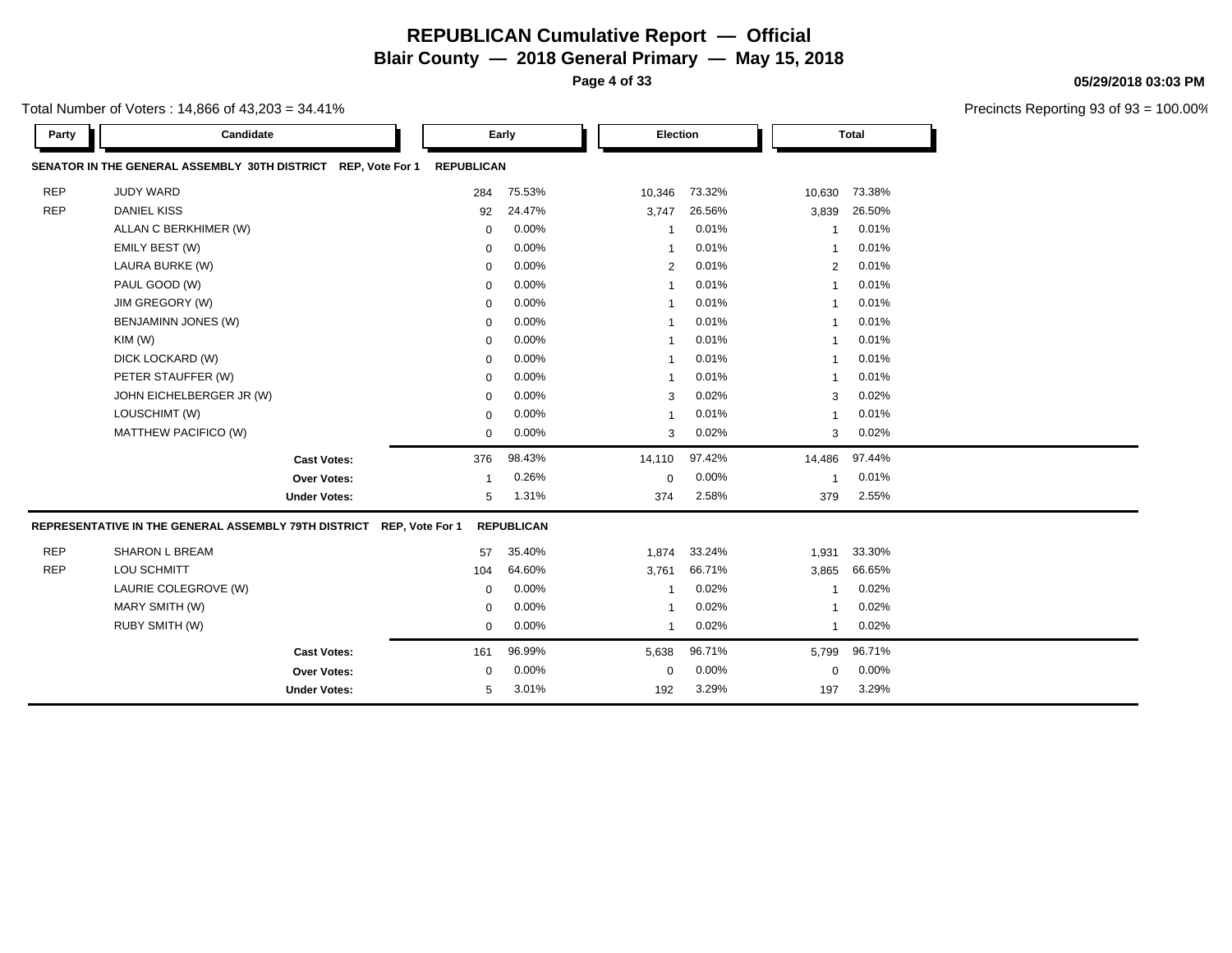**Page 4 of 33**

**05/29/2018 03:03 PM**

|            |                                                               |                   |        |                |        |                |              | <b>Precincts Reportin</b> |
|------------|---------------------------------------------------------------|-------------------|--------|----------------|--------|----------------|--------------|---------------------------|
| Party      | Candidate                                                     |                   | Early  | Election       |        |                | <b>Total</b> |                           |
|            | SENATOR IN THE GENERAL ASSEMBLY 30TH DISTRICT REP, Vote For 1 | <b>REPUBLICAN</b> |        |                |        |                |              |                           |
| <b>REP</b> | <b>JUDY WARD</b>                                              | 284               | 75.53% | 10,346         | 73.32% | 10,630         | 73.38%       |                           |
| <b>REP</b> | <b>DANIEL KISS</b>                                            | 92                | 24.47% | 3,747          | 26.56% | 3,839          | 26.50%       |                           |
|            | ALLAN C BERKHIMER (W)                                         | 0                 | 0.00%  |                | 0.01%  |                | 0.01%        |                           |
|            | EMILY BEST (W)                                                | 0                 | 0.00%  |                | 0.01%  |                | 0.01%        |                           |
|            | LAURA BURKE (W)                                               | 0                 | 0.00%  | $\overline{2}$ | 0.01%  | $\overline{2}$ | 0.01%        |                           |
|            | PAUL GOOD (W)                                                 | 0                 | 0.00%  |                | 0.01%  | -1             | 0.01%        |                           |
|            | JIM GREGORY (W)                                               | 0                 | 0.00%  |                | 0.01%  |                | 0.01%        |                           |
|            | <b>BENJAMINN JONES (W)</b>                                    | 0                 | 0.00%  |                | 0.01%  |                | 0.01%        |                           |
|            | KIM(W)                                                        | 0                 | 0.00%  |                | 0.01%  | $\overline{1}$ | 0.01%        |                           |
|            | DICK LOCKARD (W)                                              | 0                 | 0.00%  |                | 0.01%  |                | 0.01%        |                           |
|            | PETER STAUFFER (W)                                            | 0                 | 0.00%  |                | 0.01%  | -1             | 0.01%        |                           |
|            | JOHN EICHELBERGER JR (W)                                      | 0                 | 0.00%  | 3              | 0.02%  | 3              | 0.02%        |                           |
|            | LOUSCHIMT (W)                                                 | 0                 | 0.00%  |                | 0.01%  | -1             | 0.01%        |                           |
|            | MATTHEW PACIFICO (W)                                          | 0                 | 0.00%  | 3              | 0.02%  | 3              | 0.02%        |                           |
|            | <b>Cast Votes:</b>                                            | 376               | 98.43% | 14,110         | 97.42% | 14,486         | 97.44%       |                           |
|            | Over Votes:                                                   |                   | 0.26%  | $\Omega$       | 0.00%  | -1             | 0.01%        |                           |
|            | <b>Under Votes:</b>                                           | 5                 | 1.31%  | 374            | 2.58%  | 379            | 2.55%        |                           |

| <b>REP</b> | <b>SHARON L BREAM</b> | 57       | 35.40%   | 1.874 | 33.24%       | 1,931 | 33.30%       |  |
|------------|-----------------------|----------|----------|-------|--------------|-------|--------------|--|
| <b>REP</b> | LOU SCHMITT           | 104      | 64.60%   | 3,761 | 66.71%       |       | 3,865 66.65% |  |
|            | LAURIE COLEGROVE (W)  | $\Omega$ | $0.00\%$ |       | $0.02\%$     |       | $0.02\%$     |  |
|            | MARY SMITH (W)        | $\Omega$ | $0.00\%$ |       | 0.02%        |       | $0.02\%$     |  |
|            | RUBY SMITH (W)        | $\Omega$ | $0.00\%$ |       | $0.02\%$     |       | $0.02\%$     |  |
|            | <b>Cast Votes:</b>    | 161      | 96.99%   |       | 5,638 96.71% |       | 5,799 96.71% |  |
|            | <b>Over Votes:</b>    | $\Omega$ | $0.00\%$ | 0     | $0.00\%$     | 0     | $0.00\%$     |  |
|            | <b>Under Votes:</b>   | 5        | 3.01%    | 192   | 3.29%        | 197   | 3.29%        |  |
|            |                       |          |          |       |              |       |              |  |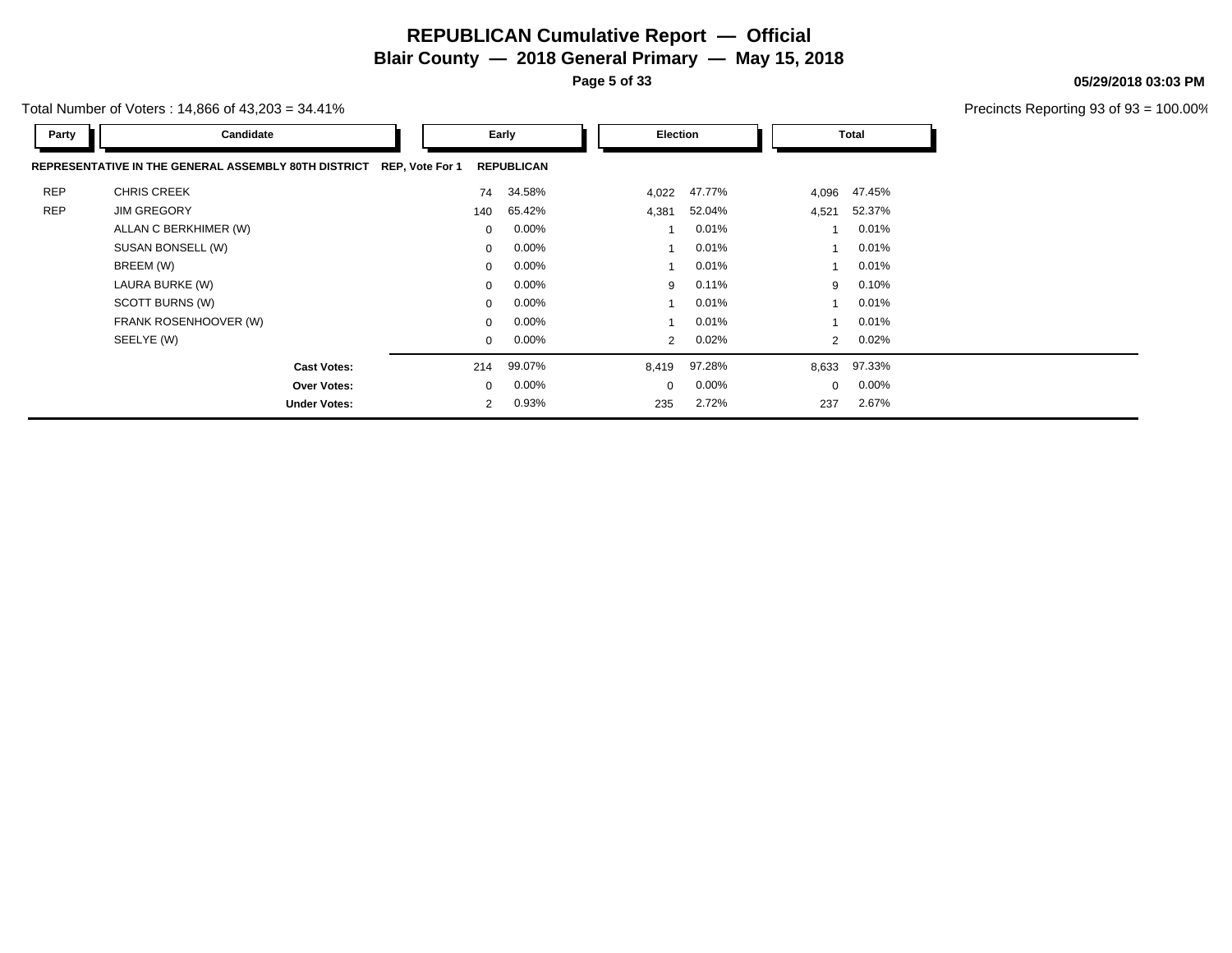**Page 5 of 33**

**05/29/2018 03:03 PM**

Precincts Reporting 93 of 93 = 100.00%

Total Number of Voters : 14,866 of 43,203 = 34.41%

| Party      | Candidate                                            |                 | Early             |  | Election       |        |                | <b>Total</b> |  |
|------------|------------------------------------------------------|-----------------|-------------------|--|----------------|--------|----------------|--------------|--|
|            | REPRESENTATIVE IN THE GENERAL ASSEMBLY 80TH DISTRICT | REP, Vote For 1 | <b>REPUBLICAN</b> |  |                |        |                |              |  |
| <b>REP</b> | <b>CHRIS CREEK</b>                                   | 74              | 34.58%            |  | 4,022          | 47.77% | 4,096          | 47.45%       |  |
| <b>REP</b> | <b>JIM GREGORY</b>                                   | 140             | 65.42%            |  | 4,381          | 52.04% | 4,521          | 52.37%       |  |
|            | ALLAN C BERKHIMER (W)                                | $\mathbf{0}$    | $0.00\%$          |  |                | 0.01%  |                | 0.01%        |  |
|            | SUSAN BONSELL (W)                                    | $\mathbf{0}$    | $0.00\%$          |  | $\overline{ }$ | 0.01%  |                | 0.01%        |  |
|            | BREEM (W)                                            | $\mathbf{0}$    | $0.00\%$          |  | 1              | 0.01%  |                | 0.01%        |  |
|            | LAURA BURKE (W)                                      | $\Omega$        | $0.00\%$          |  | 9              | 0.11%  | 9              | 0.10%        |  |
|            | SCOTT BURNS (W)                                      | $\mathbf{0}$    | $0.00\%$          |  | 1              | 0.01%  |                | 0.01%        |  |
|            | FRANK ROSENHOOVER (W)                                | $\Omega$        | $0.00\%$          |  | -1             | 0.01%  |                | 0.01%        |  |
|            | SEELYE (W)                                           | $\Omega$        | $0.00\%$          |  | 2              | 0.02%  | $\overline{2}$ | 0.02%        |  |
|            | <b>Cast Votes:</b>                                   | 214             | 99.07%            |  | 8,419          | 97.28% | 8,633          | 97.33%       |  |
|            | Over Votes:                                          | $\mathbf{0}$    | $0.00\%$          |  | $\Omega$       | 0.00%  | $\mathbf{0}$   | 0.00%        |  |
|            | <b>Under Votes:</b>                                  | $\overline{2}$  | 0.93%             |  | 235            | 2.72%  | 237            | 2.67%        |  |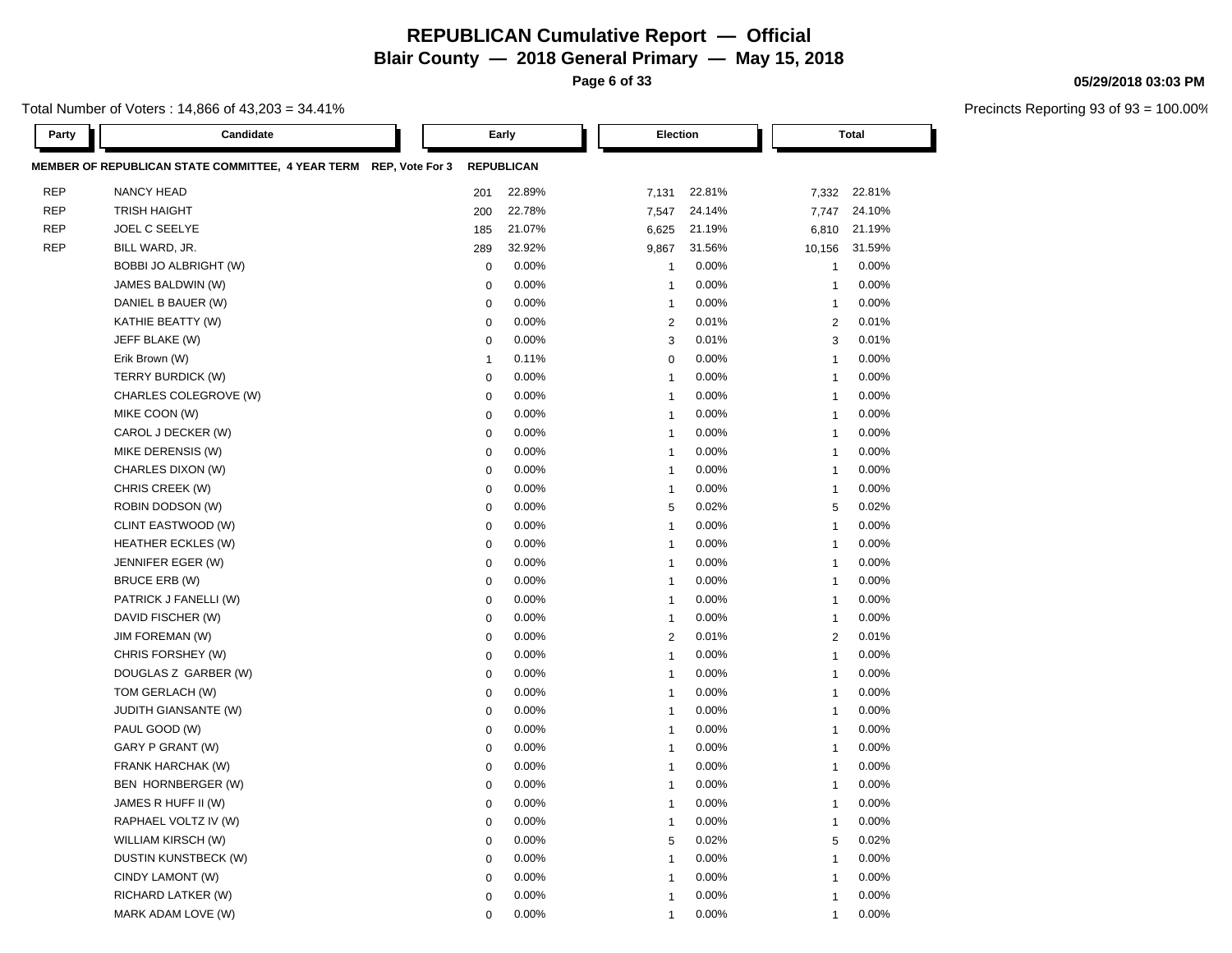**Page 6 of 33**

Total Number of Voters : 14,866 of 43,203 = 34.41%

| Party      | Candidate                                                         |                  | Early             |                | <b>Election</b> |                | <b>Total</b> |
|------------|-------------------------------------------------------------------|------------------|-------------------|----------------|-----------------|----------------|--------------|
|            | MEMBER OF REPUBLICAN STATE COMMITTEE, 4 YEAR TERM REP, Vote For 3 |                  | <b>REPUBLICAN</b> |                |                 |                |              |
| <b>REP</b> | <b>NANCY HEAD</b>                                                 | 201              | 22.89%            | 7,131          | 22.81%          | 7,332          | 22.81%       |
| <b>REP</b> | <b>TRISH HAIGHT</b>                                               | 200              | 22.78%            | 7,547          | 24.14%          | 7,747          | 24.10%       |
| <b>REP</b> | JOEL C SEELYE                                                     | 185              | 21.07%            | 6,625          | 21.19%          | 6,810          | 21.19%       |
| <b>REP</b> | BILL WARD, JR.                                                    | 289              | 32.92%            | 9,867          | 31.56%          | 10,156         | 31.59%       |
|            | BOBBI JO ALBRIGHT (W)                                             | $\pmb{0}$        | 0.00%             | $\overline{1}$ | 0.00%           | $\mathbf{1}$   | 0.00%        |
|            | JAMES BALDWIN (W)                                                 | $\mathbf 0$      | 0.00%             | $\overline{1}$ | 0.00%           | $\mathbf{1}$   | 0.00%        |
|            | DANIEL B BAUER (W)                                                | $\mathbf 0$      | 0.00%             | $\overline{1}$ | 0.00%           | $\mathbf{1}$   | 0.00%        |
|            | KATHIE BEATTY (W)                                                 | $\mathbf 0$      | 0.00%             | $\overline{2}$ | 0.01%           | 2              | 0.01%        |
|            | JEFF BLAKE (W)                                                    | $\mathbf 0$      | 0.00%             | 3              | 0.01%           | 3              | 0.01%        |
|            | Erik Brown (W)                                                    | $\overline{1}$   | 0.11%             | $\mathbf 0$    | 0.00%           | $\mathbf{1}$   | 0.00%        |
|            | TERRY BURDICK (W)                                                 | $\mathbf 0$      | 0.00%             | $\overline{1}$ | 0.00%           | 1              | 0.00%        |
|            | CHARLES COLEGROVE (W)                                             | $\mathbf 0$      | 0.00%             | $\overline{1}$ | 0.00%           | $\mathbf{1}$   | 0.00%        |
|            | MIKE COON (W)                                                     | $\boldsymbol{0}$ | 0.00%             | $\overline{1}$ | 0.00%           | $\mathbf{1}$   | 0.00%        |
|            | CAROL J DECKER (W)                                                | $\mathbf 0$      | 0.00%             | $\overline{1}$ | 0.00%           | $\mathbf{1}$   | 0.00%        |
|            | MIKE DERENSIS (W)                                                 | $\mathbf 0$      | 0.00%             | $\overline{1}$ | 0.00%           | $\mathbf{1}$   | 0.00%        |
|            | CHARLES DIXON (W)                                                 | $\mathbf 0$      | 0.00%             | $\overline{1}$ | 0.00%           | $\mathbf{1}$   | 0.00%        |
|            | CHRIS CREEK (W)                                                   | $\mathbf 0$      | 0.00%             | $\overline{1}$ | 0.00%           | $\mathbf{1}$   | 0.00%        |
|            | ROBIN DODSON (W)                                                  | $\mathbf 0$      | 0.00%             | 5              | 0.02%           | 5              | 0.02%        |
|            | CLINT EASTWOOD (W)                                                | $\mathbf 0$      | 0.00%             | $\overline{1}$ | 0.00%           | 1              | 0.00%        |
|            | <b>HEATHER ECKLES (W)</b>                                         | $\mathbf 0$      | 0.00%             | $\overline{1}$ | 0.00%           | $\mathbf{1}$   | 0.00%        |
|            | JENNIFER EGER (W)                                                 | $\mathbf 0$      | $0.00\%$          | $\overline{1}$ | 0.00%           | $\mathbf{1}$   | 0.00%        |
|            | BRUCE ERB (W)                                                     | $\mathbf 0$      | 0.00%             | $\overline{1}$ | 0.00%           | $\mathbf{1}$   | 0.00%        |
|            | PATRICK J FANELLI (W)                                             | $\mathbf 0$      | 0.00%             | $\overline{1}$ | 0.00%           | $\mathbf{1}$   | 0.00%        |
|            | DAVID FISCHER (W)                                                 | $\mathbf 0$      | 0.00%             | $\overline{1}$ | 0.00%           | $\mathbf{1}$   | 0.00%        |
|            | <b>JIM FOREMAN (W)</b>                                            | $\mathbf 0$      | 0.00%             | $\overline{2}$ | 0.01%           | 2              | 0.01%        |
|            | CHRIS FORSHEY (W)                                                 | $\mathbf 0$      | 0.00%             | $\overline{1}$ | 0.00%           | $\mathbf{1}$   | 0.00%        |
|            | DOUGLAS Z GARBER (W)                                              | $\boldsymbol{0}$ | 0.00%             | $\overline{1}$ | 0.00%           | $\overline{1}$ | 0.00%        |
|            | TOM GERLACH (W)                                                   | $\mathbf 0$      | 0.00%             | -1             | 0.00%           | $\overline{1}$ | 0.00%        |
|            | JUDITH GIANSANTE (W)                                              | $\mathbf 0$      | 0.00%             | $\overline{1}$ | 0.00%           | $\overline{1}$ | 0.00%        |
|            | PAUL GOOD (W)                                                     | $\boldsymbol{0}$ | 0.00%             | $\overline{1}$ | 0.00%           | 1              | 0.00%        |
|            | GARY P GRANT (W)                                                  | $\mathbf 0$      | 0.00%             | $\overline{1}$ | 0.00%           | $\mathbf{1}$   | 0.00%        |
|            | FRANK HARCHAK (W)                                                 | $\mathbf 0$      | 0.00%             | $\overline{1}$ | 0.00%           | $\mathbf{1}$   | 0.00%        |
|            | BEN HORNBERGER (W)                                                | $\mathbf 0$      | 0.00%             | $\overline{1}$ | 0.00%           | $\mathbf{1}$   | 0.00%        |
|            | JAMES R HUFF II (W)                                               | $\mathbf 0$      | 0.00%             | $\overline{1}$ | 0.00%           | 1              | 0.00%        |
|            | RAPHAEL VOLTZ IV (W)                                              | $\mathbf 0$      | 0.00%             | $\overline{1}$ | 0.00%           | $\overline{1}$ | 0.00%        |
|            | WILLIAM KIRSCH (W)                                                | $\mathbf 0$      | 0.00%             | 5              | 0.02%           | 5              | 0.02%        |
|            | DUSTIN KUNSTBECK (W)                                              | $\mathbf 0$      | 0.00%             | $\overline{1}$ | 0.00%           | $\mathbf{1}$   | 0.00%        |
|            | CINDY LAMONT (W)                                                  | $\mathbf 0$      | 0.00%             | $\overline{1}$ | 0.00%           | 1              | 0.00%        |
|            | RICHARD LATKER (W)                                                | $\mathbf 0$      | 0.00%             | $\overline{1}$ | 0.00%           | $\mathbf{1}$   | 0.00%        |
|            | MARK ADAM LOVE (W)                                                | $\mathbf 0$      | 0.00%             | $\overline{1}$ | 0.00%           | 1              | 0.00%        |

#### **05/29/2018 03:03 PM**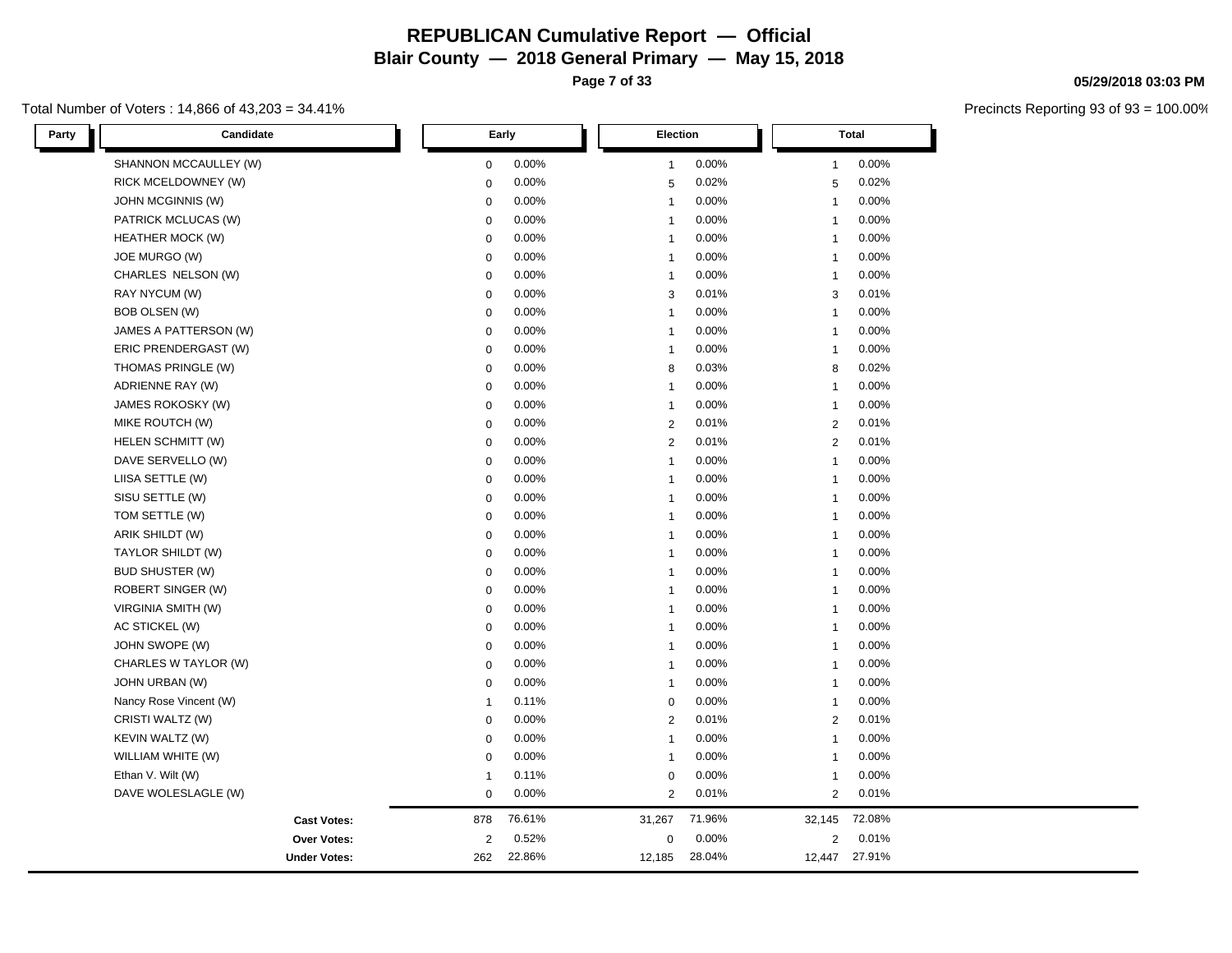**Page 7 of 33**

#### Total Number of Voters : 14,866 of 43,203 = 34.41%

| Candidate<br>Party      |                | Early  | <b>Election</b> |        |                | Total         |  |
|-------------------------|----------------|--------|-----------------|--------|----------------|---------------|--|
| SHANNON MCCAULLEY (W)   | $\mathbf 0$    | 0.00%  | $\mathbf{1}$    | 0.00%  | $\mathbf{1}$   | 0.00%         |  |
| RICK MCELDOWNEY (W)     | $\mathbf 0$    | 0.00%  | 5               | 0.02%  | $\sqrt{5}$     | 0.02%         |  |
| JOHN MCGINNIS (W)       | $\mathbf 0$    | 0.00%  | $\mathbf{1}$    | 0.00%  | $\mathbf{1}$   | 0.00%         |  |
| PATRICK MCLUCAS (W)     | $\mathbf 0$    | 0.00%  | $\mathbf{1}$    | 0.00%  | $\mathbf{1}$   | 0.00%         |  |
| <b>HEATHER MOCK (W)</b> | $\mathbf 0$    | 0.00%  | $\mathbf{1}$    | 0.00%  | $\mathbf{1}$   | 0.00%         |  |
| JOE MURGO (W)           | $\mathbf 0$    | 0.00%  | $\mathbf{1}$    | 0.00%  | $\mathbf{1}$   | 0.00%         |  |
| CHARLES NELSON (W)      | $\mathbf 0$    | 0.00%  | $\mathbf{1}$    | 0.00%  | $\mathbf{1}$   | 0.00%         |  |
| RAY NYCUM (W)           | $\mathbf 0$    | 0.00%  | 3               | 0.01%  | 3              | 0.01%         |  |
| BOB OLSEN (W)           | $\mathbf 0$    | 0.00%  | $\mathbf{1}$    | 0.00%  | $\mathbf{1}$   | 0.00%         |  |
| JAMES A PATTERSON (W)   | $\mathbf 0$    | 0.00%  | $\mathbf{1}$    | 0.00%  | $\mathbf{1}$   | 0.00%         |  |
| ERIC PRENDERGAST (W)    | $\mathbf 0$    | 0.00%  | $\mathbf{1}$    | 0.00%  | $\mathbf{1}$   | 0.00%         |  |
| THOMAS PRINGLE (W)      | $\mathbf 0$    | 0.00%  | 8               | 0.03%  | 8              | 0.02%         |  |
| ADRIENNE RAY (W)        | $\mathbf 0$    | 0.00%  | $\mathbf{1}$    | 0.00%  | $\mathbf{1}$   | 0.00%         |  |
| JAMES ROKOSKY (W)       | $\mathbf 0$    | 0.00%  | $\mathbf{1}$    | 0.00%  | $\mathbf{1}$   | 0.00%         |  |
| MIKE ROUTCH (W)         | $\mathbf 0$    | 0.00%  | 2               | 0.01%  | 2              | 0.01%         |  |
| HELEN SCHMITT (W)       | $\mathbf 0$    | 0.00%  | 2               | 0.01%  | $\overline{2}$ | 0.01%         |  |
| DAVE SERVELLO (W)       | $\mathbf 0$    | 0.00%  | $\mathbf{1}$    | 0.00%  | $\mathbf{1}$   | 0.00%         |  |
| LIISA SETTLE (W)        | $\mathbf 0$    | 0.00%  | $\mathbf{1}$    | 0.00%  | $\mathbf{1}$   | 0.00%         |  |
| SISU SETTLE (W)         | $\mathbf 0$    | 0.00%  | $\mathbf{1}$    | 0.00%  | $\mathbf{1}$   | 0.00%         |  |
| TOM SETTLE (W)          | $\mathbf 0$    | 0.00%  | $\mathbf{1}$    | 0.00%  | $\mathbf{1}$   | 0.00%         |  |
| ARIK SHILDT (W)         | $\mathbf 0$    | 0.00%  | $\mathbf{1}$    | 0.00%  | $\mathbf{1}$   | 0.00%         |  |
| TAYLOR SHILDT (W)       | $\mathbf 0$    | 0.00%  | $\mathbf{1}$    | 0.00%  | $\mathbf{1}$   | 0.00%         |  |
| <b>BUD SHUSTER (W)</b>  | $\mathbf 0$    | 0.00%  | $\mathbf{1}$    | 0.00%  | $\mathbf{1}$   | 0.00%         |  |
| ROBERT SINGER (W)       | 0              | 0.00%  | $\mathbf{1}$    | 0.00%  | $\mathbf{1}$   | 0.00%         |  |
| VIRGINIA SMITH (W)      | $\mathbf 0$    | 0.00%  | $\mathbf{1}$    | 0.00%  | $\mathbf{1}$   | 0.00%         |  |
| AC STICKEL (W)          | $\mathbf 0$    | 0.00%  | $\mathbf{1}$    | 0.00%  | $\mathbf{1}$   | 0.00%         |  |
| JOHN SWOPE (W)          | $\mathbf 0$    | 0.00%  | $\mathbf{1}$    | 0.00%  | $\mathbf{1}$   | 0.00%         |  |
| CHARLES W TAYLOR (W)    | $\mathbf 0$    | 0.00%  | $\mathbf{1}$    | 0.00%  | $\mathbf{1}$   | 0.00%         |  |
| JOHN URBAN (W)          | $\mathbf 0$    | 0.00%  | $\mathbf{1}$    | 0.00%  | $\mathbf{1}$   | 0.00%         |  |
| Nancy Rose Vincent (W)  | $\mathbf{1}$   | 0.11%  | $\mathbf 0$     | 0.00%  | $\mathbf{1}$   | 0.00%         |  |
| CRISTI WALTZ (W)        | $\mathsf 0$    | 0.00%  | 2               | 0.01%  | $\overline{2}$ | 0.01%         |  |
| KEVIN WALTZ (W)         | $\mathbf 0$    | 0.00%  | $\mathbf{1}$    | 0.00%  | $\mathbf{1}$   | 0.00%         |  |
| WILLIAM WHITE (W)       | $\mathbf 0$    | 0.00%  | $\mathbf{1}$    | 0.00%  | $\mathbf{1}$   | 0.00%         |  |
| Ethan V. Wilt (W)       | $\mathbf{1}$   | 0.11%  | $\mathbf 0$     | 0.00%  | $\mathbf{1}$   | 0.00%         |  |
| DAVE WOLESLAGLE (W)     | $\mathbf 0$    | 0.00%  | 2               | 0.01%  | 2              | 0.01%         |  |
| <b>Cast Votes:</b>      | 878            | 76.61% | 31,267          | 71.96% | 32,145         | 72.08%        |  |
| Over Votes:             | $\overline{2}$ | 0.52%  | $\mathbf 0$     | 0.00%  | 2              | 0.01%         |  |
| <b>Under Votes:</b>     | 262            | 22.86% | 12,185          | 28.04% |                | 12,447 27.91% |  |

#### **05/29/2018 03:03 PM**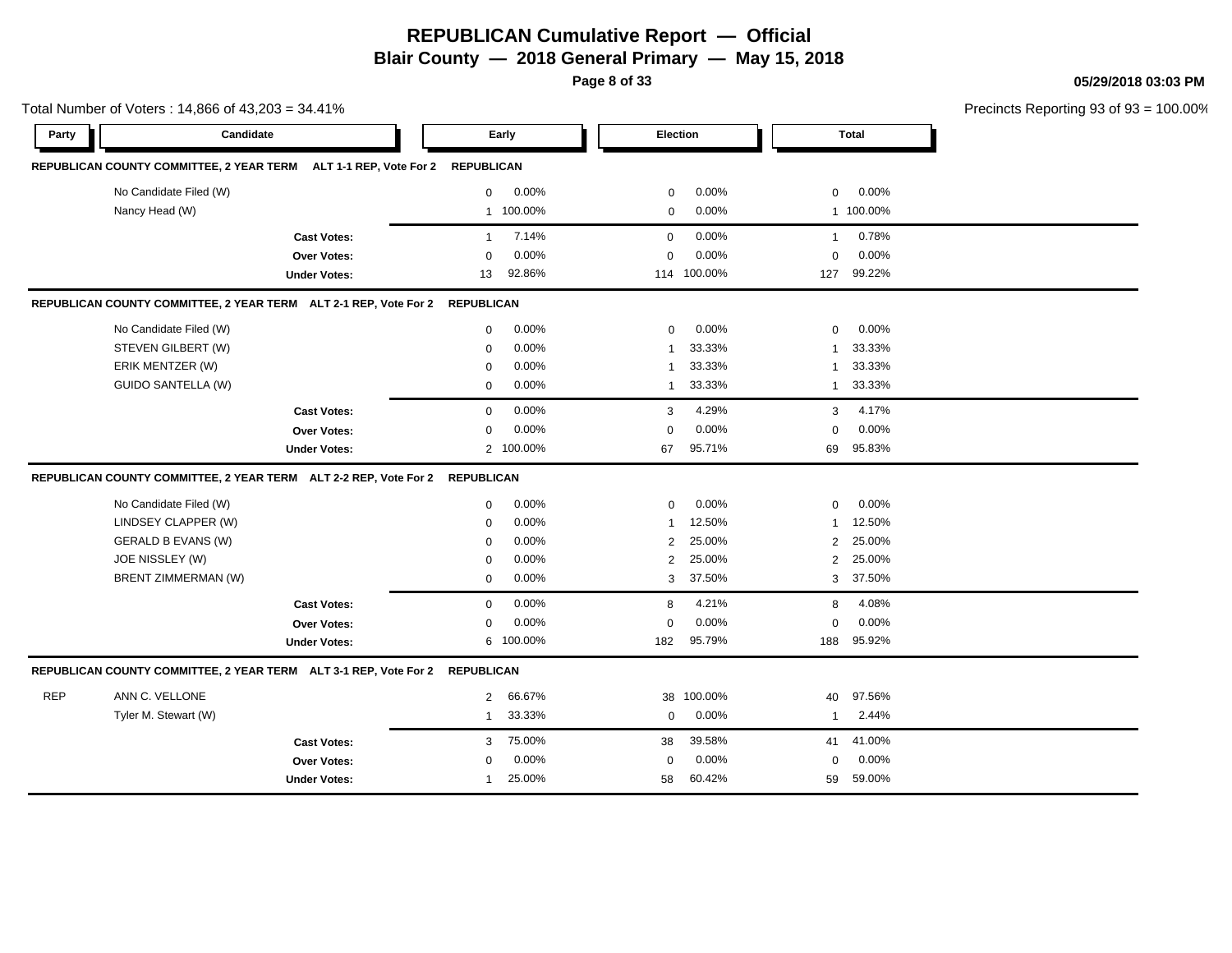**Page 8 of 33**

**05/29/2018 03:03 PM**

| Total Number of Voters: 14,866 of 43,203 = 34.41% |                                                                             |                     |              |           |                |                 |              | Precincts Reporting 93 of 93 |  |
|---------------------------------------------------|-----------------------------------------------------------------------------|---------------------|--------------|-----------|----------------|-----------------|--------------|------------------------------|--|
| Party                                             | Candidate                                                                   |                     |              | Early     |                | <b>Election</b> |              | <b>Total</b>                 |  |
|                                                   | REPUBLICAN COUNTY COMMITTEE, 2 YEAR TERM ALT 1-1 REP, Vote For 2 REPUBLICAN |                     |              |           |                |                 |              |                              |  |
|                                                   | No Candidate Filed (W)                                                      |                     | $\mathbf{0}$ | $0.00\%$  | $\mathbf 0$    | $0.00\%$        | $\mathbf{0}$ | $0.00\%$                     |  |
|                                                   | Nancy Head (W)                                                              |                     |              | 1 100.00% | 0              | 0.00%           |              | 1 100.00%                    |  |
|                                                   |                                                                             | <b>Cast Votes:</b>  | $\mathbf{1}$ | 7.14%     | $\mathbf 0$    | $0.00\%$        | $\mathbf{1}$ | 0.78%                        |  |
|                                                   |                                                                             | <b>Over Votes:</b>  | $\Omega$     | 0.00%     | $\Omega$       | 0.00%           | $\Omega$     | 0.00%                        |  |
|                                                   |                                                                             | <b>Under Votes:</b> | 13           | 92.86%    |                | 114 100.00%     | 127          | 99.22%                       |  |
|                                                   | REPUBLICAN COUNTY COMMITTEE, 2 YEAR TERM ALT 2-1 REP, Vote For 2 REPUBLICAN |                     |              |           |                |                 |              |                              |  |
|                                                   | No Candidate Filed (W)                                                      |                     | $\mathbf 0$  | 0.00%     | $\mathbf 0$    | $0.00\%$        | $\mathbf 0$  | 0.00%                        |  |
|                                                   | STEVEN GILBERT (W)                                                          |                     | $\mathbf 0$  | 0.00%     | $\mathbf 1$    | 33.33%          | 1            | 33.33%                       |  |
|                                                   | ERIK MENTZER (W)                                                            |                     | 0            | 0.00%     | $\mathbf{1}$   | 33.33%          | 1            | 33.33%                       |  |
|                                                   | <b>GUIDO SANTELLA (W)</b>                                                   |                     | $\mathbf 0$  | 0.00%     | $\mathbf{1}$   | 33.33%          | $\mathbf{1}$ | 33.33%                       |  |
|                                                   |                                                                             | <b>Cast Votes:</b>  | $\mathbf 0$  | 0.00%     | 3              | 4.29%           | 3            | 4.17%                        |  |
|                                                   |                                                                             | Over Votes:         | $\Omega$     | 0.00%     | $\Omega$       | 0.00%           | $\mathbf 0$  | 0.00%                        |  |
|                                                   |                                                                             | <b>Under Votes:</b> |              | 2 100.00% | 67             | 95.71%          | 69           | 95.83%                       |  |
|                                                   | REPUBLICAN COUNTY COMMITTEE, 2 YEAR TERM ALT 2-2 REP, Vote For 2 REPUBLICAN |                     |              |           |                |                 |              |                              |  |
|                                                   | No Candidate Filed (W)                                                      |                     | $\mathbf 0$  | 0.00%     | $\mathbf 0$    | 0.00%           | $\mathbf 0$  | 0.00%                        |  |
|                                                   | LINDSEY CLAPPER (W)                                                         |                     | $\mathbf 0$  | 0.00%     | $\mathbf{1}$   | 12.50%          | 1            | 12.50%                       |  |
|                                                   | <b>GERALD B EVANS (W)</b>                                                   |                     | $\mathbf 0$  | 0.00%     | $\overline{2}$ | 25.00%          | 2            | 25.00%                       |  |
|                                                   | JOE NISSLEY (W)                                                             |                     | $\mathbf 0$  | 0.00%     | 2              | 25.00%          | 2            | 25.00%                       |  |
|                                                   | <b>BRENT ZIMMERMAN (W)</b>                                                  |                     | $\mathbf 0$  | 0.00%     | 3              | 37.50%          | 3            | 37.50%                       |  |
|                                                   |                                                                             | <b>Cast Votes:</b>  | $\mathbf 0$  | 0.00%     | 8              | 4.21%           | 8            | 4.08%                        |  |
|                                                   |                                                                             | <b>Over Votes:</b>  | $\mathbf 0$  | 0.00%     | $\mathbf 0$    | 0.00%           | $\mathbf 0$  | 0.00%                        |  |
|                                                   |                                                                             | <b>Under Votes:</b> | 6            | 100.00%   | 182            | 95.79%          | 188          | 95.92%                       |  |
|                                                   | REPUBLICAN COUNTY COMMITTEE, 2 YEAR TERM ALT 3-1 REP, Vote For 2 REPUBLICAN |                     |              |           |                |                 |              |                              |  |
| <b>REP</b>                                        | ANN C. VELLONE                                                              |                     | 2            | 66.67%    | 38             | 100.00%         | 40           | 97.56%                       |  |
|                                                   | Tyler M. Stewart (W)                                                        |                     | $\mathbf{1}$ | 33.33%    | $\mathbf 0$    | 0.00%           | $\mathbf{1}$ | 2.44%                        |  |
|                                                   |                                                                             | <b>Cast Votes:</b>  | 3            | 75.00%    | 38             | 39.58%          | 41           | 41.00%                       |  |
|                                                   |                                                                             | Over Votes:         | $\mathbf 0$  | 0.00%     | $\mathbf 0$    | 0.00%           | $\mathbf 0$  | 0.00%                        |  |
|                                                   |                                                                             | <b>Under Votes:</b> | 1            | 25.00%    | 58             | 60.42%          | 59           | 59.00%                       |  |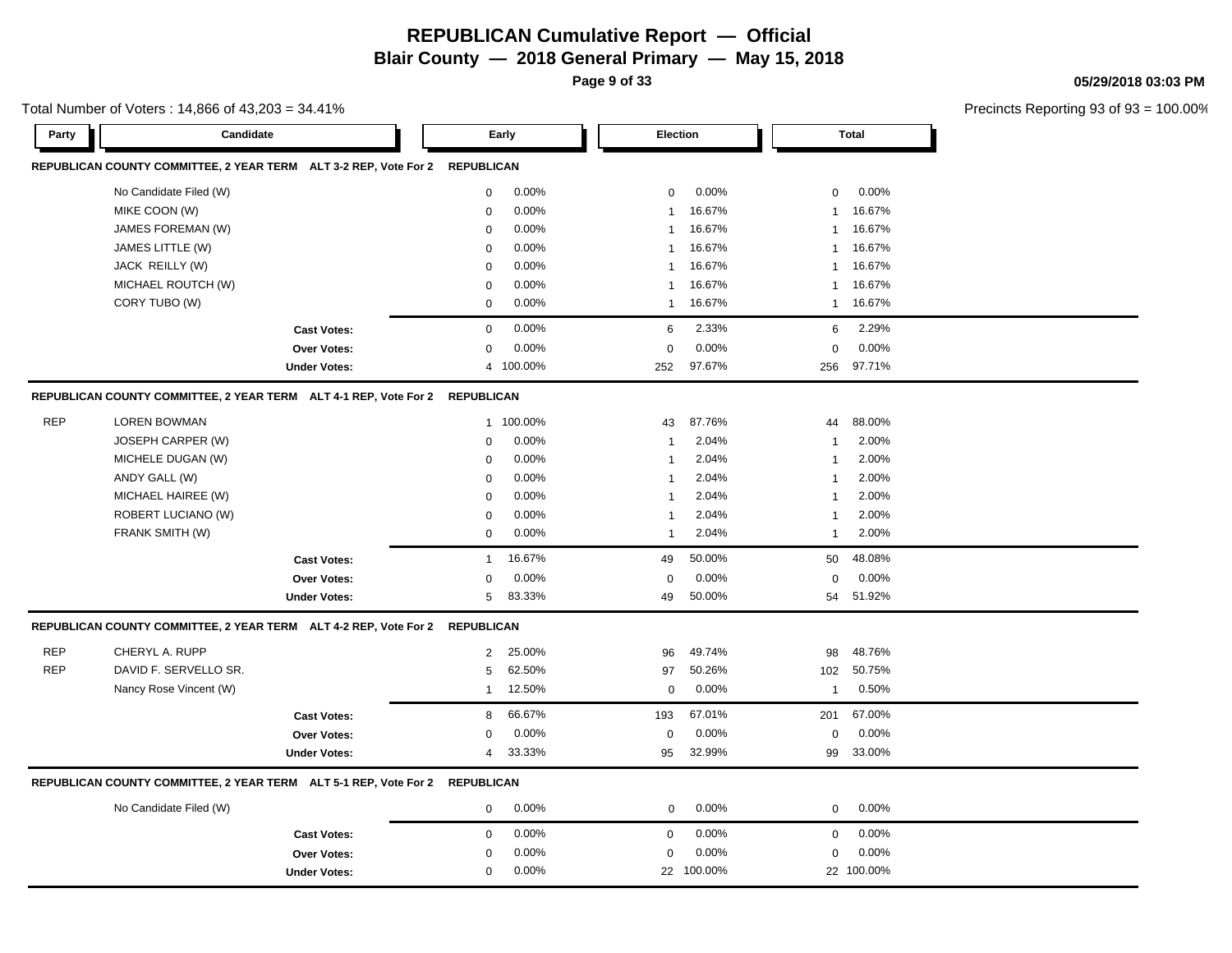**Page 9 of 33**

**05/29/2018 03:03 PM**

|            | Total Number of Voters: 14,866 of 43,203 = 34.41%                           |                     |              |           |                |            |              |              | Precincts Reporting 93 o |  |
|------------|-----------------------------------------------------------------------------|---------------------|--------------|-----------|----------------|------------|--------------|--------------|--------------------------|--|
| Party      | Candidate                                                                   |                     |              | Early     | Election       |            |              | <b>Total</b> |                          |  |
|            | REPUBLICAN COUNTY COMMITTEE, 2 YEAR TERM ALT 3-2 REP, Vote For 2 REPUBLICAN |                     |              |           |                |            |              |              |                          |  |
|            | No Candidate Filed (W)                                                      |                     | 0            | 0.00%     | $\mathbf 0$    | 0.00%      | $\mathbf 0$  | 0.00%        |                          |  |
|            | MIKE COON (W)                                                               |                     | 0            | 0.00%     |                | 16.67%     | $\mathbf{1}$ | 16.67%       |                          |  |
|            | JAMES FOREMAN (W)                                                           |                     | $\mathbf 0$  | 0.00%     | 1              | 16.67%     | $\mathbf{1}$ | 16.67%       |                          |  |
|            | JAMES LITTLE (W)                                                            |                     | 0            | 0.00%     | 1              | 16.67%     | $\mathbf 1$  | 16.67%       |                          |  |
|            | JACK REILLY (W)                                                             |                     | 0            | 0.00%     | -1             | 16.67%     | $\mathbf{1}$ | 16.67%       |                          |  |
|            | MICHAEL ROUTCH (W)                                                          |                     | 0            | 0.00%     | 1              | 16.67%     | -1           | 16.67%       |                          |  |
|            | CORY TUBO (W)                                                               |                     | $\mathbf 0$  | 0.00%     | $\overline{1}$ | 16.67%     | $\mathbf{1}$ | 16.67%       |                          |  |
|            |                                                                             | <b>Cast Votes:</b>  | 0            | 0.00%     | 6              | 2.33%      | 6            | 2.29%        |                          |  |
|            |                                                                             | <b>Over Votes:</b>  | 0            | 0.00%     | 0              | 0.00%      | $\Omega$     | 0.00%        |                          |  |
|            |                                                                             | <b>Under Votes:</b> |              | 4 100.00% | 252            | 97.67%     | 256          | 97.71%       |                          |  |
|            | REPUBLICAN COUNTY COMMITTEE, 2 YEAR TERM ALT 4-1 REP, Vote For 2 REPUBLICAN |                     |              |           |                |            |              |              |                          |  |
| <b>REP</b> | <b>LOREN BOWMAN</b>                                                         |                     |              | 1 100.00% | 43             | 87.76%     | 44           | 88.00%       |                          |  |
|            | JOSEPH CARPER (W)                                                           |                     | 0            | 0.00%     | $\mathbf{1}$   | 2.04%      | $\mathbf{1}$ | 2.00%        |                          |  |
|            | MICHELE DUGAN (W)                                                           |                     | 0            | 0.00%     | $\mathbf{1}$   | 2.04%      | $\mathbf{1}$ | 2.00%        |                          |  |
|            | ANDY GALL (W)                                                               |                     | $\mathbf 0$  | 0.00%     | $\mathbf{1}$   | 2.04%      | $\mathbf{1}$ | 2.00%        |                          |  |
|            | MICHAEL HAIREE (W)                                                          |                     | 0            | 0.00%     | $\mathbf 1$    | 2.04%      | $\mathbf{1}$ | 2.00%        |                          |  |
|            | ROBERT LUCIANO (W)                                                          |                     | 0            | 0.00%     | -1             | 2.04%      | $\mathbf{1}$ | 2.00%        |                          |  |
|            | FRANK SMITH (W)                                                             |                     | 0            | 0.00%     | $\mathbf{1}$   | 2.04%      | $\mathbf{1}$ | 2.00%        |                          |  |
|            |                                                                             | <b>Cast Votes:</b>  | $\mathbf{1}$ | 16.67%    | 49             | 50.00%     | 50           | 48.08%       |                          |  |
|            |                                                                             | <b>Over Votes:</b>  | 0            | 0.00%     | 0              | 0.00%      | $\mathbf 0$  | 0.00%        |                          |  |
|            |                                                                             | <b>Under Votes:</b> | 5            | 83.33%    | 49             | 50.00%     | 54           | 51.92%       |                          |  |
|            | REPUBLICAN COUNTY COMMITTEE, 2 YEAR TERM ALT 4-2 REP, Vote For 2 REPUBLICAN |                     |              |           |                |            |              |              |                          |  |
| <b>REP</b> | CHERYL A. RUPP                                                              |                     | $\mathbf{2}$ | 25.00%    | 96             | 49.74%     | 98           | 48.76%       |                          |  |
| <b>REP</b> | DAVID F. SERVELLO SR.                                                       |                     | 5            | 62.50%    | 97             | 50.26%     | 102          | 50.75%       |                          |  |
|            | Nancy Rose Vincent (W)                                                      |                     | $\mathbf{1}$ | 12.50%    | 0              | 0.00%      | 1            | 0.50%        |                          |  |
|            |                                                                             | <b>Cast Votes:</b>  | 8            | 66.67%    | 193            | 67.01%     | 201          | 67.00%       |                          |  |
|            |                                                                             | <b>Over Votes:</b>  | 0            | 0.00%     | $\mathbf 0$    | 0.00%      | $\Omega$     | 0.00%        |                          |  |
|            |                                                                             | <b>Under Votes:</b> | 4            | 33.33%    | 95             | 32.99%     | 99           | 33.00%       |                          |  |
|            | REPUBLICAN COUNTY COMMITTEE, 2 YEAR TERM ALT 5-1 REP, Vote For 2 REPUBLICAN |                     |              |           |                |            |              |              |                          |  |
|            | No Candidate Filed (W)                                                      |                     | 0            | 0.00%     | $\mathbf 0$    | 0.00%      | $\pmb{0}$    | 0.00%        |                          |  |
|            |                                                                             | <b>Cast Votes:</b>  | 0            | 0.00%     | $\mathbf 0$    | 0.00%      | $\mathbf 0$  | 0.00%        |                          |  |
|            |                                                                             | <b>Over Votes:</b>  | 0            | 0.00%     | $\mathbf 0$    | 0.00%      | $\mathbf 0$  | 0.00%        |                          |  |
|            |                                                                             | <b>Under Votes:</b> | $\mathbf 0$  | 0.00%     |                | 22 100.00% |              | 22 100.00%   |                          |  |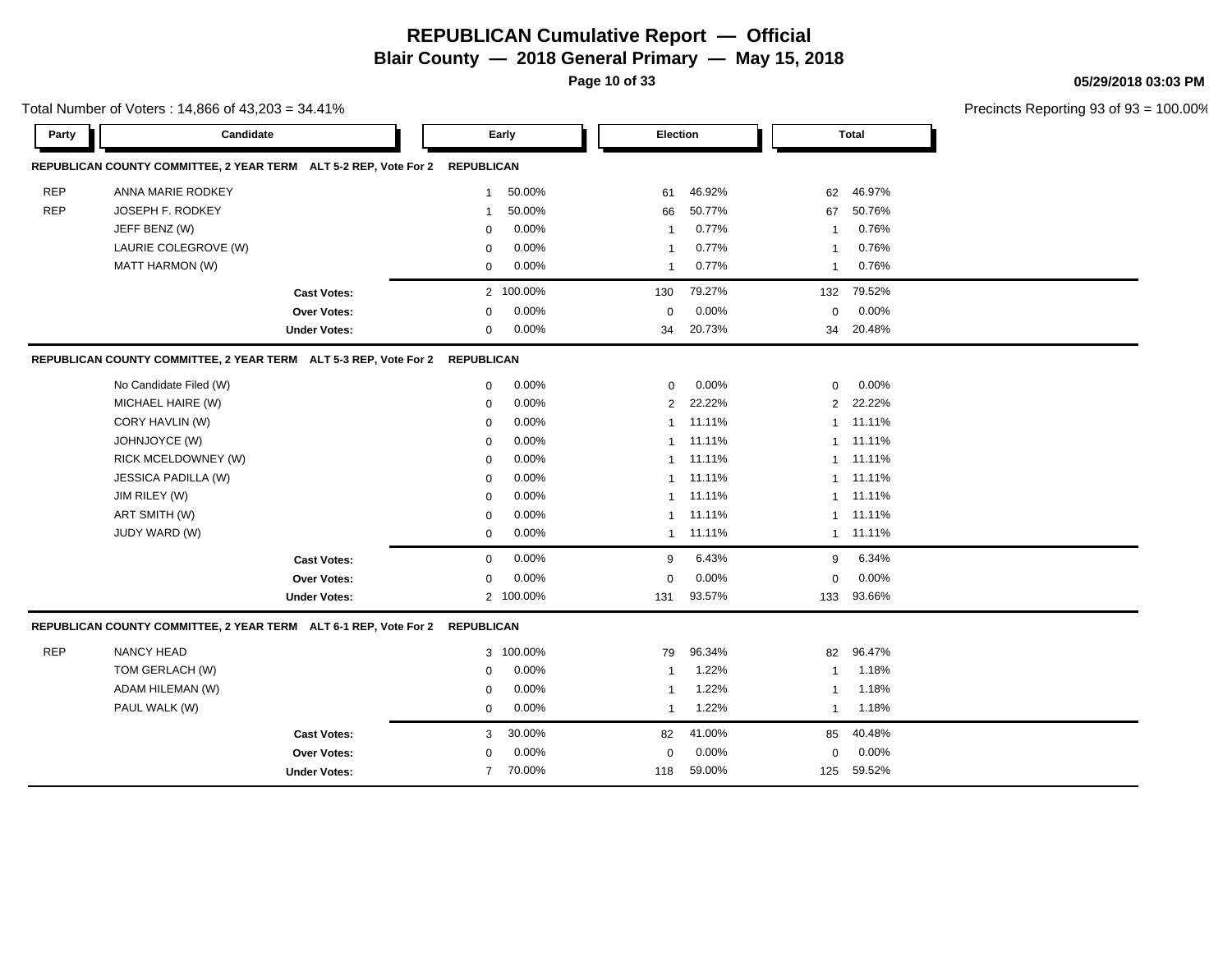**Page 10 of 33**

**05/29/2018 03:03 PM**

۰

|            | Total Number of Voters: 14,866 of 43,203 = 34.41%                           |                     |                   |           |                 |        |              |           | Precincts Reporting 93 of 93 |
|------------|-----------------------------------------------------------------------------|---------------------|-------------------|-----------|-----------------|--------|--------------|-----------|------------------------------|
| Party      | Candidate                                                                   |                     |                   | Early     | <b>Election</b> |        |              | Total     |                              |
|            | REPUBLICAN COUNTY COMMITTEE, 2 YEAR TERM ALT 5-2 REP, Vote For 2            |                     | <b>REPUBLICAN</b> |           |                 |        |              |           |                              |
| <b>REP</b> | ANNA MARIE RODKEY                                                           |                     | $\mathbf{1}$      | 50.00%    | 61              | 46.92% | 62           | 46.97%    |                              |
| <b>REP</b> | JOSEPH F. RODKEY                                                            |                     | $\mathbf{1}$      | 50.00%    | 66              | 50.77% | 67           | 50.76%    |                              |
|            | JEFF BENZ (W)                                                               |                     | $\mathbf 0$       | 0.00%     | $\overline{1}$  | 0.77%  | $\mathbf{1}$ | 0.76%     |                              |
|            | LAURIE COLEGROVE (W)                                                        |                     | $\mathbf 0$       | 0.00%     | $\overline{1}$  | 0.77%  | $\mathbf{1}$ | 0.76%     |                              |
|            | <b>MATT HARMON (W)</b>                                                      |                     | $\mathbf 0$       | 0.00%     | $\overline{1}$  | 0.77%  | $\mathbf{1}$ | 0.76%     |                              |
|            |                                                                             | <b>Cast Votes:</b>  |                   | 2 100.00% | 130             | 79.27% | 132          | 79.52%    |                              |
|            |                                                                             | Over Votes:         | 0                 | 0.00%     | $\mathbf 0$     | 0.00%  | $\mathbf 0$  | 0.00%     |                              |
|            |                                                                             | <b>Under Votes:</b> | 0                 | 0.00%     | 34              | 20.73% |              | 34 20.48% |                              |
|            | REPUBLICAN COUNTY COMMITTEE, 2 YEAR TERM ALT 5-3 REP, Vote For 2            |                     | <b>REPUBLICAN</b> |           |                 |        |              |           |                              |
|            | No Candidate Filed (W)                                                      |                     | $\mathbf 0$       | 0.00%     | $\mathbf 0$     | 0.00%  | $\mathbf 0$  | 0.00%     |                              |
|            | MICHAEL HAIRE (W)                                                           |                     | $\mathbf 0$       | 0.00%     | 2               | 22.22% |              | 2 22.22%  |                              |
|            | CORY HAVLIN (W)                                                             |                     | $\mathbf 0$       | 0.00%     | $\mathbf{1}$    | 11.11% |              | 1 11.11%  |                              |
|            | JOHNJOYCE (W)                                                               |                     | $\mathbf 0$       | 0.00%     | $\mathbf{1}$    | 11.11% | 1            | 11.11%    |                              |
|            | RICK MCELDOWNEY (W)                                                         |                     | $\mathbf 0$       | 0.00%     | $\mathbf{1}$    | 11.11% | 1            | 11.11%    |                              |
|            | JESSICA PADILLA (W)                                                         |                     | $\mathbf 0$       | 0.00%     | $\mathbf{1}$    | 11.11% | 1            | 11.11%    |                              |
|            | JIM RILEY (W)                                                               |                     | $\mathbf 0$       | 0.00%     | $\mathbf{1}$    | 11.11% | 1            | 11.11%    |                              |
|            | ART SMITH (W)                                                               |                     | $\mathbf 0$       | 0.00%     | $\mathbf{1}$    | 11.11% |              | 1 11.11%  |                              |
|            | JUDY WARD (W)                                                               |                     | $\mathbf 0$       | 0.00%     | $\mathbf{1}$    | 11.11% |              | 1 11.11%  |                              |
|            |                                                                             | <b>Cast Votes:</b>  | $\mathbf{0}$      | 0.00%     | 9               | 6.43%  | 9            | 6.34%     |                              |
|            |                                                                             | <b>Over Votes:</b>  | $\mathbf 0$       | 0.00%     | $\mathbf 0$     | 0.00%  | $\Omega$     | 0.00%     |                              |
|            |                                                                             | <b>Under Votes:</b> |                   | 2 100.00% | 131             | 93.57% | 133          | 93.66%    |                              |
|            | REPUBLICAN COUNTY COMMITTEE, 2 YEAR TERM ALT 6-1 REP, Vote For 2 REPUBLICAN |                     |                   |           |                 |        |              |           |                              |
| <b>REP</b> | <b>NANCY HEAD</b>                                                           |                     | 3                 | 100.00%   | 79              | 96.34% | 82           | 96.47%    |                              |
|            | TOM GERLACH (W)                                                             |                     | 0                 | 0.00%     | -1              | 1.22%  | 1            | 1.18%     |                              |
|            | ADAM HILEMAN (W)                                                            |                     | 0                 | 0.00%     | $\mathbf{1}$    | 1.22%  | 1            | 1.18%     |                              |
|            | PAUL WALK (W)                                                               |                     | $\mathbf{0}$      | 0.00%     | $\mathbf{1}$    | 1.22%  | $\mathbf{1}$ | 1.18%     |                              |
|            |                                                                             | <b>Cast Votes:</b>  | 3                 | 30.00%    | 82              | 41.00% | 85           | 40.48%    |                              |
|            |                                                                             | Over Votes:         | 0                 | 0.00%     | 0               | 0.00%  | $\mathbf 0$  | 0.00%     |                              |
|            |                                                                             | <b>Under Votes:</b> | $\overline{7}$    | 70.00%    | 118             | 59.00% | 125          | 59.52%    |                              |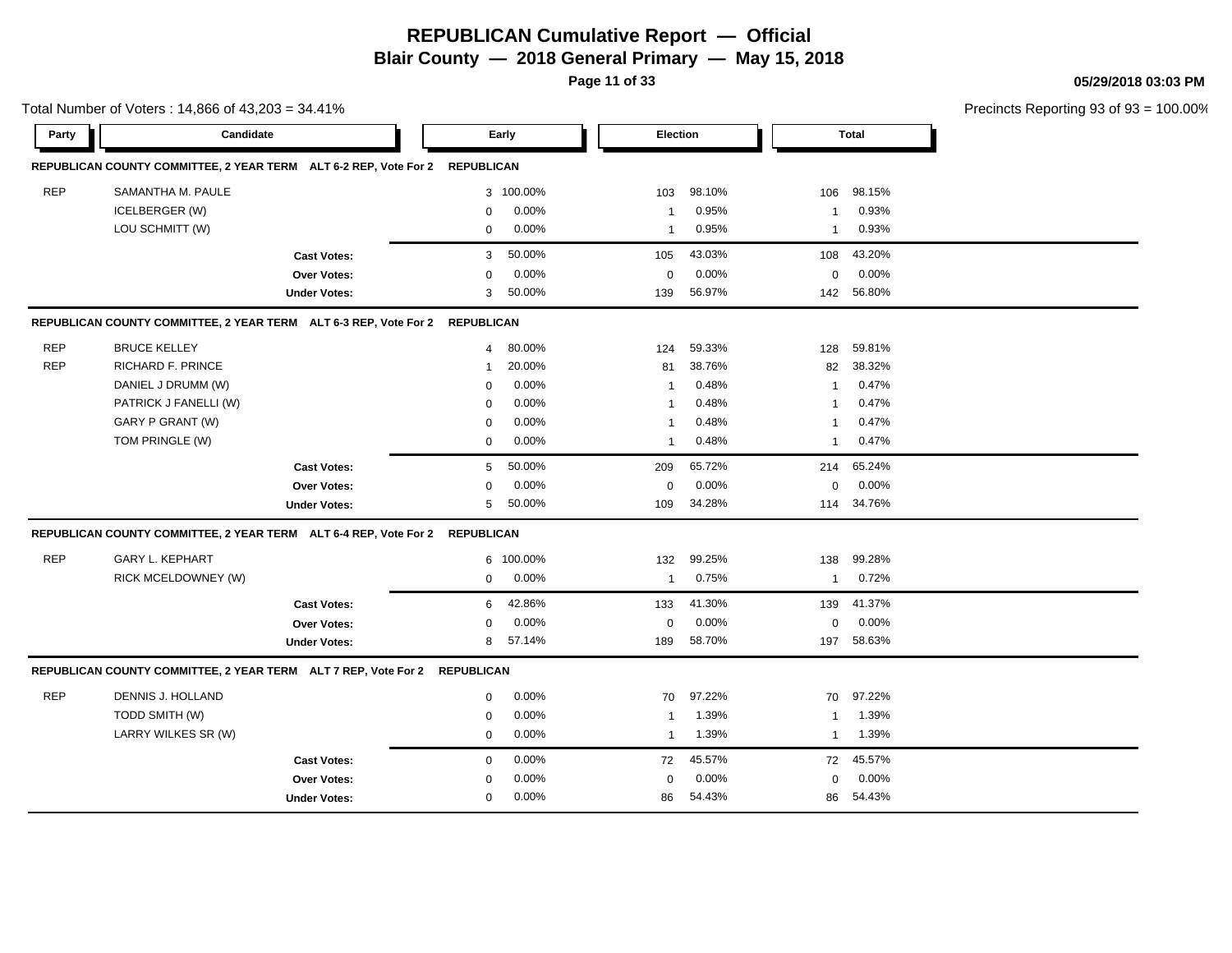**Page 11 of 33**

**05/29/2018 03:03 PM**

|            | Total Number of Voters: 14,866 of 43,203 = 34.41%                           |                     |                          |                         |                       | Precincts Reporting 93 of 93 = 100.00% |
|------------|-----------------------------------------------------------------------------|---------------------|--------------------------|-------------------------|-----------------------|----------------------------------------|
| Party      | Candidate                                                                   |                     | Early                    | Election                | <b>Total</b>          |                                        |
|            | REPUBLICAN COUNTY COMMITTEE, 2 YEAR TERM ALT 6-2 REP, Vote For 2 REPUBLICAN |                     |                          |                         |                       |                                        |
| <b>REP</b> | SAMANTHA M. PAULE                                                           |                     | 3 100.00%                | 98.10%<br>103           | 98.15%<br>106         |                                        |
|            | <b>ICELBERGER (W)</b>                                                       |                     | 0.00%<br>0               | 0.95%<br>-1             | 0.93%<br>$\mathbf{1}$ |                                        |
|            | LOU SCHMITT (W)                                                             |                     | 0.00%<br>$\mathbf{0}$    | 0.95%<br>$\overline{1}$ | 0.93%<br>$\mathbf{1}$ |                                        |
|            |                                                                             | <b>Cast Votes:</b>  | 50.00%<br>3              | 43.03%<br>105           | 43.20%<br>108         |                                        |
|            |                                                                             | Over Votes:         | 0.00%<br>$\mathbf{0}$    | 0.00%<br>$\mathbf 0$    | 0.00%<br>$\mathbf 0$  |                                        |
|            |                                                                             | <b>Under Votes:</b> | 50.00%<br>3              | 56.97%<br>139           | 56.80%<br>142         |                                        |
|            | REPUBLICAN COUNTY COMMITTEE, 2 YEAR TERM ALT 6-3 REP, Vote For 2 REPUBLICAN |                     |                          |                         |                       |                                        |
| <b>REP</b> | <b>BRUCE KELLEY</b>                                                         |                     | 80.00%<br>$\overline{4}$ | 59.33%<br>124           | 59.81%<br>128         |                                        |
| <b>REP</b> | RICHARD F. PRINCE                                                           |                     | 20.00%<br>$\mathbf{1}$   | 38.76%<br>81            | 38.32%<br>82          |                                        |
|            | DANIEL J DRUMM (W)                                                          |                     | 0.00%<br>0               | 0.48%<br>-1             | 0.47%<br>$\mathbf{1}$ |                                        |
|            | PATRICK J FANELLI (W)                                                       |                     | 0.00%<br>0               | 0.48%                   | 0.47%<br>1            |                                        |
|            | GARY P GRANT (W)                                                            |                     | 0.00%<br>$\Omega$        | 0.48%                   | 0.47%<br>1            |                                        |
|            | TOM PRINGLE (W)                                                             |                     | 0.00%<br>$\mathbf 0$     | 0.48%<br>$\mathbf{1}$   | 0.47%<br>$\mathbf{1}$ |                                        |
|            |                                                                             | <b>Cast Votes:</b>  | 50.00%<br>5              | 65.72%<br>209           | 65.24%<br>214         |                                        |
|            |                                                                             | Over Votes:         | 0.00%<br>$\Omega$        | 0.00%<br>$\mathbf 0$    | 0.00%<br>$\mathbf 0$  |                                        |
|            |                                                                             | <b>Under Votes:</b> | 50.00%<br>5              | 34.28%<br>109           | 114 34.76%            |                                        |
|            | REPUBLICAN COUNTY COMMITTEE, 2 YEAR TERM ALT 6-4 REP, Vote For 2 REPUBLICAN |                     |                          |                         |                       |                                        |
| <b>REP</b> | <b>GARY L. KEPHART</b>                                                      |                     | 6 100.00%                | 99.25%<br>132           | 99.28%<br>138         |                                        |
|            | RICK MCELDOWNEY (W)                                                         |                     | 0.00%<br>$\mathbf{0}$    | 0.75%<br>$\overline{1}$ | 0.72%<br>$\mathbf{1}$ |                                        |
|            |                                                                             | <b>Cast Votes:</b>  | 42.86%<br>6              | 41.30%<br>133           | 41.37%<br>139         |                                        |
|            |                                                                             | Over Votes:         | 0.00%<br>0               | 0.00%<br>0              | 0.00%<br>0            |                                        |
|            |                                                                             | <b>Under Votes:</b> | 57.14%<br>8              | 58.70%<br>189           | 58.63%<br>197         |                                        |
|            | REPUBLICAN COUNTY COMMITTEE, 2 YEAR TERM ALT 7 REP, Vote For 2 REPUBLICAN   |                     |                          |                         |                       |                                        |
| <b>REP</b> | DENNIS J. HOLLAND                                                           |                     | 0.00%<br>$\mathbf 0$     | 97.22%<br>70            | 97.22%<br>70          |                                        |
|            | TODD SMITH (W)                                                              |                     | 0.00%<br>$\mathbf{0}$    | 1.39%<br>-1             | 1.39%<br>$\mathbf{1}$ |                                        |
|            | LARRY WILKES SR (W)                                                         |                     | 0.00%<br>$\mathbf 0$     | 1.39%<br>$\overline{1}$ | 1.39%<br>$\mathbf{1}$ |                                        |
|            |                                                                             | <b>Cast Votes:</b>  | 0.00%<br>$\mathbf{0}$    | 45.57%<br>72            | 45.57%<br>72          |                                        |
|            |                                                                             | <b>Over Votes:</b>  | 0.00%<br>$\Omega$        | 0.00%<br>$\mathbf 0$    | 0.00%<br>$\mathbf 0$  |                                        |
|            |                                                                             | <b>Under Votes:</b> | 0.00%<br>$\mathbf{0}$    | 54.43%<br>86            | 54.43%<br>86          |                                        |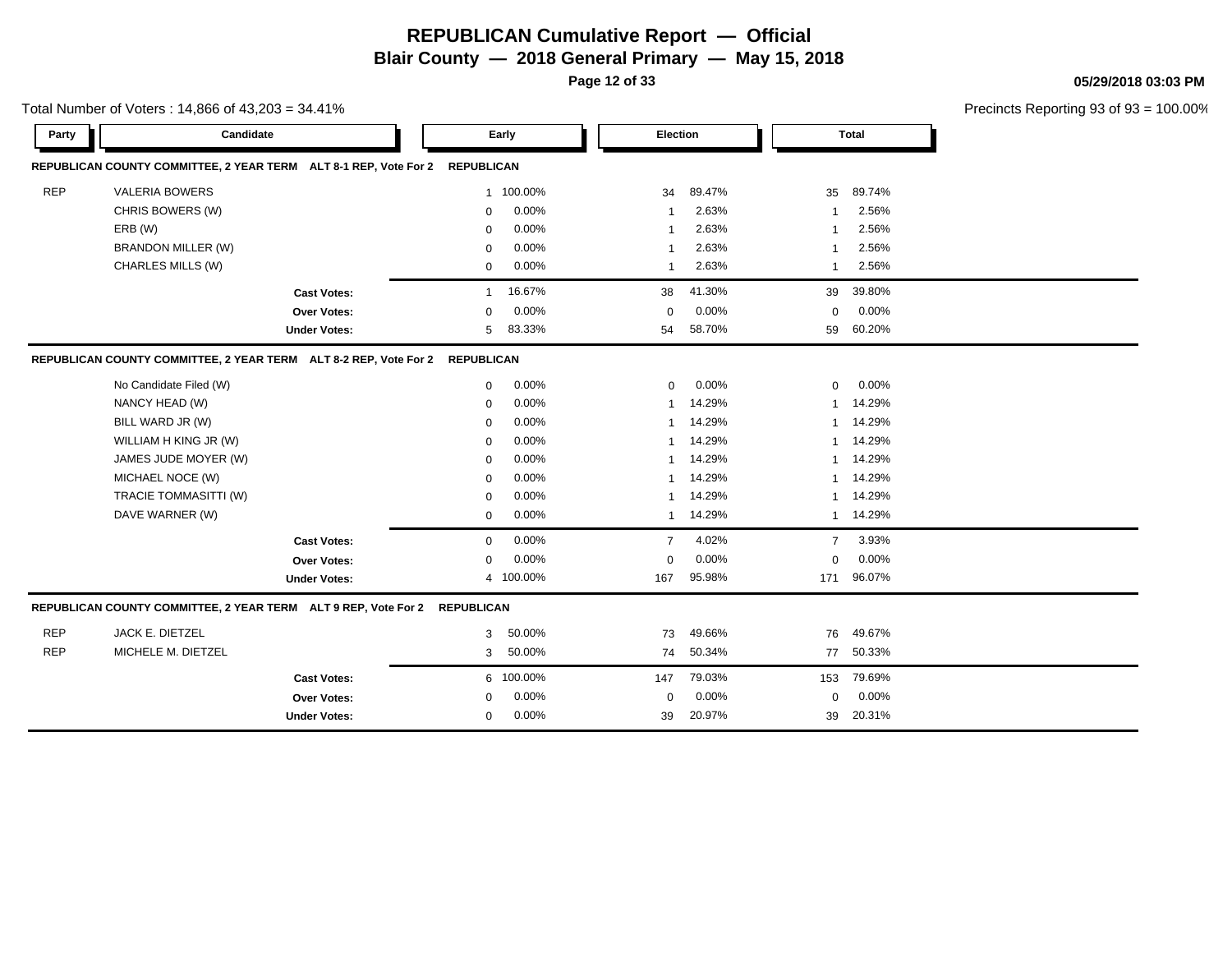**Page 12 of 33**

**05/29/2018 03:03 PM**

|            | Total Number of Voters: 14,866 of 43,203 = 34.41%<br>Candidate              |                     |              |           |                |        |                |              | Precincts Reporting 93 of 93 |
|------------|-----------------------------------------------------------------------------|---------------------|--------------|-----------|----------------|--------|----------------|--------------|------------------------------|
| Party      |                                                                             |                     |              | Early     | Election       |        |                | <b>Total</b> |                              |
|            | REPUBLICAN COUNTY COMMITTEE, 2 YEAR TERM ALT 8-1 REP, Vote For 2 REPUBLICAN |                     |              |           |                |        |                |              |                              |
| <b>REP</b> | <b>VALERIA BOWERS</b>                                                       |                     |              | 1 100.00% | 34             | 89.47% | 35             | 89.74%       |                              |
|            | CHRIS BOWERS (W)                                                            |                     | 0            | 0.00%     | $\mathbf 1$    | 2.63%  | -1             | 2.56%        |                              |
|            | ERB (W)                                                                     |                     | 0            | 0.00%     | -1             | 2.63%  | -1             | 2.56%        |                              |
|            | <b>BRANDON MILLER (W)</b>                                                   |                     | 0            | 0.00%     | -1             | 2.63%  | $\mathbf 1$    | 2.56%        |                              |
|            | CHARLES MILLS (W)                                                           |                     | 0            | 0.00%     | $\overline{1}$ | 2.63%  | 1              | 2.56%        |                              |
|            |                                                                             | <b>Cast Votes:</b>  | $\mathbf{1}$ | 16.67%    | 38             | 41.30% | 39             | 39.80%       |                              |
|            |                                                                             | <b>Over Votes:</b>  | $\Omega$     | 0.00%     | $\Omega$       | 0.00%  | $\mathbf 0$    | 0.00%        |                              |
|            |                                                                             | <b>Under Votes:</b> | 5            | 83.33%    | 54             | 58.70% | 59             | 60.20%       |                              |
|            | REPUBLICAN COUNTY COMMITTEE, 2 YEAR TERM ALT 8-2 REP, Vote For 2 REPUBLICAN |                     |              |           |                |        |                |              |                              |
|            | No Candidate Filed (W)                                                      |                     | 0            | 0.00%     | $\mathbf 0$    | 0.00%  | $\mathbf 0$    | 0.00%        |                              |
|            | NANCY HEAD (W)                                                              |                     | $\mathbf 0$  | 0.00%     | $\mathbf{1}$   | 14.29% |                | 14.29%       |                              |
|            | BILL WARD JR (W)                                                            |                     | 0            | 0.00%     | $\mathbf 1$    | 14.29% | -1             | 14.29%       |                              |
|            | WILLIAM H KING JR (W)                                                       |                     | 0            | 0.00%     | $\mathbf 1$    | 14.29% | $\mathbf{1}$   | 14.29%       |                              |
|            | JAMES JUDE MOYER (W)                                                        |                     | $\mathbf 0$  | 0.00%     | 1              | 14.29% | $\mathbf{1}$   | 14.29%       |                              |
|            | MICHAEL NOCE (W)                                                            |                     | $\mathbf 0$  | 0.00%     | $\mathbf{1}$   | 14.29% | $\mathbf{1}$   | 14.29%       |                              |
|            | TRACIE TOMMASITTI (W)                                                       |                     | 0            | 0.00%     | $\mathbf 1$    | 14.29% | 1              | 14.29%       |                              |
|            | DAVE WARNER (W)                                                             |                     | $\mathbf{0}$ | 0.00%     | 1              | 14.29% | $\mathbf{1}$   | 14.29%       |                              |
|            |                                                                             | <b>Cast Votes:</b>  | $\mathbf{0}$ | 0.00%     | $\overline{7}$ | 4.02%  | $\overline{7}$ | 3.93%        |                              |
|            |                                                                             | Over Votes:         | $\mathbf 0$  | 0.00%     | $\mathbf 0$    | 0.00%  | $\mathbf 0$    | 0.00%        |                              |
|            |                                                                             | <b>Under Votes:</b> |              | 4 100.00% | 167            | 95.98% | 171            | 96.07%       |                              |
|            | REPUBLICAN COUNTY COMMITTEE, 2 YEAR TERM ALT 9 REP, Vote For 2 REPUBLICAN   |                     |              |           |                |        |                |              |                              |
| <b>REP</b> | JACK E. DIETZEL                                                             |                     | 3            | 50.00%    | 73             | 49.66% | 76             | 49.67%       |                              |
| <b>REP</b> | MICHELE M. DIETZEL                                                          |                     | 3            | 50.00%    | 74             | 50.34% | 77             | 50.33%       |                              |
|            |                                                                             | <b>Cast Votes:</b>  |              | 6 100.00% | 147            | 79.03% | 153            | 79.69%       |                              |
|            |                                                                             | Over Votes:         | 0            | 0.00%     | $\mathbf 0$    | 0.00%  | $\mathbf 0$    | 0.00%        |                              |
|            |                                                                             | <b>Under Votes:</b> | 0            | 0.00%     | 39             | 20.97% | 39             | 20.31%       |                              |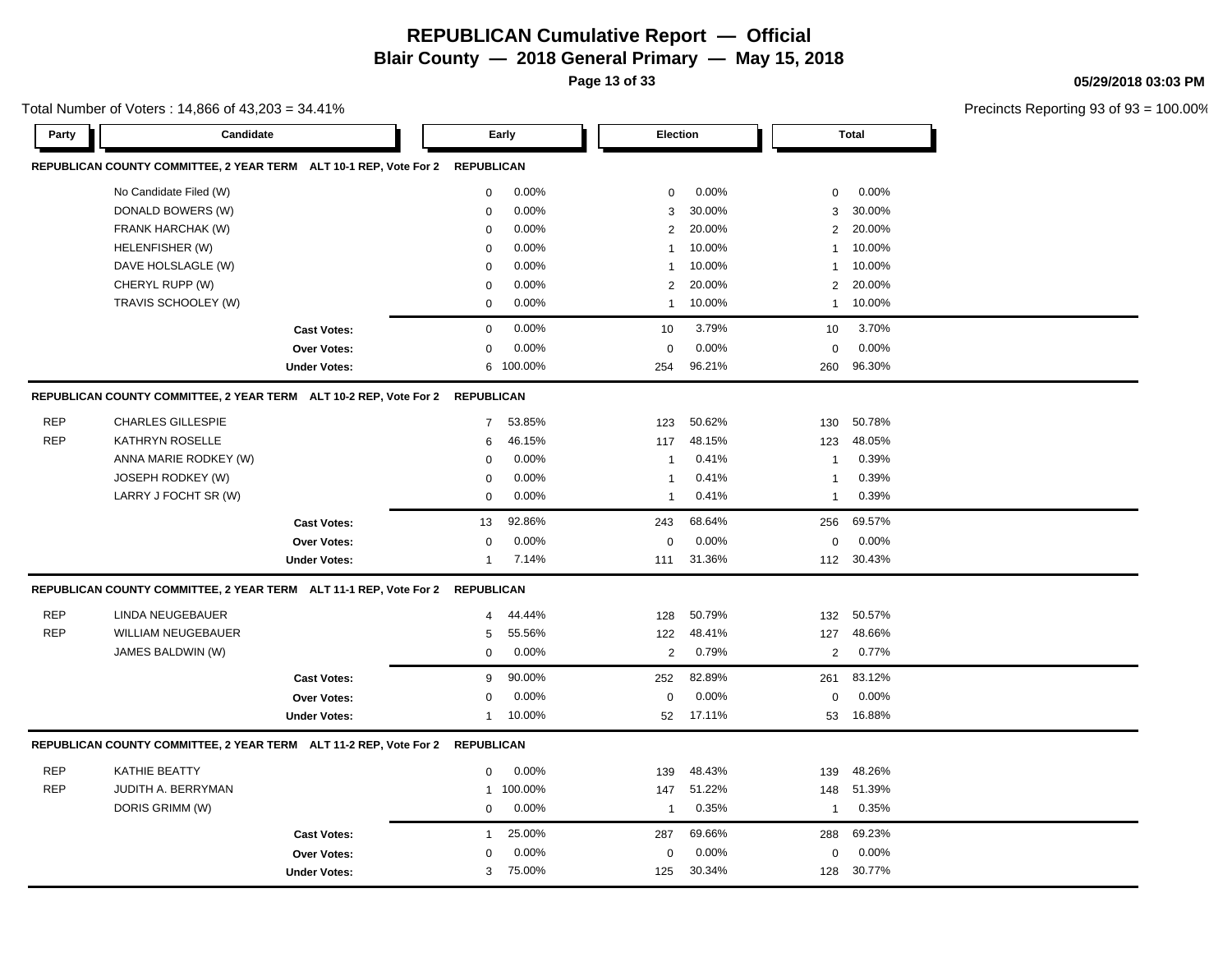**Page 13 of 33**

**05/29/2018 03:03 PM**

| Total Number of Voters : 14,866 of 43,203 = 34.41% |  |
|----------------------------------------------------|--|
|----------------------------------------------------|--|

| Party      | Candidate                                                                    |                     |                   | Early     | <b>Election</b> |        |                | <b>Total</b> |  |
|------------|------------------------------------------------------------------------------|---------------------|-------------------|-----------|-----------------|--------|----------------|--------------|--|
|            | REPUBLICAN COUNTY COMMITTEE, 2 YEAR TERM ALT 10-1 REP, Vote For 2            |                     | <b>REPUBLICAN</b> |           |                 |        |                |              |  |
|            | No Candidate Filed (W)                                                       |                     | $\mathbf 0$       | 0.00%     | $\mathbf 0$     | 0.00%  | $\mathbf 0$    | 0.00%        |  |
|            | DONALD BOWERS (W)                                                            |                     | $\mathbf 0$       | 0.00%     | 3               | 30.00% | 3              | 30.00%       |  |
|            | FRANK HARCHAK (W)                                                            |                     | $\mathbf 0$       | 0.00%     | $\overline{2}$  | 20.00% | $\overline{2}$ | 20.00%       |  |
|            | HELENFISHER (W)                                                              |                     | $\Omega$          | 0.00%     | $\overline{1}$  | 10.00% | 1              | 10.00%       |  |
|            | DAVE HOLSLAGLE (W)                                                           |                     | $\mathbf 0$       | 0.00%     | $\overline{1}$  | 10.00% | $\mathbf{1}$   | 10.00%       |  |
|            | CHERYL RUPP (W)                                                              |                     | $\mathbf 0$       | 0.00%     | 2               | 20.00% | $\overline{2}$ | 20.00%       |  |
|            | TRAVIS SCHOOLEY (W)                                                          |                     | $\mathbf 0$       | 0.00%     | $\mathbf{1}$    | 10.00% | $\overline{1}$ | 10.00%       |  |
|            |                                                                              | <b>Cast Votes:</b>  | $\mathbf 0$       | 0.00%     | 10              | 3.79%  | 10             | 3.70%        |  |
|            |                                                                              | <b>Over Votes:</b>  | $\mathbf 0$       | 0.00%     | $\mathbf 0$     | 0.00%  | $\mathbf 0$    | 0.00%        |  |
|            |                                                                              | <b>Under Votes:</b> |                   | 6 100.00% | 254             | 96.21% | 260            | 96.30%       |  |
|            | REPUBLICAN COUNTY COMMITTEE, 2 YEAR TERM ALT 10-2 REP, Vote For 2            |                     | <b>REPUBLICAN</b> |           |                 |        |                |              |  |
| <b>REP</b> | <b>CHARLES GILLESPIE</b>                                                     |                     | $\overline{7}$    | 53.85%    | 123             | 50.62% | 130            | 50.78%       |  |
| <b>REP</b> | KATHRYN ROSELLE                                                              |                     | 6                 | 46.15%    | 117             | 48.15% | 123            | 48.05%       |  |
|            | ANNA MARIE RODKEY (W)                                                        |                     | $\mathbf 0$       | 0.00%     | $\overline{1}$  | 0.41%  | -1             | 0.39%        |  |
|            | JOSEPH RODKEY (W)                                                            |                     | $\mathbf 0$       | 0.00%     | $\overline{1}$  | 0.41%  | $\mathbf{1}$   | 0.39%        |  |
|            | LARRY J FOCHT SR (W)                                                         |                     | $\mathbf 0$       | 0.00%     | $\overline{1}$  | 0.41%  | $\mathbf{1}$   | 0.39%        |  |
|            |                                                                              | <b>Cast Votes:</b>  | 13                | 92.86%    | 243             | 68.64% | 256            | 69.57%       |  |
|            |                                                                              | <b>Over Votes:</b>  | $\mathbf 0$       | 0.00%     | $\mathbf 0$     | 0.00%  | $\mathbf 0$    | 0.00%        |  |
|            |                                                                              | <b>Under Votes:</b> | $\overline{1}$    | 7.14%     | 111             | 31.36% |                | 112 30.43%   |  |
|            | REPUBLICAN COUNTY COMMITTEE, 2 YEAR TERM ALT 11-1 REP, Vote For 2 REPUBLICAN |                     |                   |           |                 |        |                |              |  |
| <b>REP</b> | <b>LINDA NEUGEBAUER</b>                                                      |                     | $\overline{4}$    | 44.44%    | 128             | 50.79% | 132            | 50.57%       |  |
| <b>REP</b> | WILLIAM NEUGEBAUER                                                           |                     | 5                 | 55.56%    | 122             | 48.41% | 127            | 48.66%       |  |
|            | JAMES BALDWIN (W)                                                            |                     | $\mathbf 0$       | 0.00%     | $\overline{2}$  | 0.79%  | $\overline{2}$ | 0.77%        |  |
|            |                                                                              | <b>Cast Votes:</b>  | 9                 | 90.00%    | 252             | 82.89% | 261            | 83.12%       |  |
|            |                                                                              | Over Votes:         | $\mathbf 0$       | 0.00%     | $\mathbf 0$     | 0.00%  | $\mathbf 0$    | 0.00%        |  |
|            |                                                                              | <b>Under Votes:</b> | $\mathbf{1}$      | 10.00%    | 52              | 17.11% | 53             | 16.88%       |  |
|            | REPUBLICAN COUNTY COMMITTEE, 2 YEAR TERM ALT 11-2 REP, Vote For 2 REPUBLICAN |                     |                   |           |                 |        |                |              |  |
| <b>REP</b> | KATHIE BEATTY                                                                |                     | $\mathbf 0$       | 0.00%     | 139             | 48.43% | 139            | 48.26%       |  |
| <b>REP</b> | JUDITH A. BERRYMAN                                                           |                     |                   | 1 100.00% | 147             | 51.22% | 148            | 51.39%       |  |
|            | DORIS GRIMM (W)                                                              |                     | $\mathbf 0$       | 0.00%     | $\overline{1}$  | 0.35%  | $\mathbf{1}$   | 0.35%        |  |
|            |                                                                              | <b>Cast Votes:</b>  | $\mathbf{1}$      | 25.00%    | 287             | 69.66% | 288            | 69.23%       |  |
|            |                                                                              | Over Votes:         | $\mathbf 0$       | 0.00%     | $\Omega$        | 0.00%  | $\Omega$       | 0.00%        |  |
|            |                                                                              | <b>Under Votes:</b> | 3                 | 75.00%    | 125             | 30.34% | 128            | 30.77%       |  |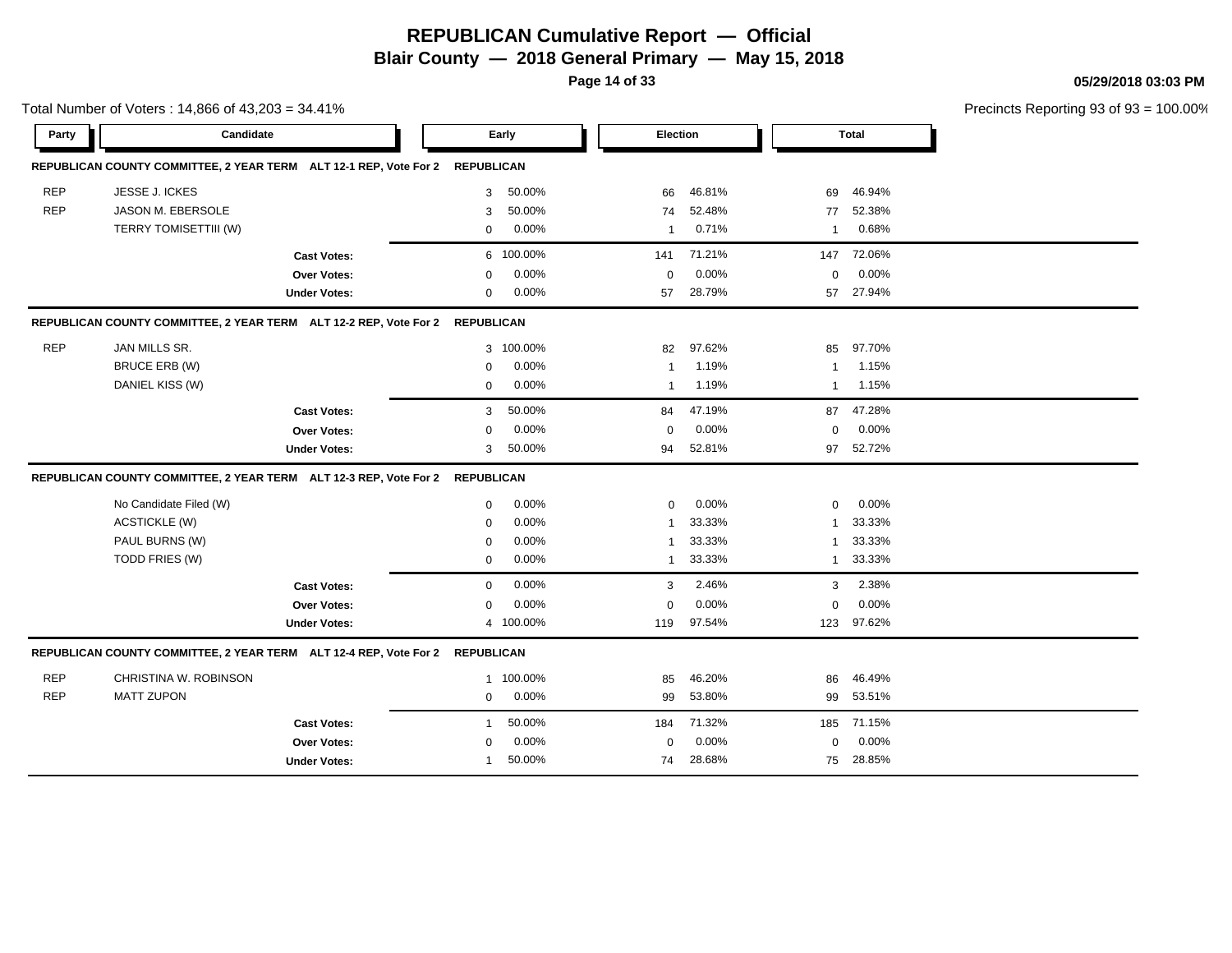# **REPUBLICAN Cumulative Report — Official**

**Blair County — 2018 General Primary — May 15, 2018**

**Page 14 of 33**

**05/29/2018 03:03 PM**

|            | Total Number of Voters: 14,866 of 43,203 = 34.41%                            |                     |              |           |                 |        |                |              | Precincts Reporting 93 of 9: |
|------------|------------------------------------------------------------------------------|---------------------|--------------|-----------|-----------------|--------|----------------|--------------|------------------------------|
| Party      | Candidate                                                                    |                     |              | Early     | <b>Election</b> |        |                | <b>Total</b> |                              |
|            | REPUBLICAN COUNTY COMMITTEE, 2 YEAR TERM ALT 12-1 REP, Vote For 2 REPUBLICAN |                     |              |           |                 |        |                |              |                              |
| <b>REP</b> | <b>JESSE J. ICKES</b>                                                        |                     | 3            | 50.00%    | 66              | 46.81% | 69             | 46.94%       |                              |
| <b>REP</b> | <b>JASON M. EBERSOLE</b>                                                     |                     | 3            | 50.00%    | 74              | 52.48% | 77             | 52.38%       |                              |
|            | TERRY TOMISETTIII (W)                                                        |                     | 0            | 0.00%     | $\overline{1}$  | 0.71%  | $\overline{1}$ | 0.68%        |                              |
|            |                                                                              | <b>Cast Votes:</b>  |              | 6 100.00% | 141             | 71.21% | 147            | 72.06%       |                              |
|            |                                                                              | Over Votes:         | $\mathbf 0$  | 0.00%     | $\mathbf 0$     | 0.00%  | $\mathbf 0$    | 0.00%        |                              |
|            |                                                                              | <b>Under Votes:</b> | 0            | 0.00%     | 57              | 28.79% |                | 57 27.94%    |                              |
|            | REPUBLICAN COUNTY COMMITTEE, 2 YEAR TERM ALT 12-2 REP, Vote For 2 REPUBLICAN |                     |              |           |                 |        |                |              |                              |
| <b>REP</b> | JAN MILLS SR.                                                                |                     |              | 3 100.00% | 82              | 97.62% | 85             | 97.70%       |                              |
|            | <b>BRUCE ERB (W)</b>                                                         |                     | 0            | 0.00%     | $\overline{1}$  | 1.19%  | $\overline{1}$ | 1.15%        |                              |
|            | DANIEL KISS (W)                                                              |                     | 0            | 0.00%     | $\overline{1}$  | 1.19%  | $\overline{1}$ | 1.15%        |                              |
|            |                                                                              | <b>Cast Votes:</b>  | 3            | 50.00%    | 84              | 47.19% | 87             | 47.28%       |                              |
|            |                                                                              | <b>Over Votes:</b>  | 0            | 0.00%     | $\mathbf 0$     | 0.00%  | $\mathbf 0$    | 0.00%        |                              |
|            |                                                                              | <b>Under Votes:</b> | 3            | 50.00%    | 94              | 52.81% | 97             | 52.72%       |                              |
|            | REPUBLICAN COUNTY COMMITTEE, 2 YEAR TERM ALT 12-3 REP, Vote For 2 REPUBLICAN |                     |              |           |                 |        |                |              |                              |
|            | No Candidate Filed (W)                                                       |                     | $\mathbf 0$  | 0.00%     | $\mathbf 0$     | 0.00%  | $\mathbf 0$    | 0.00%        |                              |
|            | <b>ACSTICKLE (W)</b>                                                         |                     | 0            | 0.00%     | $\overline{1}$  | 33.33% | $\mathbf{1}$   | 33.33%       |                              |
|            | PAUL BURNS (W)                                                               |                     | $\mathbf 0$  | 0.00%     | -1              | 33.33% | -1             | 33.33%       |                              |
|            | TODD FRIES (W)                                                               |                     | $\mathbf 0$  | 0.00%     | $\overline{1}$  | 33.33% | $\mathbf{1}$   | 33.33%       |                              |
|            |                                                                              | <b>Cast Votes:</b>  | $\mathbf{0}$ | 0.00%     | 3               | 2.46%  | 3              | 2.38%        |                              |
|            |                                                                              | Over Votes:         | 0            | 0.00%     | $\mathbf 0$     | 0.00%  | $\mathbf 0$    | 0.00%        |                              |
|            |                                                                              | <b>Under Votes:</b> | 4            | 100.00%   | 119             | 97.54% | 123            | 97.62%       |                              |
|            | REPUBLICAN COUNTY COMMITTEE, 2 YEAR TERM ALT 12-4 REP, Vote For 2 REPUBLICAN |                     |              |           |                 |        |                |              |                              |
| <b>REP</b> | CHRISTINA W. ROBINSON                                                        |                     | 1            | 100.00%   | 85              | 46.20% | 86             | 46.49%       |                              |
| <b>REP</b> | <b>MATT ZUPON</b>                                                            |                     | $\mathbf 0$  | 0.00%     | 99              | 53.80% |                | 99 53.51%    |                              |
|            |                                                                              | <b>Cast Votes:</b>  | 1            | 50.00%    | 184             | 71.32% | 185            | 71.15%       |                              |
|            |                                                                              | <b>Over Votes:</b>  | 0            | 0.00%     | $\mathbf 0$     | 0.00%  | $\mathbf 0$    | 0.00%        |                              |
|            |                                                                              | <b>Under Votes:</b> | -1           | 50.00%    | 74              | 28.68% |                | 75 28.85%    |                              |
|            |                                                                              |                     |              |           |                 |        |                |              |                              |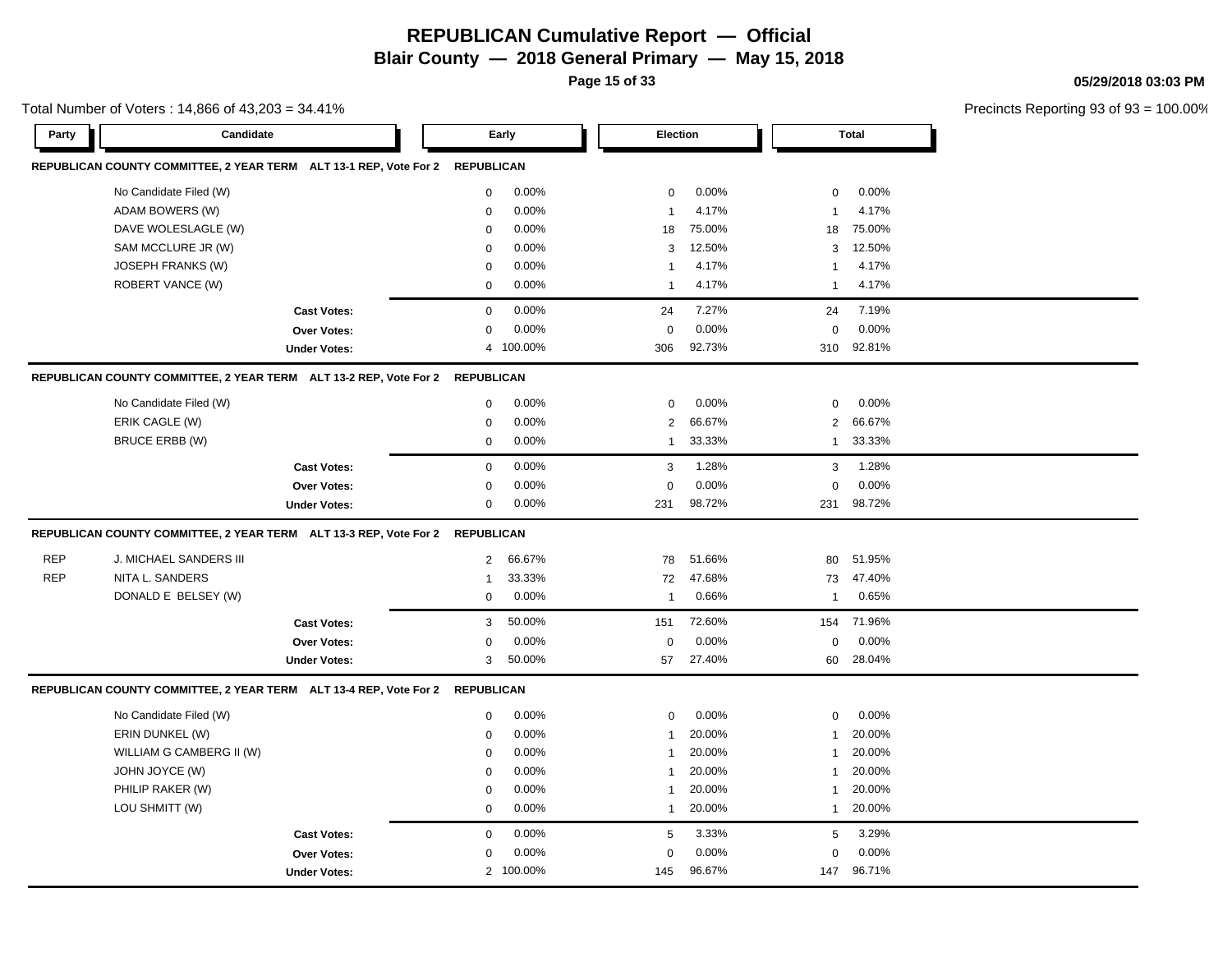**Page 15 of 33**

**05/29/2018 03:03 PM**

|            | Total Number of Voters: 14,866 of 43,203 = 34.41%                            |                     |                |           |                |        |                |              | Precincts Reporting 93 of 9: |
|------------|------------------------------------------------------------------------------|---------------------|----------------|-----------|----------------|--------|----------------|--------------|------------------------------|
| Party      | Candidate                                                                    |                     |                | Early     | Election       |        |                | <b>Total</b> |                              |
|            | REPUBLICAN COUNTY COMMITTEE, 2 YEAR TERM ALT 13-1 REP, Vote For 2 REPUBLICAN |                     |                |           |                |        |                |              |                              |
|            | No Candidate Filed (W)                                                       |                     | 0              | 0.00%     | $\mathbf 0$    | 0.00%  | $\mathbf 0$    | 0.00%        |                              |
|            | ADAM BOWERS (W)                                                              |                     | 0              | 0.00%     | $\overline{1}$ | 4.17%  | $\overline{1}$ | 4.17%        |                              |
|            | DAVE WOLESLAGLE (W)                                                          |                     | 0              | 0.00%     | 18             | 75.00% | 18             | 75.00%       |                              |
|            | SAM MCCLURE JR (W)                                                           |                     | 0              | 0.00%     | 3              | 12.50% | 3              | 12.50%       |                              |
|            | JOSEPH FRANKS (W)                                                            |                     | 0              | 0.00%     | $\overline{1}$ | 4.17%  | -1             | 4.17%        |                              |
|            | ROBERT VANCE (W)                                                             |                     | 0              | 0.00%     | $\overline{1}$ | 4.17%  | $\mathbf{1}$   | 4.17%        |                              |
|            |                                                                              | <b>Cast Votes:</b>  | 0              | 0.00%     | 24             | 7.27%  | 24             | 7.19%        |                              |
|            |                                                                              | Over Votes:         | 0              | 0.00%     | $\mathbf 0$    | 0.00%  | $\mathbf 0$    | 0.00%        |                              |
|            |                                                                              | <b>Under Votes:</b> |                | 4 100.00% | 306            | 92.73% | 310            | 92.81%       |                              |
|            | REPUBLICAN COUNTY COMMITTEE, 2 YEAR TERM ALT 13-2 REP, Vote For 2 REPUBLICAN |                     |                |           |                |        |                |              |                              |
|            | No Candidate Filed (W)                                                       |                     | 0              | 0.00%     | $\mathbf 0$    | 0.00%  | $\mathbf 0$    | 0.00%        |                              |
|            | ERIK CAGLE (W)                                                               |                     | 0              | 0.00%     | 2              | 66.67% | $\overline{2}$ | 66.67%       |                              |
|            | <b>BRUCE ERBB (W)</b>                                                        |                     | 0              | 0.00%     | $\overline{1}$ | 33.33% | $\mathbf{1}$   | 33.33%       |                              |
|            |                                                                              | <b>Cast Votes:</b>  | $\mathbf 0$    | 0.00%     | 3              | 1.28%  | 3              | 1.28%        |                              |
|            |                                                                              | Over Votes:         | 0              | 0.00%     | $\mathbf 0$    | 0.00%  | $\mathbf 0$    | 0.00%        |                              |
|            |                                                                              | <b>Under Votes:</b> | $\mathbf 0$    | 0.00%     | 231            | 98.72% | 231            | 98.72%       |                              |
|            | REPUBLICAN COUNTY COMMITTEE, 2 YEAR TERM ALT 13-3 REP, Vote For 2 REPUBLICAN |                     |                |           |                |        |                |              |                              |
| <b>REP</b> | J. MICHAEL SANDERS III                                                       |                     | $\overline{2}$ | 66.67%    | 78             | 51.66% | 80             | 51.95%       |                              |
| <b>REP</b> | NITA L. SANDERS                                                              |                     | $\mathbf 1$    | 33.33%    | 72             | 47.68% | 73             | 47.40%       |                              |
|            | DONALD E BELSEY (W)                                                          |                     | 0              | 0.00%     | $\overline{1}$ | 0.66%  | $\mathbf{1}$   | 0.65%        |                              |
|            |                                                                              | <b>Cast Votes:</b>  | 3              | 50.00%    | 151            | 72.60% | 154            | 71.96%       |                              |
|            |                                                                              | Over Votes:         | 0              | 0.00%     | $\mathbf 0$    | 0.00%  | 0              | 0.00%        |                              |
|            |                                                                              | <b>Under Votes:</b> | 3              | 50.00%    | 57             | 27.40% | 60             | 28.04%       |                              |
|            | REPUBLICAN COUNTY COMMITTEE, 2 YEAR TERM ALT 13-4 REP, Vote For 2 REPUBLICAN |                     |                |           |                |        |                |              |                              |
|            | No Candidate Filed (W)                                                       |                     | $\mathbf 0$    | 0.00%     | $\mathbf 0$    | 0.00%  | $\mathbf 0$    | 0.00%        |                              |
|            | ERIN DUNKEL (W)                                                              |                     | 0              | 0.00%     | $\overline{1}$ | 20.00% | $\mathbf{1}$   | 20.00%       |                              |
|            | WILLIAM G CAMBERG II (W)                                                     |                     | $\mathbf 0$    | 0.00%     | $\overline{1}$ | 20.00% | $\overline{1}$ | 20.00%       |                              |
|            | JOHN JOYCE (W)                                                               |                     | $\mathbf 0$    | 0.00%     | 1              | 20.00% | -1             | 20.00%       |                              |
|            | PHILIP RAKER (W)                                                             |                     | 0              | 0.00%     | $\overline{1}$ | 20.00% | $\mathbf{1}$   | 20.00%       |                              |
|            | LOU SHMITT (W)                                                               |                     | $\mathbf 0$    | 0.00%     | 1              | 20.00% | $\mathbf{1}$   | 20.00%       |                              |
|            |                                                                              | <b>Cast Votes:</b>  | 0              | 0.00%     | 5              | 3.33%  | 5              | 3.29%        |                              |
|            |                                                                              | <b>Over Votes:</b>  | 0              | 0.00%     | 0              | 0.00%  | 0              | 0.00%        |                              |
|            |                                                                              | <b>Under Votes:</b> | $\overline{2}$ | 100.00%   | 145            | 96.67% | 147            | 96.71%       |                              |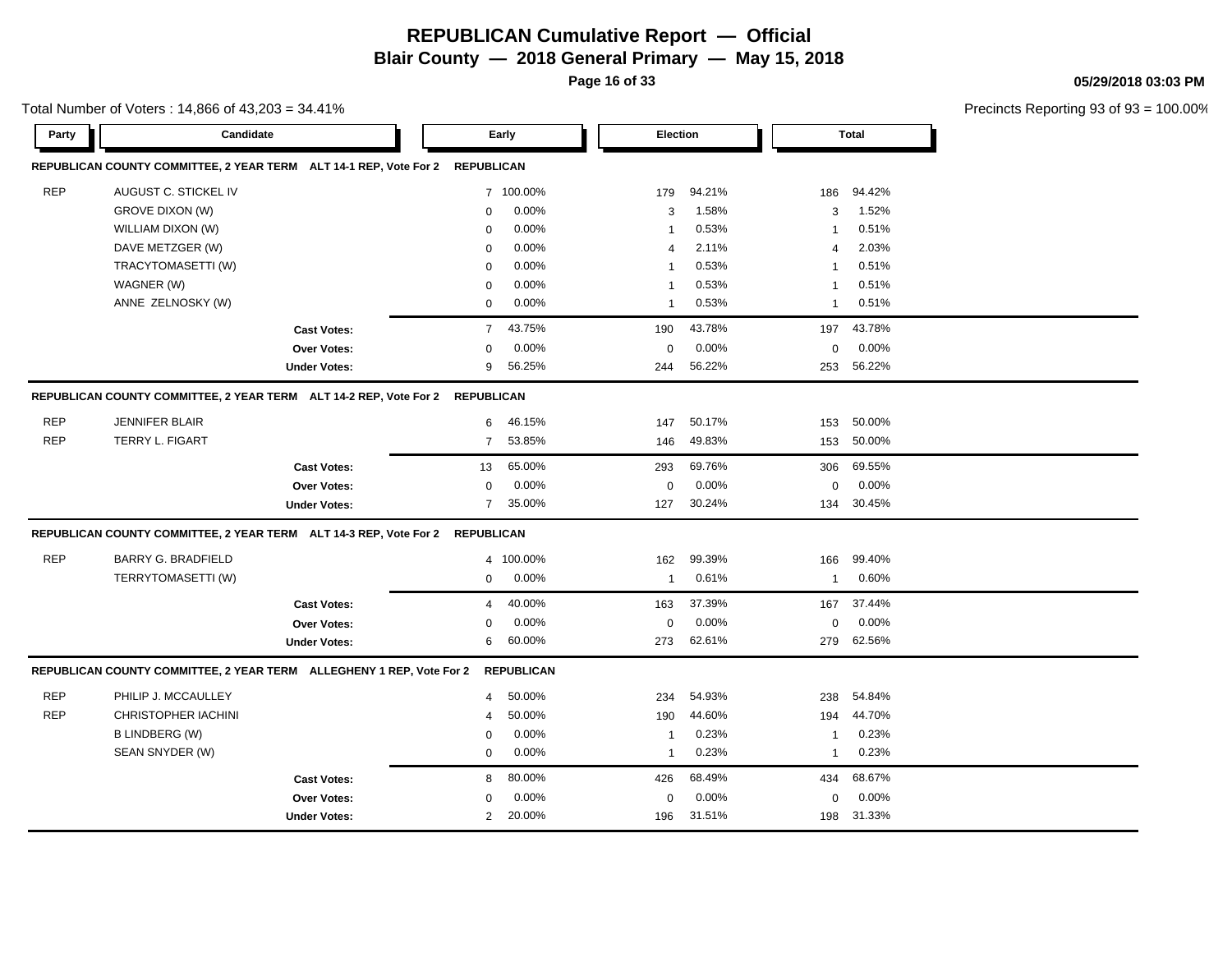**Page 16 of 33**

**05/29/2018 03:03 PM**

|  | Total Number of Voters: 14,866 of 43,203 = 34.41% |
|--|---------------------------------------------------|
|--|---------------------------------------------------|

| Party      | Candidate                                                                    |                     |                   | Early             |                | Election |                | <b>Total</b> |  |
|------------|------------------------------------------------------------------------------|---------------------|-------------------|-------------------|----------------|----------|----------------|--------------|--|
|            | REPUBLICAN COUNTY COMMITTEE, 2 YEAR TERM ALT 14-1 REP, Vote For 2            |                     | <b>REPUBLICAN</b> |                   |                |          |                |              |  |
| <b>REP</b> | AUGUST C. STICKEL IV                                                         |                     |                   | 7 100.00%         | 179            | 94.21%   | 186            | 94.42%       |  |
|            | <b>GROVE DIXON (W)</b>                                                       |                     | $\mathbf{0}$      | 0.00%             | 3              | 1.58%    | 3              | 1.52%        |  |
|            | WILLIAM DIXON (W)                                                            |                     | 0                 | 0.00%             | $\overline{1}$ | 0.53%    | $\overline{1}$ | 0.51%        |  |
|            | DAVE METZGER (W)                                                             |                     | 0                 | 0.00%             | $\overline{4}$ | 2.11%    | $\overline{4}$ | 2.03%        |  |
|            | TRACYTOMASETTI (W)                                                           |                     | 0                 | 0.00%             | $\overline{1}$ | 0.53%    | $\overline{1}$ | 0.51%        |  |
|            | WAGNER (W)                                                                   |                     | 0                 | 0.00%             | -1             | 0.53%    | $\overline{1}$ | 0.51%        |  |
|            | ANNE ZELNOSKY (W)                                                            |                     | 0                 | 0.00%             | $\overline{1}$ | 0.53%    | $\overline{1}$ | 0.51%        |  |
|            |                                                                              | <b>Cast Votes:</b>  | $\overline{7}$    | 43.75%            | 190            | 43.78%   | 197            | 43.78%       |  |
|            |                                                                              | <b>Over Votes:</b>  | 0                 | 0.00%             | $\mathbf 0$    | 0.00%    | $\pmb{0}$      | 0.00%        |  |
|            |                                                                              | <b>Under Votes:</b> | 9                 | 56.25%            | 244            | 56.22%   | 253            | 56.22%       |  |
|            | REPUBLICAN COUNTY COMMITTEE, 2 YEAR TERM ALT 14-2 REP, Vote For 2            |                     | <b>REPUBLICAN</b> |                   |                |          |                |              |  |
| <b>REP</b> | <b>JENNIFER BLAIR</b>                                                        |                     | 6                 | 46.15%            | 147            | 50.17%   | 153            | 50.00%       |  |
| <b>REP</b> | <b>TERRY L. FIGART</b>                                                       |                     | $\overline{7}$    | 53.85%            | 146            | 49.83%   | 153            | 50.00%       |  |
|            |                                                                              | <b>Cast Votes:</b>  | 13                | 65.00%            | 293            | 69.76%   | 306            | 69.55%       |  |
|            |                                                                              | Over Votes:         | $\mathbf 0$       | 0.00%             | $\mathbf 0$    | 0.00%    | $\mathbf 0$    | 0.00%        |  |
|            |                                                                              | <b>Under Votes:</b> | $\overline{7}$    | 35.00%            | 127            | 30.24%   | 134            | 30.45%       |  |
|            | REPUBLICAN COUNTY COMMITTEE, 2 YEAR TERM ALT 14-3 REP, Vote For 2 REPUBLICAN |                     |                   |                   |                |          |                |              |  |
| <b>REP</b> | <b>BARRY G. BRADFIELD</b>                                                    |                     |                   | 4 100.00%         | 162            | 99.39%   | 166            | 99.40%       |  |
|            | TERRYTOMASETTI (W)                                                           |                     | $\mathbf 0$       | 0.00%             | $\overline{1}$ | 0.61%    | $\overline{1}$ | 0.60%        |  |
|            |                                                                              | <b>Cast Votes:</b>  | $\overline{4}$    | 40.00%            | 163            | 37.39%   | 167            | 37.44%       |  |
|            |                                                                              | <b>Over Votes:</b>  | $\mathbf 0$       | 0.00%             | $\mathbf 0$    | 0.00%    | $\mathbf 0$    | 0.00%        |  |
|            |                                                                              | <b>Under Votes:</b> | 6                 | 60.00%            | 273            | 62.61%   | 279            | 62.56%       |  |
|            | REPUBLICAN COUNTY COMMITTEE, 2 YEAR TERM ALLEGHENY 1 REP, Vote For 2         |                     |                   | <b>REPUBLICAN</b> |                |          |                |              |  |
| <b>REP</b> | PHILIP J. MCCAULLEY                                                          |                     | $\overline{4}$    | 50.00%            | 234            | 54.93%   | 238            | 54.84%       |  |
| <b>REP</b> | <b>CHRISTOPHER IACHINI</b>                                                   |                     | 4                 | 50.00%            | 190            | 44.60%   | 194            | 44.70%       |  |
|            | <b>B LINDBERG (W)</b>                                                        |                     | $\mathbf 0$       | 0.00%             | $\overline{1}$ | 0.23%    | $\overline{1}$ | 0.23%        |  |
|            | SEAN SNYDER (W)                                                              |                     | 0                 | 0.00%             | $\overline{1}$ | 0.23%    | $\overline{1}$ | 0.23%        |  |
|            |                                                                              | <b>Cast Votes:</b>  | 8                 | 80.00%            | 426            | 68.49%   | 434            | 68.67%       |  |
|            |                                                                              | <b>Over Votes:</b>  | $\Omega$          | 0.00%             | $\mathbf 0$    | 0.00%    | $\mathbf 0$    | 0.00%        |  |
|            |                                                                              | <b>Under Votes:</b> | $\overline{2}$    | 20.00%            | 196            | 31.51%   | 198            | 31.33%       |  |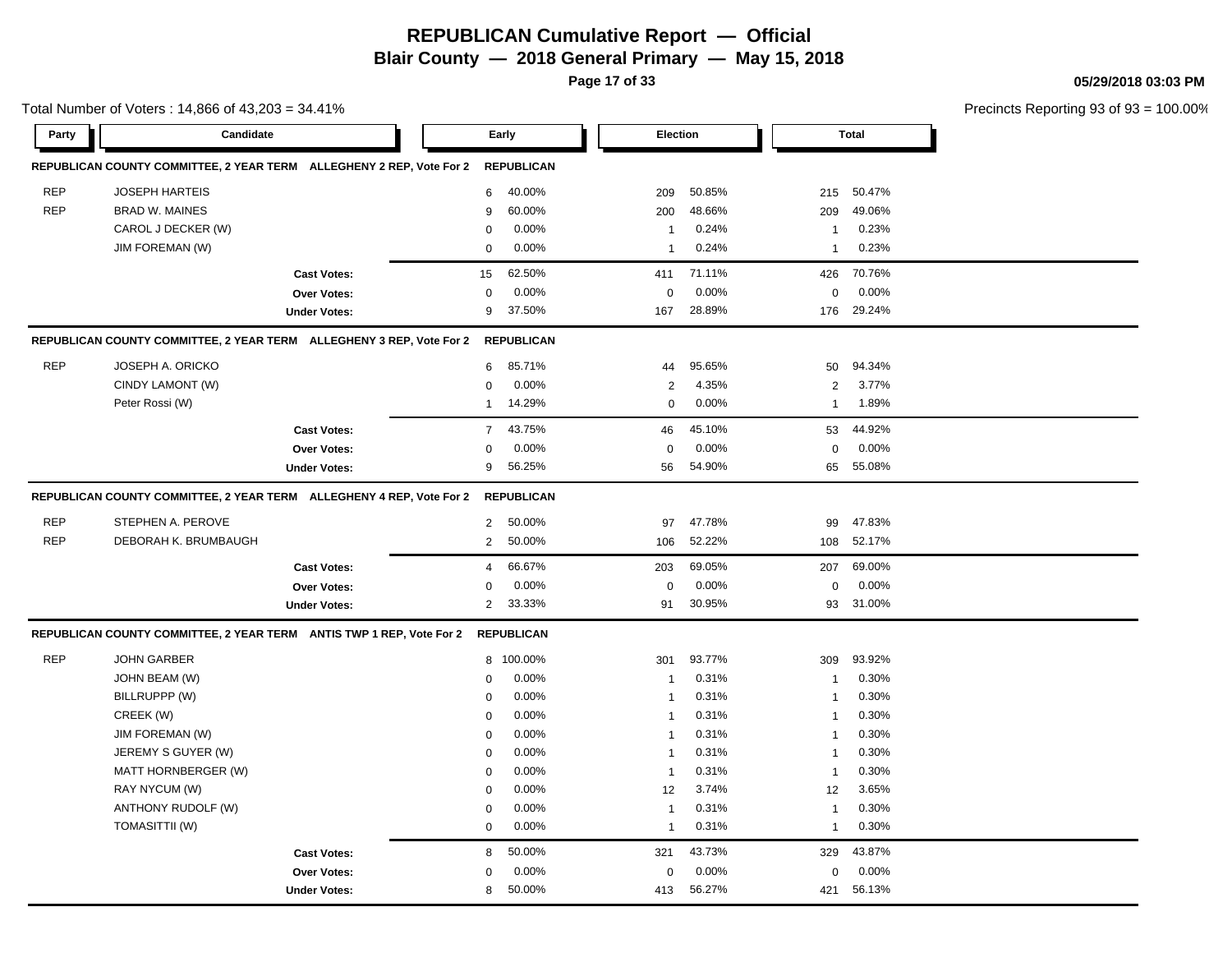**Page 17 of 33**

**05/29/2018 03:03 PM**

|            | Total Number of Voters: 14,866 of 43,203 = 34.41%                    |                |                   |                 |        |                |              | Precincts Reporting 93 of 9. |
|------------|----------------------------------------------------------------------|----------------|-------------------|-----------------|--------|----------------|--------------|------------------------------|
| Party      | Candidate                                                            |                | Early             | <b>Election</b> |        |                | <b>Total</b> |                              |
|            | REPUBLICAN COUNTY COMMITTEE, 2 YEAR TERM ALLEGHENY 2 REP, Vote For 2 |                | <b>REPUBLICAN</b> |                 |        |                |              |                              |
| <b>REP</b> | <b>JOSEPH HARTEIS</b>                                                | 6              | 40.00%            | 209             | 50.85% | 215            | 50.47%       |                              |
| <b>REP</b> | <b>BRAD W. MAINES</b>                                                | 9              | 60.00%            | 200             | 48.66% | 209            | 49.06%       |                              |
|            | CAROL J DECKER (W)                                                   | 0              | 0.00%             | $\overline{1}$  | 0.24%  | $\overline{1}$ | 0.23%        |                              |
|            | JIM FOREMAN (W)                                                      | $\mathbf 0$    | 0.00%             | $\overline{1}$  | 0.24%  | $\overline{1}$ | 0.23%        |                              |
|            | <b>Cast Votes:</b>                                                   | 15             | 62.50%            | 411             | 71.11% | 426            | 70.76%       |                              |
|            | Over Votes:                                                          | 0              | 0.00%             | 0               | 0.00%  | 0              | 0.00%        |                              |
|            | <b>Under Votes:</b>                                                  | 9              | 37.50%            | 167             | 28.89% | 176            | 29.24%       |                              |
|            | REPUBLICAN COUNTY COMMITTEE, 2 YEAR TERM ALLEGHENY 3 REP, Vote For 2 |                | <b>REPUBLICAN</b> |                 |        |                |              |                              |
| <b>REP</b> | JOSEPH A. ORICKO                                                     | 6              | 85.71%            | 44              | 95.65% | 50             | 94.34%       |                              |
|            | CINDY LAMONT (W)                                                     | 0              | 0.00%             | $\sqrt{2}$      | 4.35%  | $\overline{2}$ | 3.77%        |                              |
|            | Peter Rossi (W)                                                      | $\mathbf 1$    | 14.29%            | $\mathbf 0$     | 0.00%  | $\overline{1}$ | 1.89%        |                              |
|            | <b>Cast Votes:</b>                                                   | $\overline{7}$ | 43.75%            | 46              | 45.10% | 53             | 44.92%       |                              |
|            | Over Votes:                                                          | $\mathbf 0$    | 0.00%             | $\mathbf 0$     | 0.00%  | $\mathbf 0$    | 0.00%        |                              |
|            | <b>Under Votes:</b>                                                  | 9              | 56.25%            | 56              | 54.90% | 65             | 55.08%       |                              |
|            | REPUBLICAN COUNTY COMMITTEE, 2 YEAR TERM ALLEGHENY 4 REP, Vote For 2 |                | <b>REPUBLICAN</b> |                 |        |                |              |                              |
| <b>REP</b> | STEPHEN A. PEROVE                                                    | $\overline{2}$ | 50.00%            | 97              | 47.78% | 99             | 47.83%       |                              |
| <b>REP</b> | DEBORAH K. BRUMBAUGH                                                 | 2              | 50.00%            | 106             | 52.22% | 108            | 52.17%       |                              |
|            | <b>Cast Votes:</b>                                                   | 4              | 66.67%            | 203             | 69.05% | 207            | 69.00%       |                              |
|            | <b>Over Votes:</b>                                                   | $\mathbf 0$    | 0.00%             | $\mathbf 0$     | 0.00%  | $\mathbf 0$    | 0.00%        |                              |
|            | <b>Under Votes:</b>                                                  | $\overline{2}$ | 33.33%            | 91              | 30.95% | 93             | 31.00%       |                              |
|            | REPUBLICAN COUNTY COMMITTEE, 2 YEAR TERM ANTIS TWP 1 REP, Vote For 2 |                | <b>REPUBLICAN</b> |                 |        |                |              |                              |
| <b>REP</b> | <b>JOHN GARBER</b>                                                   |                | 8 100.00%         | 301             | 93.77% | 309            | 93.92%       |                              |
|            | JOHN BEAM (W)                                                        | 0              | 0.00%             | $\mathbf{1}$    | 0.31%  | $\overline{1}$ | 0.30%        |                              |
|            | BILLRUPPP (W)                                                        | 0              | 0.00%             | $\overline{1}$  | 0.31%  | $\overline{1}$ | 0.30%        |                              |
|            | CREEK (W)                                                            | 0              | 0.00%             | $\overline{1}$  | 0.31%  | $\overline{1}$ | 0.30%        |                              |
|            | <b>JIM FOREMAN (W)</b>                                               | 0              | 0.00%             | $\overline{1}$  | 0.31%  | $\overline{1}$ | 0.30%        |                              |
|            | JEREMY S GUYER (W)                                                   | 0              | 0.00%             | $\overline{1}$  | 0.31%  | $\overline{1}$ | 0.30%        |                              |
|            | MATT HORNBERGER (W)                                                  | 0              | 0.00%             | $\overline{1}$  | 0.31%  | $\overline{1}$ | 0.30%        |                              |
|            | RAY NYCUM (W)                                                        | $\mathbf 0$    | 0.00%             | 12              | 3.74%  | 12             | 3.65%        |                              |
|            | ANTHONY RUDOLF (W)                                                   | 0              | 0.00%             | $\overline{1}$  | 0.31%  | $\overline{1}$ | 0.30%        |                              |
|            | <b>TOMASITTII (W)</b>                                                | 0              | 0.00%             | $\overline{1}$  | 0.31%  | $\overline{1}$ | 0.30%        |                              |
|            | <b>Cast Votes:</b>                                                   | 8              | 50.00%            | 321             | 43.73% | 329            | 43.87%       |                              |
|            | <b>Over Votes:</b>                                                   | 0              | 0.00%             | $\mathbf 0$     | 0.00%  | $\mathbf 0$    | 0.00%        |                              |
|            | <b>Under Votes:</b>                                                  | 8              | 50.00%            | 413             | 56.27% | 421            | 56.13%       |                              |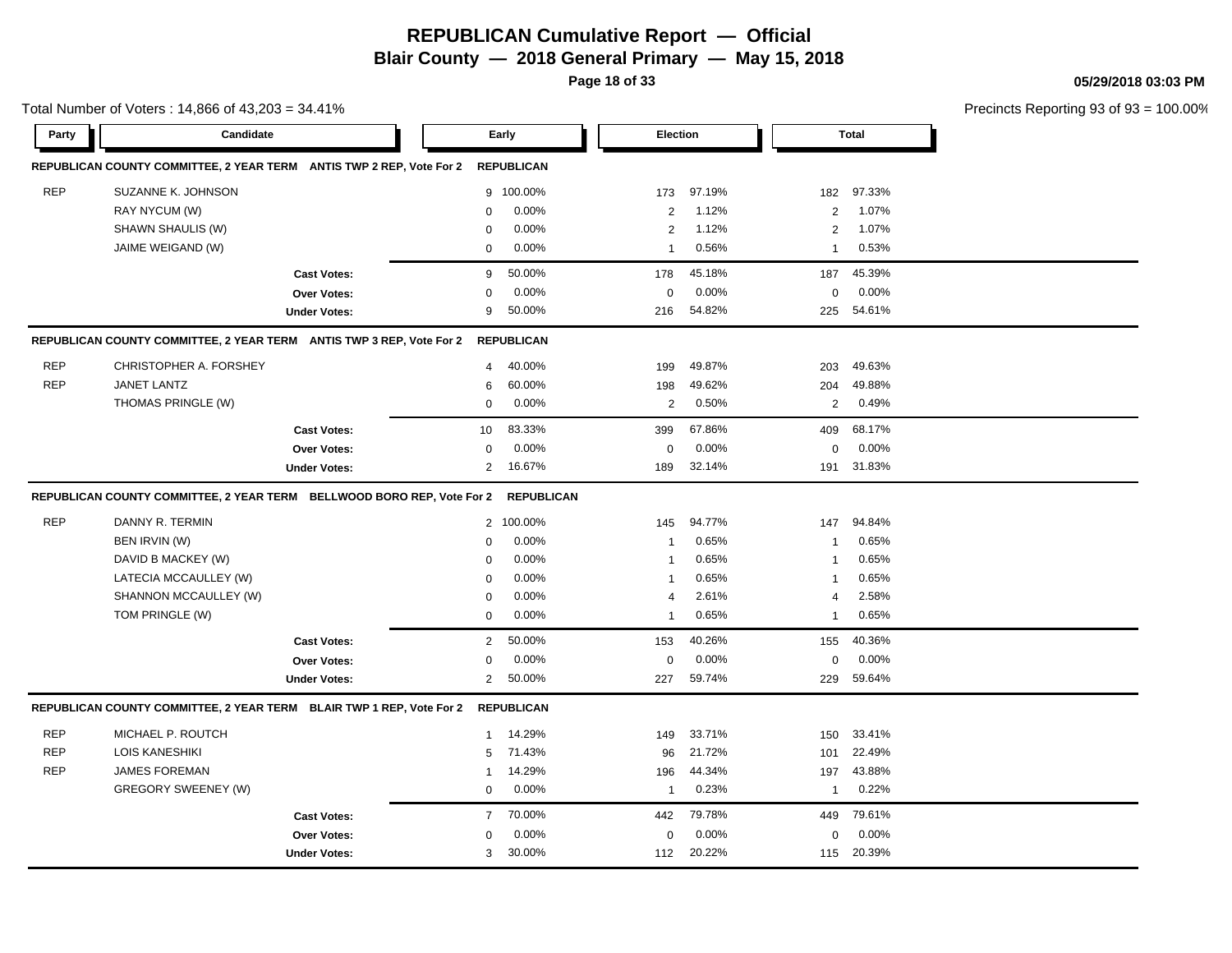**Page 18 of 33**

**05/29/2018 03:03 PM**

|            | Total Number of Voters: 14,866 of 43,203 = 34.41%                      |                     |                |                   |                |        |                |              | Precincts Reporting 93 of 9. |
|------------|------------------------------------------------------------------------|---------------------|----------------|-------------------|----------------|--------|----------------|--------------|------------------------------|
| Party      | Candidate                                                              |                     |                | Early             | Election       |        |                | <b>Total</b> |                              |
|            | REPUBLICAN COUNTY COMMITTEE, 2 YEAR TERM ANTIS TWP 2 REP, Vote For 2   |                     |                | <b>REPUBLICAN</b> |                |        |                |              |                              |
| <b>REP</b> | SUZANNE K. JOHNSON                                                     |                     |                | 9 100.00%         | 173            | 97.19% | 182            | 97.33%       |                              |
|            | RAY NYCUM (W)                                                          |                     | 0              | 0.00%             | $\overline{2}$ | 1.12%  | $\overline{2}$ | 1.07%        |                              |
|            | SHAWN SHAULIS (W)                                                      |                     | $\mathbf 0$    | 0.00%             | $\overline{2}$ | 1.12%  | $\overline{2}$ | 1.07%        |                              |
|            | JAIME WEIGAND (W)                                                      |                     | $\mathbf 0$    | 0.00%             | $\overline{1}$ | 0.56%  | $\overline{1}$ | 0.53%        |                              |
|            |                                                                        | <b>Cast Votes:</b>  | 9              | 50.00%            | 178            | 45.18% | 187            | 45.39%       |                              |
|            |                                                                        | Over Votes:         | 0              | 0.00%             | $\mathbf 0$    | 0.00%  | $\mathbf 0$    | 0.00%        |                              |
|            |                                                                        | <b>Under Votes:</b> | 9              | 50.00%            | 216            | 54.82% | 225            | 54.61%       |                              |
|            | REPUBLICAN COUNTY COMMITTEE, 2 YEAR TERM ANTIS TWP 3 REP, Vote For 2   |                     |                | <b>REPUBLICAN</b> |                |        |                |              |                              |
| <b>REP</b> | CHRISTOPHER A. FORSHEY                                                 |                     | 4              | 40.00%            | 199            | 49.87% | 203            | 49.63%       |                              |
| <b>REP</b> | JANET LANTZ                                                            |                     | 6              | 60.00%            | 198            | 49.62% | 204            | 49.88%       |                              |
|            | THOMAS PRINGLE (W)                                                     |                     | $\mathbf 0$    | 0.00%             | 2              | 0.50%  | 2              | 0.49%        |                              |
|            |                                                                        | <b>Cast Votes:</b>  | 10             | 83.33%            | 399            | 67.86% | 409            | 68.17%       |                              |
|            |                                                                        | <b>Over Votes:</b>  | 0              | 0.00%             | 0              | 0.00%  | $\mathbf 0$    | 0.00%        |                              |
|            |                                                                        | <b>Under Votes:</b> | $\overline{2}$ | 16.67%            | 189            | 32.14% | 191            | 31.83%       |                              |
|            | REPUBLICAN COUNTY COMMITTEE, 2 YEAR TERM BELLWOOD BORO REP, Vote For 2 |                     |                | <b>REPUBLICAN</b> |                |        |                |              |                              |
| <b>REP</b> | DANNY R. TERMIN                                                        |                     |                | 2 100.00%         | 145            | 94.77% | 147            | 94.84%       |                              |
|            | BEN IRVIN (W)                                                          |                     | 0              | 0.00%             | $\overline{1}$ | 0.65%  | $\overline{1}$ | 0.65%        |                              |
|            | DAVID B MACKEY (W)                                                     |                     | 0              | 0.00%             | $\overline{1}$ | 0.65%  | $\overline{1}$ | 0.65%        |                              |
|            | LATECIA MCCAULLEY (W)                                                  |                     | $\Omega$       | 0.00%             | $\overline{1}$ | 0.65%  | $\overline{1}$ | 0.65%        |                              |
|            | SHANNON MCCAULLEY (W)                                                  |                     | 0              | 0.00%             | $\overline{4}$ | 2.61%  | $\overline{4}$ | 2.58%        |                              |
|            | TOM PRINGLE (W)                                                        |                     | 0              | 0.00%             | -1             | 0.65%  | $\overline{1}$ | 0.65%        |                              |
|            |                                                                        | <b>Cast Votes:</b>  | $\overline{2}$ | 50.00%            | 153            | 40.26% | 155            | 40.36%       |                              |
|            |                                                                        | <b>Over Votes:</b>  | $\mathbf 0$    | 0.00%             | $\mathbf 0$    | 0.00%  | $\mathbf 0$    | 0.00%        |                              |
|            |                                                                        | <b>Under Votes:</b> | $\overline{2}$ | 50.00%            | 227            | 59.74% | 229            | 59.64%       |                              |
|            | REPUBLICAN COUNTY COMMITTEE, 2 YEAR TERM BLAIR TWP 1 REP, Vote For 2   |                     |                | <b>REPUBLICAN</b> |                |        |                |              |                              |
| <b>REP</b> | MICHAEL P. ROUTCH                                                      |                     | $\mathbf 1$    | 14.29%            | 149            | 33.71% | 150            | 33.41%       |                              |
| <b>REP</b> | <b>LOIS KANESHIKI</b>                                                  |                     | 5              | 71.43%            | 96             | 21.72% | 101            | 22.49%       |                              |
| <b>REP</b> | <b>JAMES FOREMAN</b>                                                   |                     | 1              | 14.29%            | 196            | 44.34% | 197            | 43.88%       |                              |
|            | <b>GREGORY SWEENEY (W)</b>                                             |                     | $\mathbf 0$    | 0.00%             | $\overline{1}$ | 0.23%  | $\overline{1}$ | 0.22%        |                              |
|            |                                                                        | <b>Cast Votes:</b>  | $\overline{7}$ | 70.00%            | 442            | 79.78% | 449            | 79.61%       |                              |
|            |                                                                        | Over Votes:         | 0              | 0.00%             | 0              | 0.00%  | 0              | 0.00%        |                              |
|            |                                                                        | <b>Under Votes:</b> | 3              | 30.00%            | 112            | 20.22% | 115            | 20.39%       |                              |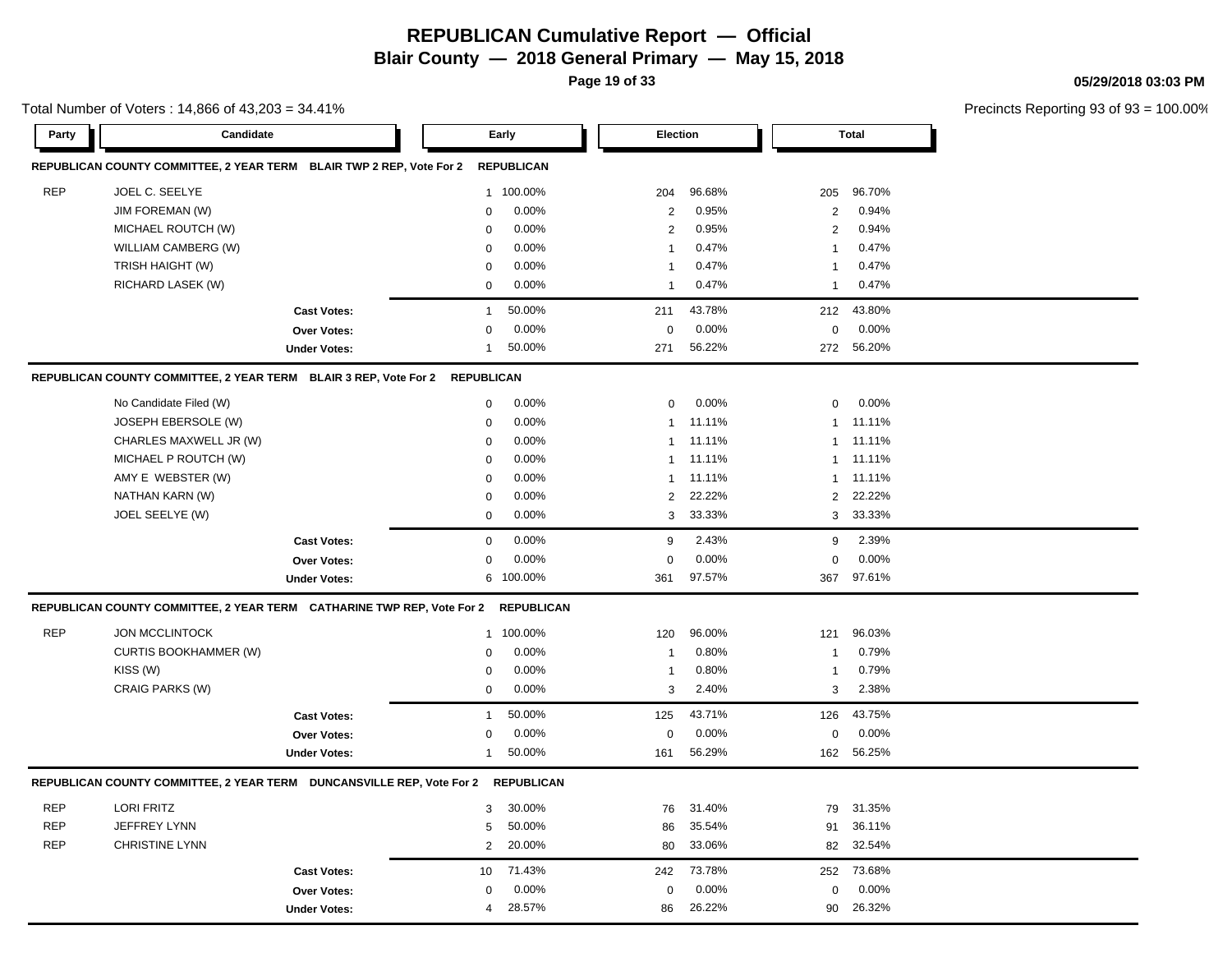**Page 19 of 33**

#### **05/29/2018 03:03 PM**

|            | Total Number of Voters: 14,866 of 43,203 = 34.41%                                |                     |                |                   |                         |          |                |              | Precincts Reporting 93 of 9. |
|------------|----------------------------------------------------------------------------------|---------------------|----------------|-------------------|-------------------------|----------|----------------|--------------|------------------------------|
| Party      | Candidate                                                                        |                     |                | Early             | <b>Election</b>         |          |                | <b>Total</b> |                              |
|            | REPUBLICAN COUNTY COMMITTEE, 2 YEAR TERM BLAIR TWP 2 REP, Vote For 2             |                     |                | <b>REPUBLICAN</b> |                         |          |                |              |                              |
| <b>REP</b> | JOEL C. SEELYE                                                                   |                     |                | 1 100.00%         | 204                     | 96.68%   | 205            | 96.70%       |                              |
|            | JIM FOREMAN (W)                                                                  |                     | 0              | 0.00%             | $\overline{2}$          | 0.95%    | $\overline{2}$ | 0.94%        |                              |
|            | MICHAEL ROUTCH (W)                                                               |                     | 0              | 0.00%             | $\overline{2}$          | 0.95%    | $\overline{2}$ | 0.94%        |                              |
|            | WILLIAM CAMBERG (W)                                                              |                     | $\mathbf 0$    | 0.00%             | $\overline{\mathbf{1}}$ | 0.47%    | -1             | 0.47%        |                              |
|            | TRISH HAIGHT (W)                                                                 |                     | 0              | 0.00%             | -1                      | 0.47%    | $\mathbf{1}$   | 0.47%        |                              |
|            | RICHARD LASEK (W)                                                                |                     | $\mathbf 0$    | 0.00%             | -1                      | 0.47%    | $\mathbf{1}$   | 0.47%        |                              |
|            |                                                                                  | <b>Cast Votes:</b>  | $\overline{1}$ | 50.00%            | 211                     | 43.78%   | 212            | 43.80%       |                              |
|            |                                                                                  | Over Votes:         | 0              | 0.00%             | 0                       | 0.00%    | $\mathbf 0$    | 0.00%        |                              |
|            |                                                                                  | <b>Under Votes:</b> | -1             | 50.00%            | 271                     | 56.22%   | 272            | 56.20%       |                              |
|            | REPUBLICAN COUNTY COMMITTEE, 2 YEAR TERM BLAIR 3 REP, Vote For 2 REPUBLICAN      |                     |                |                   |                         |          |                |              |                              |
|            | No Candidate Filed (W)                                                           |                     | $\mathbf 0$    | 0.00%             | $\mathbf 0$             | $0.00\%$ | 0              | 0.00%        |                              |
|            | JOSEPH EBERSOLE (W)                                                              |                     | $\mathbf 0$    | 0.00%             | $\overline{1}$          | 11.11%   | $\mathbf{1}$   | 11.11%       |                              |
|            | CHARLES MAXWELL JR (W)                                                           |                     | 0              | 0.00%             | $\mathbf{1}$            | 11.11%   | $\mathbf{1}$   | 11.11%       |                              |
|            | MICHAEL P ROUTCH (W)                                                             |                     | $\mathbf 0$    | 0.00%             | $\overline{1}$          | 11.11%   | $\mathbf{1}$   | 11.11%       |                              |
|            | AMY E WEBSTER (W)                                                                |                     | $\mathbf 0$    | 0.00%             | $\overline{1}$          | 11.11%   | $\mathbf{1}$   | 11.11%       |                              |
|            | NATHAN KARN (W)                                                                  |                     | 0              | 0.00%             | $\overline{2}$          | 22.22%   | $\overline{2}$ | 22.22%       |                              |
|            | JOEL SEELYE (W)                                                                  |                     | 0              | 0.00%             | 3                       | 33.33%   |                | 3 33.33%     |                              |
|            |                                                                                  | <b>Cast Votes:</b>  | 0              | 0.00%             | 9                       | 2.43%    | 9              | 2.39%        |                              |
|            |                                                                                  | Over Votes:         | 0              | 0.00%             | $\Omega$                | 0.00%    | 0              | 0.00%        |                              |
|            |                                                                                  | <b>Under Votes:</b> |                | 6 100.00%         | 361                     | 97.57%   |                | 367 97.61%   |                              |
|            | REPUBLICAN COUNTY COMMITTEE, 2 YEAR TERM CATHARINE TWP REP, Vote For 2           |                     |                | <b>REPUBLICAN</b> |                         |          |                |              |                              |
| <b>REP</b> | <b>JON MCCLINTOCK</b>                                                            |                     |                | 1 100.00%         | 120                     | 96.00%   | 121            | 96.03%       |                              |
|            | <b>CURTIS BOOKHAMMER (W)</b>                                                     |                     | 0              | 0.00%             | -1                      | 0.80%    | -1             | 0.79%        |                              |
|            | KISS (W)                                                                         |                     | 0              | 0.00%             | -1                      | 0.80%    | $\mathbf{1}$   | 0.79%        |                              |
|            | CRAIG PARKS (W)                                                                  |                     | 0              | 0.00%             | 3                       | 2.40%    | 3              | 2.38%        |                              |
|            |                                                                                  | <b>Cast Votes:</b>  | -1             | 50.00%            | 125                     | 43.71%   | 126            | 43.75%       |                              |
|            |                                                                                  | Over Votes:         | 0              | 0.00%             | 0                       | 0.00%    | 0              | 0.00%        |                              |
|            |                                                                                  | <b>Under Votes:</b> | -1             | 50.00%            | 161                     | 56.29%   | 162            | 56.25%       |                              |
|            | REPUBLICAN COUNTY COMMITTEE, 2 YEAR TERM DUNCANSVILLE REP, Vote For 2 REPUBLICAN |                     |                |                   |                         |          |                |              |                              |
| <b>REP</b> | <b>LORI FRITZ</b>                                                                |                     | 3              | 30.00%            | 76                      | 31.40%   | 79             | 31.35%       |                              |
| <b>REP</b> | JEFFREY LYNN                                                                     |                     | 5              | 50.00%            | 86                      | 35.54%   | 91             | 36.11%       |                              |
| <b>REP</b> | <b>CHRISTINE LYNN</b>                                                            |                     | $\overline{2}$ | 20.00%            | 80                      | 33.06%   |                | 82 32.54%    |                              |
|            |                                                                                  | <b>Cast Votes:</b>  | 10             | 71.43%            | 242                     | 73.78%   | 252            | 73.68%       |                              |
|            |                                                                                  | Over Votes:         | 0              | 0.00%             | $\mathbf 0$             | 0.00%    | $\mathbf 0$    | 0.00%        |                              |
|            |                                                                                  | <b>Under Votes:</b> | 4              | 28.57%            | 86                      | 26.22%   |                | 90 26.32%    |                              |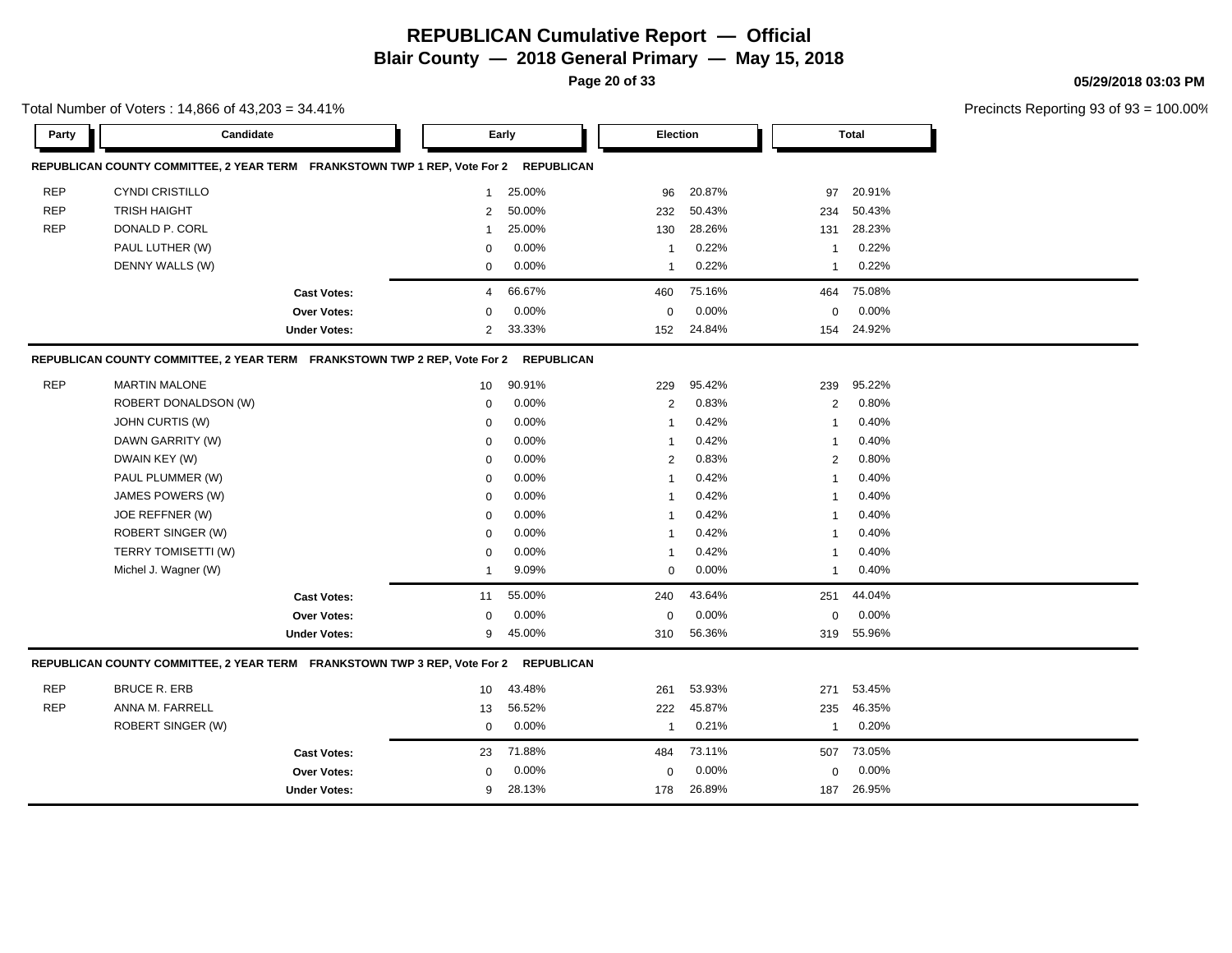**Page 20 of 33**

**05/29/2018 03:03 PM**

|            | Total Number of Voters: 14,866 of 43,203 = 34.41%                                    |                     |                |        |                |        |                |              | Precincts Reporting 93 of 93 |
|------------|--------------------------------------------------------------------------------------|---------------------|----------------|--------|----------------|--------|----------------|--------------|------------------------------|
| Party      | Candidate                                                                            |                     |                | Early  | Election       |        |                | <b>Total</b> |                              |
|            | REPUBLICAN COUNTY COMMITTEE, 2 YEAR TERM FRANKSTOWN TWP 1 REP, Vote For 2 REPUBLICAN |                     |                |        |                |        |                |              |                              |
| <b>REP</b> | <b>CYNDI CRISTILLO</b>                                                               |                     | $\mathbf{1}$   | 25.00% | 96             | 20.87% | 97             | 20.91%       |                              |
| <b>REP</b> | <b>TRISH HAIGHT</b>                                                                  |                     | $\overline{2}$ | 50.00% | 232            | 50.43% | 234            | 50.43%       |                              |
| <b>REP</b> | DONALD P. CORL                                                                       |                     | -1             | 25.00% | 130            | 28.26% | 131            | 28.23%       |                              |
|            | PAUL LUTHER (W)                                                                      |                     | $\Omega$       | 0.00%  | -1             | 0.22%  | -1             | 0.22%        |                              |
|            | DENNY WALLS (W)                                                                      |                     | $\mathbf 0$    | 0.00%  | $\mathbf{1}$   | 0.22%  | $\mathbf{1}$   | 0.22%        |                              |
|            |                                                                                      | <b>Cast Votes:</b>  | 4              | 66.67% | 460            | 75.16% | 464            | 75.08%       |                              |
|            |                                                                                      | Over Votes:         | $\Omega$       | 0.00%  | $\mathbf 0$    | 0.00%  | $\mathbf 0$    | 0.00%        |                              |
|            |                                                                                      | <b>Under Votes:</b> | $\overline{2}$ | 33.33% | 152            | 24.84% | 154            | 24.92%       |                              |
|            | REPUBLICAN COUNTY COMMITTEE, 2 YEAR TERM FRANKSTOWN TWP 2 REP, Vote For 2 REPUBLICAN |                     |                |        |                |        |                |              |                              |
| <b>REP</b> | <b>MARTIN MALONE</b>                                                                 |                     | 10             | 90.91% | 229            | 95.42% | 239            | 95.22%       |                              |
|            | ROBERT DONALDSON (W)                                                                 |                     | $\mathbf 0$    | 0.00%  | $\overline{2}$ | 0.83%  | $\overline{2}$ | 0.80%        |                              |
|            | JOHN CURTIS (W)                                                                      |                     | 0              | 0.00%  | $\overline{1}$ | 0.42%  | -1             | 0.40%        |                              |
|            | DAWN GARRITY (W)                                                                     |                     | 0              | 0.00%  | $\mathbf{1}$   | 0.42%  | -1             | 0.40%        |                              |
|            | DWAIN KEY (W)                                                                        |                     | $\mathbf 0$    | 0.00%  | $\overline{2}$ | 0.83%  | 2              | 0.80%        |                              |
|            | PAUL PLUMMER (W)                                                                     |                     | $\mathbf 0$    | 0.00%  | 1              | 0.42%  | 1              | 0.40%        |                              |
|            | JAMES POWERS (W)                                                                     |                     | $\mathbf 0$    | 0.00%  | $\mathbf{1}$   | 0.42%  | -1             | 0.40%        |                              |
|            | JOE REFFNER (W)                                                                      |                     | $\mathbf 0$    | 0.00%  | 1              | 0.42%  | -1             | 0.40%        |                              |
|            | ROBERT SINGER (W)                                                                    |                     | $\mathbf 0$    | 0.00%  | $\mathbf{1}$   | 0.42%  | $\mathbf{1}$   | 0.40%        |                              |
|            | TERRY TOMISETTI (W)                                                                  |                     | $\mathbf 0$    | 0.00%  | $\mathbf 1$    | 0.42%  | $\mathbf{1}$   | 0.40%        |                              |
|            | Michel J. Wagner (W)                                                                 |                     | $\mathbf{1}$   | 9.09%  | $\mathbf 0$    | 0.00%  | $\mathbf{1}$   | 0.40%        |                              |
|            |                                                                                      | <b>Cast Votes:</b>  | 11             | 55.00% | 240            | 43.64% | 251            | 44.04%       |                              |
|            |                                                                                      | Over Votes:         | $\mathbf 0$    | 0.00%  | $\mathbf 0$    | 0.00%  | $\mathbf 0$    | 0.00%        |                              |
|            |                                                                                      | <b>Under Votes:</b> | 9              | 45.00% | 310            | 56.36% | 319            | 55.96%       |                              |
|            | REPUBLICAN COUNTY COMMITTEE, 2 YEAR TERM FRANKSTOWN TWP 3 REP, Vote For 2 REPUBLICAN |                     |                |        |                |        |                |              |                              |
| <b>REP</b> | <b>BRUCE R. ERB</b>                                                                  |                     | 10             | 43.48% | 261            | 53.93% | 271            | 53.45%       |                              |
| <b>REP</b> | ANNA M. FARRELL                                                                      |                     | 13             | 56.52% | 222            | 45.87% | 235            | 46.35%       |                              |
|            | ROBERT SINGER (W)                                                                    |                     | 0              | 0.00%  | $\mathbf{1}$   | 0.21%  | -1             | 0.20%        |                              |
|            |                                                                                      | <b>Cast Votes:</b>  | 23             | 71.88% | 484            | 73.11% | 507            | 73.05%       |                              |
|            |                                                                                      | Over Votes:         | $\mathbf 0$    | 0.00%  | $\mathbf 0$    | 0.00%  | $\mathbf 0$    | 0.00%        |                              |
|            |                                                                                      | <b>Under Votes:</b> | 9              | 28.13% | 178            | 26.89% | 187            | 26.95%       |                              |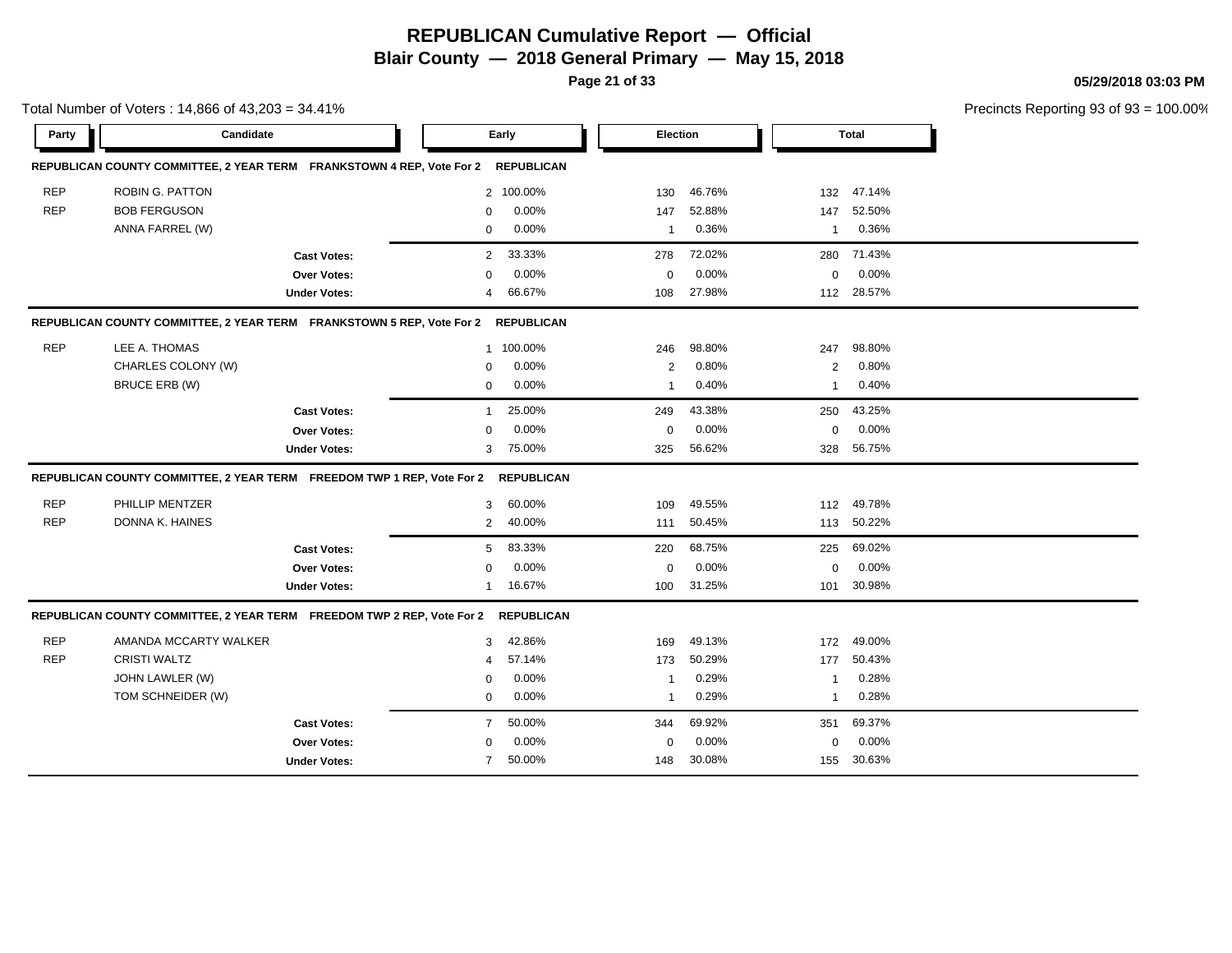**Page 21 of 33**

Total Number of Voters : 14,866 of 43,203 = 34.41%

**05/29/2018 03:03 PM**

| Party      | Candidate                                                              |                     |                | Early             | <b>Election</b> |        |                | Total  |  |
|------------|------------------------------------------------------------------------|---------------------|----------------|-------------------|-----------------|--------|----------------|--------|--|
|            | REPUBLICAN COUNTY COMMITTEE, 2 YEAR TERM FRANKSTOWN 4 REP, Vote For 2  |                     |                | <b>REPUBLICAN</b> |                 |        |                |        |  |
| <b>REP</b> | <b>ROBIN G. PATTON</b>                                                 |                     |                | 2 100.00%         | 130             | 46.76% | 132            | 47.14% |  |
| <b>REP</b> | <b>BOB FERGUSON</b>                                                    |                     | $\mathbf 0$    | 0.00%             | 147             | 52.88% | 147            | 52.50% |  |
|            | ANNA FARREL (W)                                                        |                     | 0              | 0.00%             | $\mathbf{1}$    | 0.36%  | $\overline{1}$ | 0.36%  |  |
|            |                                                                        | <b>Cast Votes:</b>  | $\overline{2}$ | 33.33%            | 278             | 72.02% | 280            | 71.43% |  |
|            |                                                                        | Over Votes:         | 0              | 0.00%             | 0               | 0.00%  | 0              | 0.00%  |  |
|            |                                                                        | <b>Under Votes:</b> | 4              | 66.67%            | 108             | 27.98% | 112            | 28.57% |  |
|            | REPUBLICAN COUNTY COMMITTEE, 2 YEAR TERM FRANKSTOWN 5 REP, Vote For 2  |                     |                | <b>REPUBLICAN</b> |                 |        |                |        |  |
| <b>REP</b> | LEE A. THOMAS                                                          |                     |                | 1 100.00%         | 246             | 98.80% | 247            | 98.80% |  |
|            | CHARLES COLONY (W)                                                     |                     | $\mathbf 0$    | 0.00%             | $\mathbf{2}$    | 0.80%  | $\mathbf{2}$   | 0.80%  |  |
|            | BRUCE ERB (W)                                                          |                     | 0              | 0.00%             | $\mathbf{1}$    | 0.40%  | $\mathbf{1}$   | 0.40%  |  |
|            |                                                                        | <b>Cast Votes:</b>  | $\mathbf{1}$   | 25.00%            | 249             | 43.38% | 250            | 43.25% |  |
|            |                                                                        | <b>Over Votes:</b>  | $\mathbf 0$    | 0.00%             | $\mathbf 0$     | 0.00%  | $\mathbf 0$    | 0.00%  |  |
|            |                                                                        | <b>Under Votes:</b> | 3              | 75.00%            | 325             | 56.62% | 328            | 56.75% |  |
|            | REPUBLICAN COUNTY COMMITTEE, 2 YEAR TERM FREEDOM TWP 1 REP, Vote For 2 |                     |                | <b>REPUBLICAN</b> |                 |        |                |        |  |
| <b>REP</b> | PHILLIP MENTZER                                                        |                     | 3              | 60.00%            | 109             | 49.55% | 112            | 49.78% |  |
| <b>REP</b> | DONNA K. HAINES                                                        |                     | 2              | 40.00%            | 111             | 50.45% | 113            | 50.22% |  |
|            |                                                                        | <b>Cast Votes:</b>  | 5              | 83.33%            | 220             | 68.75% | 225            | 69.02% |  |
|            |                                                                        | Over Votes:         | $\Omega$       | 0.00%             | $\mathbf 0$     | 0.00%  | 0              | 0.00%  |  |
|            |                                                                        | <b>Under Votes:</b> | 1              | 16.67%            | 100             | 31.25% | 101            | 30.98% |  |
|            | REPUBLICAN COUNTY COMMITTEE, 2 YEAR TERM FREEDOM TWP 2 REP, Vote For 2 |                     |                | <b>REPUBLICAN</b> |                 |        |                |        |  |
| <b>REP</b> | AMANDA MCCARTY WALKER                                                  |                     | 3              | 42.86%            | 169             | 49.13% | 172            | 49.00% |  |
| <b>REP</b> | <b>CRISTI WALTZ</b>                                                    |                     | 4              | 57.14%            | 173             | 50.29% | 177            | 50.43% |  |
|            | JOHN LAWLER (W)                                                        |                     | 0              | 0.00%             | $\mathbf{1}$    | 0.29%  | -1             | 0.28%  |  |
|            | TOM SCHNEIDER (W)                                                      |                     | 0              | 0.00%             | -1              | 0.29%  | $\overline{1}$ | 0.28%  |  |
|            |                                                                        | <b>Cast Votes:</b>  | $\overline{7}$ | 50.00%            | 344             | 69.92% | 351            | 69.37% |  |
|            |                                                                        | <b>Over Votes:</b>  | $\Omega$       | 0.00%             | $\mathbf 0$     | 0.00%  | $\mathbf 0$    | 0.00%  |  |
|            |                                                                        | <b>Under Votes:</b> | $\overline{7}$ | 50.00%            | 148             | 30.08% | 155            | 30.63% |  |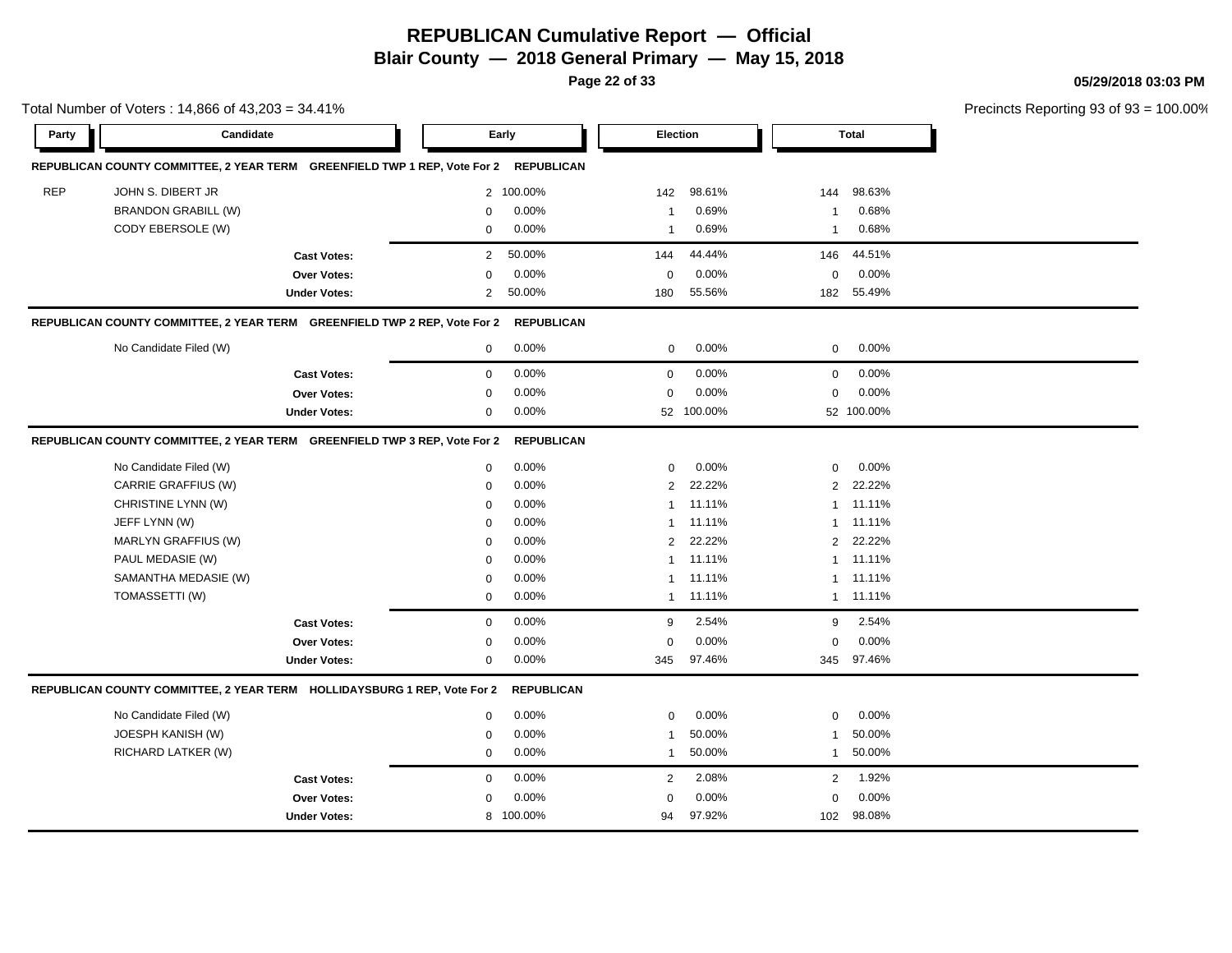**Page 22 of 33**

**05/29/2018 03:03 PM**

|            | Total Number of Voters: 14,866 of 43,203 = 34.41%                         |                     |                |                   |                 |            |                |              | Precincts Reporting 93 of 93 = 100.00% |
|------------|---------------------------------------------------------------------------|---------------------|----------------|-------------------|-----------------|------------|----------------|--------------|----------------------------------------|
| Party      | Candidate                                                                 |                     |                | Early             | <b>Election</b> |            |                | <b>Total</b> |                                        |
|            | REPUBLICAN COUNTY COMMITTEE, 2 YEAR TERM GREENFIELD TWP 1 REP, Vote For 2 |                     |                | <b>REPUBLICAN</b> |                 |            |                |              |                                        |
| <b>REP</b> | JOHN S. DIBERT JR                                                         |                     |                | 2 100.00%         | 142             | 98.61%     | 144            | 98.63%       |                                        |
|            | <b>BRANDON GRABILL (W)</b>                                                |                     | 0              | 0.00%             | -1              | 0.69%      | $\mathbf{1}$   | 0.68%        |                                        |
|            | CODY EBERSOLE (W)                                                         |                     | $\mathbf{0}$   | 0.00%             | $\overline{1}$  | 0.69%      | $\mathbf{1}$   | 0.68%        |                                        |
|            |                                                                           | <b>Cast Votes:</b>  | $\overline{2}$ | 50.00%            | 144             | 44.44%     | 146            | 44.51%       |                                        |
|            |                                                                           | Over Votes:         | 0              | 0.00%             | $\mathbf 0$     | 0.00%      | $\mathbf 0$    | 0.00%        |                                        |
|            |                                                                           | <b>Under Votes:</b> | $\overline{2}$ | 50.00%            | 180             | 55.56%     | 182            | 55.49%       |                                        |
|            | REPUBLICAN COUNTY COMMITTEE, 2 YEAR TERM GREENFIELD TWP 2 REP, Vote For 2 |                     |                | <b>REPUBLICAN</b> |                 |            |                |              |                                        |
|            | No Candidate Filed (W)                                                    |                     | 0              | 0.00%             | $\mathbf{0}$    | 0.00%      | $\mathbf{0}$   | 0.00%        |                                        |
|            |                                                                           | <b>Cast Votes:</b>  | 0              | 0.00%             | $\mathbf 0$     | 0.00%      | $\mathbf 0$    | 0.00%        |                                        |
|            |                                                                           | Over Votes:         | 0              | 0.00%             | $\mathbf 0$     | 0.00%      | $\mathbf 0$    | 0.00%        |                                        |
|            |                                                                           | <b>Under Votes:</b> | 0              | 0.00%             |                 | 52 100.00% |                | 52 100.00%   |                                        |
|            | REPUBLICAN COUNTY COMMITTEE, 2 YEAR TERM GREENFIELD TWP 3 REP, Vote For 2 |                     |                | <b>REPUBLICAN</b> |                 |            |                |              |                                        |
|            | No Candidate Filed (W)                                                    |                     | 0              | 0.00%             | 0               | 0.00%      | $\mathbf 0$    | 0.00%        |                                        |
|            | CARRIE GRAFFIUS (W)                                                       |                     | $\mathbf 0$    | 0.00%             | 2               | 22.22%     | $\overline{2}$ | 22.22%       |                                        |
|            | CHRISTINE LYNN (W)                                                        |                     | 0              | 0.00%             | $\mathbf{1}$    | 11.11%     |                | 1 11.11%     |                                        |
|            | JEFF LYNN (W)                                                             |                     | 0              | 0.00%             | 1               | 11.11%     |                | 1 11.11%     |                                        |
|            | MARLYN GRAFFIUS (W)                                                       |                     | 0              | 0.00%             | $\overline{2}$  | 22.22%     | $2^{\circ}$    | 22.22%       |                                        |
|            | PAUL MEDASIE (W)                                                          |                     | $\mathbf{0}$   | 0.00%             | $\mathbf{1}$    | 11.11%     |                | 1 11.11%     |                                        |
|            | SAMANTHA MEDASIE (W)                                                      |                     | $\mathbf{0}$   | 0.00%             | -1              | 11.11%     |                | 1 11.11%     |                                        |
|            | TOMASSETTI (W)                                                            |                     | 0              | 0.00%             |                 | 1 11.11%   |                | 1 11.11%     |                                        |
|            |                                                                           | <b>Cast Votes:</b>  | 0              | 0.00%             | 9               | 2.54%      | 9              | 2.54%        |                                        |
|            |                                                                           | Over Votes:         | 0              | 0.00%             | $\mathbf 0$     | 0.00%      | $\mathbf 0$    | 0.00%        |                                        |
|            |                                                                           | <b>Under Votes:</b> | 0              | 0.00%             | 345             | 97.46%     |                | 345 97.46%   |                                        |
|            | REPUBLICAN COUNTY COMMITTEE, 2 YEAR TERM HOLLIDAYSBURG 1 REP, Vote For 2  |                     |                | <b>REPUBLICAN</b> |                 |            |                |              |                                        |
|            | No Candidate Filed (W)                                                    |                     | 0              | 0.00%             | $\mathbf 0$     | 0.00%      | $\mathbf 0$    | 0.00%        |                                        |
|            | JOESPH KANISH (W)                                                         |                     | $\mathbf{0}$   | 0.00%             | -1              | 50.00%     | $\mathbf{1}$   | 50.00%       |                                        |
|            | RICHARD LATKER (W)                                                        |                     | $\mathbf 0$    | 0.00%             | $\mathbf{1}$    | 50.00%     | $\mathbf{1}$   | 50.00%       |                                        |
|            |                                                                           | <b>Cast Votes:</b>  | 0              | 0.00%             | $\overline{2}$  | 2.08%      | $\overline{2}$ | 1.92%        |                                        |
|            |                                                                           | <b>Over Votes:</b>  | 0              | 0.00%             | $\mathbf 0$     | 0.00%      | $\mathbf 0$    | 0.00%        |                                        |
|            |                                                                           | <b>Under Votes:</b> |                | 8 100.00%         | 94              | 97.92%     | 102            | 98.08%       |                                        |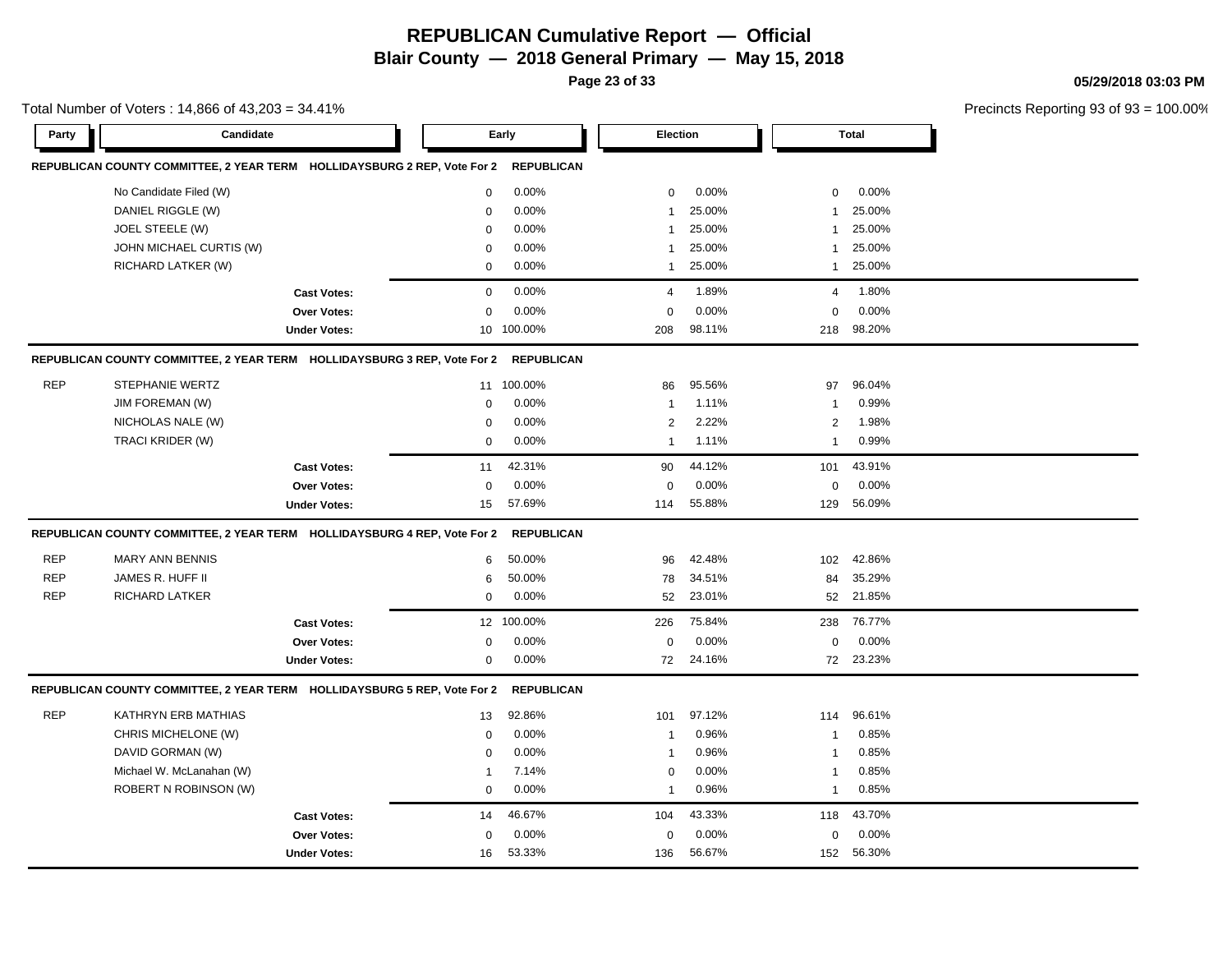**Page 23 of 33**

**05/29/2018 03:03 PM**

|            | Total Number of Voters: 14,866 of 43,203 = 34.41%                        |                     |             |                   |                         |        |                |              | Precincts Reporting 93 of 93 |
|------------|--------------------------------------------------------------------------|---------------------|-------------|-------------------|-------------------------|--------|----------------|--------------|------------------------------|
| Party      | Candidate                                                                |                     |             | Early             | Election                |        |                | <b>Total</b> |                              |
|            | REPUBLICAN COUNTY COMMITTEE, 2 YEAR TERM HOLLIDAYSBURG 2 REP, Vote For 2 |                     |             | <b>REPUBLICAN</b> |                         |        |                |              |                              |
|            | No Candidate Filed (W)                                                   |                     | 0           | 0.00%             | 0                       | 0.00%  | 0              | 0.00%        |                              |
|            | DANIEL RIGGLE (W)                                                        |                     | $\mathbf 0$ | 0.00%             | 1                       | 25.00% | 1              | 25.00%       |                              |
|            | JOEL STEELE (W)                                                          |                     | $\mathbf 0$ | 0.00%             | 1                       | 25.00% | 1              | 25.00%       |                              |
|            | JOHN MICHAEL CURTIS (W)                                                  |                     | $\Omega$    | 0.00%             | 1                       | 25.00% | 1              | 25.00%       |                              |
|            | RICHARD LATKER (W)                                                       |                     | $\pmb{0}$   | 0.00%             | $\mathbf{1}$            | 25.00% | $\mathbf{1}$   | 25.00%       |                              |
|            |                                                                          | <b>Cast Votes:</b>  | $\mathbf 0$ | 0.00%             | $\overline{4}$          | 1.89%  | $\overline{4}$ | 1.80%        |                              |
|            |                                                                          | <b>Over Votes:</b>  | $\Omega$    | 0.00%             | $\Omega$                | 0.00%  | $\mathbf 0$    | 0.00%        |                              |
|            |                                                                          | <b>Under Votes:</b> | 10          | 100.00%           | 208                     | 98.11% | 218            | 98.20%       |                              |
|            | REPUBLICAN COUNTY COMMITTEE, 2 YEAR TERM HOLLIDAYSBURG 3 REP, Vote For 2 |                     |             | <b>REPUBLICAN</b> |                         |        |                |              |                              |
| <b>REP</b> | <b>STEPHANIE WERTZ</b>                                                   |                     | 11          | 100.00%           | 86                      | 95.56% | 97             | 96.04%       |                              |
|            | JIM FOREMAN (W)                                                          |                     | $\mathbf 0$ | 0.00%             | $\mathbf{1}$            | 1.11%  | $\mathbf{1}$   | 0.99%        |                              |
|            | NICHOLAS NALE (W)                                                        |                     | 0           | 0.00%             | $\overline{\mathbf{c}}$ | 2.22%  | $\overline{c}$ | 1.98%        |                              |
|            | TRACI KRIDER (W)                                                         |                     | $\mathbf 0$ | 0.00%             | $\mathbf{1}$            | 1.11%  | $\mathbf{1}$   | 0.99%        |                              |
|            |                                                                          | <b>Cast Votes:</b>  | 11          | 42.31%            | 90                      | 44.12% | 101            | 43.91%       |                              |
|            |                                                                          | Over Votes:         | $\mathbf 0$ | 0.00%             | 0                       | 0.00%  | 0              | 0.00%        |                              |
|            |                                                                          | <b>Under Votes:</b> | 15          | 57.69%            | 114                     | 55.88% | 129            | 56.09%       |                              |
|            | REPUBLICAN COUNTY COMMITTEE, 2 YEAR TERM HOLLIDAYSBURG 4 REP, Vote For 2 |                     |             | <b>REPUBLICAN</b> |                         |        |                |              |                              |
| <b>REP</b> | <b>MARY ANN BENNIS</b>                                                   |                     | 6           | 50.00%            | 96                      | 42.48% | 102            | 42.86%       |                              |
| <b>REP</b> | JAMES R. HUFF II                                                         |                     | 6           | 50.00%            | 78                      | 34.51% | 84             | 35.29%       |                              |
| <b>REP</b> | RICHARD LATKER                                                           |                     | $\mathbf 0$ | 0.00%             | 52                      | 23.01% | 52             | 21.85%       |                              |
|            |                                                                          | <b>Cast Votes:</b>  |             | 12 100.00%        | 226                     | 75.84% | 238            | 76.77%       |                              |
|            |                                                                          | <b>Over Votes:</b>  | 0           | 0.00%             | $\mathbf 0$             | 0.00%  | 0              | 0.00%        |                              |
|            |                                                                          | <b>Under Votes:</b> | $\mathbf 0$ | 0.00%             | 72                      | 24.16% |                | 72 23.23%    |                              |
|            | REPUBLICAN COUNTY COMMITTEE, 2 YEAR TERM HOLLIDAYSBURG 5 REP, Vote For 2 |                     |             | <b>REPUBLICAN</b> |                         |        |                |              |                              |
| <b>REP</b> | KATHRYN ERB MATHIAS                                                      |                     | 13          | 92.86%            | 101                     | 97.12% | 114            | 96.61%       |                              |
|            | CHRIS MICHELONE (W)                                                      |                     | $\mathbf 0$ | 0.00%             | $\mathbf{1}$            | 0.96%  | $\mathbf{1}$   | 0.85%        |                              |
|            | DAVID GORMAN (W)                                                         |                     | $\mathbf 0$ | 0.00%             | 1                       | 0.96%  | $\mathbf{1}$   | 0.85%        |                              |
|            | Michael W. McLanahan (W)                                                 |                     | -1          | 7.14%             | $\mathbf 0$             | 0.00%  | $\mathbf{1}$   | 0.85%        |                              |
|            | ROBERT N ROBINSON (W)                                                    |                     | $\mathbf 0$ | 0.00%             | $\mathbf{1}$            | 0.96%  | $\mathbf{1}$   | 0.85%        |                              |
|            |                                                                          | <b>Cast Votes:</b>  | 14          | 46.67%            | 104                     | 43.33% | 118            | 43.70%       |                              |
|            |                                                                          | <b>Over Votes:</b>  | 0           | 0.00%             | 0                       | 0.00%  | 0              | 0.00%        |                              |
|            |                                                                          | <b>Under Votes:</b> | 16          | 53.33%            | 136                     | 56.67% | 152            | 56.30%       |                              |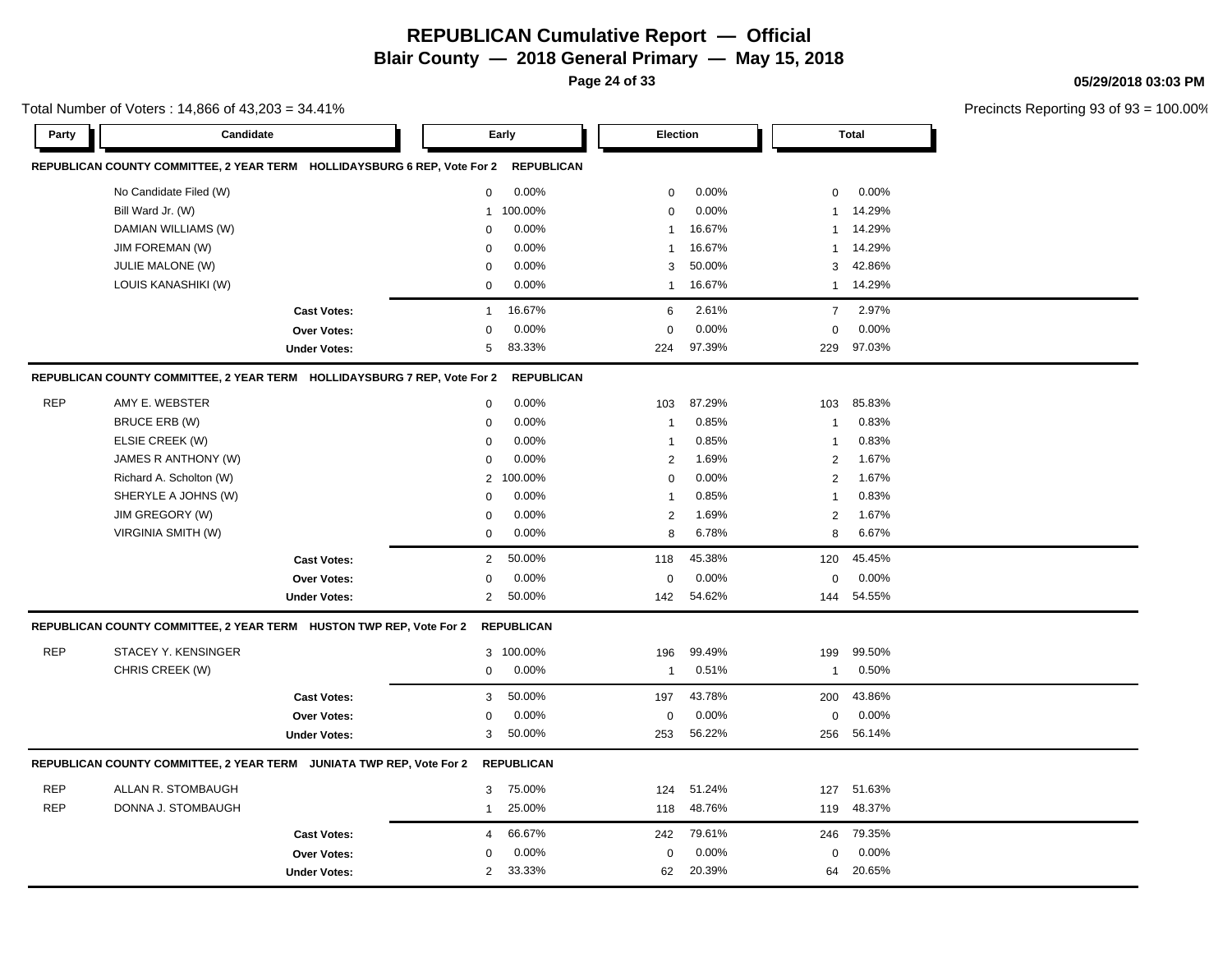**Page 24 of 33**

**05/29/2018 03:03 PM**

|            | Total Number of Voters: 14,866 of 43,203 = 34.41%                        |                     |                |                   |                |        |                |              | Precincts Reporting 93 of 93 |
|------------|--------------------------------------------------------------------------|---------------------|----------------|-------------------|----------------|--------|----------------|--------------|------------------------------|
| Party      | Candidate                                                                |                     |                | Early             | Election       |        |                | <b>Total</b> |                              |
|            | REPUBLICAN COUNTY COMMITTEE, 2 YEAR TERM HOLLIDAYSBURG 6 REP, Vote For 2 |                     |                | <b>REPUBLICAN</b> |                |        |                |              |                              |
|            | No Candidate Filed (W)                                                   |                     | $\mathbf 0$    | 0.00%             | $\mathbf 0$    | 0.00%  | $\mathbf 0$    | 0.00%        |                              |
|            | Bill Ward Jr. (W)                                                        |                     | $\mathbf{1}$   | 100.00%           | 0              | 0.00%  | -1             | 14.29%       |                              |
|            | DAMIAN WILLIAMS (W)                                                      |                     | $\mathbf 0$    | 0.00%             | -1             | 16.67% | -1             | 14.29%       |                              |
|            | <b>JIM FOREMAN (W)</b>                                                   |                     | $\Omega$       | 0.00%             | $\mathbf{1}$   | 16.67% | -1             | 14.29%       |                              |
|            | JULIE MALONE (W)                                                         |                     | $\mathbf 0$    | 0.00%             | 3              | 50.00% | 3              | 42.86%       |                              |
|            | LOUIS KANASHIKI (W)                                                      |                     | $\mathbf 0$    | 0.00%             | 1              | 16.67% | $\mathbf{1}$   | 14.29%       |                              |
|            |                                                                          | <b>Cast Votes:</b>  | $\mathbf{1}$   | 16.67%            | 6              | 2.61%  | $\overline{7}$ | 2.97%        |                              |
|            |                                                                          | Over Votes:         | 0              | 0.00%             | $\mathbf 0$    | 0.00%  | $\mathbf 0$    | 0.00%        |                              |
|            |                                                                          | <b>Under Votes:</b> | 5              | 83.33%            | 224            | 97.39% | 229            | 97.03%       |                              |
|            | REPUBLICAN COUNTY COMMITTEE, 2 YEAR TERM HOLLIDAYSBURG 7 REP, Vote For 2 |                     |                | <b>REPUBLICAN</b> |                |        |                |              |                              |
| <b>REP</b> | AMY E. WEBSTER                                                           |                     | 0              | 0.00%             | 103            | 87.29% | 103            | 85.83%       |                              |
|            | <b>BRUCE ERB (W)</b>                                                     |                     | $\mathbf 0$    | 0.00%             | $\mathbf{1}$   | 0.85%  |                | 0.83%        |                              |
|            | ELSIE CREEK (W)                                                          |                     | $\Omega$       | 0.00%             | $\overline{1}$ | 0.85%  | -1             | 0.83%        |                              |
|            | JAMES R ANTHONY (W)                                                      |                     | $\Omega$       | 0.00%             | $\overline{c}$ | 1.69%  | $\overline{2}$ | 1.67%        |                              |
|            | Richard A. Scholton (W)                                                  |                     | 2              | 100.00%           | 0              | 0.00%  | 2              | 1.67%        |                              |
|            | SHERYLE A JOHNS (W)                                                      |                     | $\Omega$       | 0.00%             | -1             | 0.85%  | -1             | 0.83%        |                              |
|            | JIM GREGORY (W)                                                          |                     | $\mathbf 0$    | 0.00%             | $\overline{c}$ | 1.69%  | $\overline{2}$ | 1.67%        |                              |
|            | <b>VIRGINIA SMITH (W)</b>                                                |                     | $\mathbf 0$    | 0.00%             | 8              | 6.78%  | 8              | 6.67%        |                              |
|            |                                                                          | <b>Cast Votes:</b>  | 2              | 50.00%            | 118            | 45.38% | 120            | 45.45%       |                              |
|            |                                                                          | Over Votes:         | $\Omega$       | 0.00%             | $\mathbf 0$    | 0.00%  | $\Omega$       | 0.00%        |                              |
|            |                                                                          | <b>Under Votes:</b> | $\overline{2}$ | 50.00%            | 142            | 54.62% | 144            | 54.55%       |                              |
|            | REPUBLICAN COUNTY COMMITTEE, 2 YEAR TERM HUSTON TWP REP, Vote For 2      |                     |                | <b>REPUBLICAN</b> |                |        |                |              |                              |
| <b>REP</b> | STACEY Y. KENSINGER                                                      |                     | 3              | 100.00%           | 196            | 99.49% | 199            | 99.50%       |                              |
|            | CHRIS CREEK (W)                                                          |                     | 0              | 0.00%             | $\mathbf{1}$   | 0.51%  | -1             | 0.50%        |                              |
|            |                                                                          | <b>Cast Votes:</b>  | 3              | 50.00%            | 197            | 43.78% | 200            | 43.86%       |                              |
|            |                                                                          | Over Votes:         | $\Omega$       | 0.00%             | 0              | 0.00%  | 0              | 0.00%        |                              |
|            |                                                                          | <b>Under Votes:</b> | 3              | 50.00%            | 253            | 56.22% | 256            | 56.14%       |                              |
|            | REPUBLICAN COUNTY COMMITTEE, 2 YEAR TERM JUNIATA TWP REP, Vote For 2     |                     |                | <b>REPUBLICAN</b> |                |        |                |              |                              |
| <b>REP</b> | ALLAN R. STOMBAUGH                                                       |                     | 3              | 75.00%            | 124            | 51.24% | 127            | 51.63%       |                              |
| <b>REP</b> | DONNA J. STOMBAUGH                                                       |                     | 1              | 25.00%            | 118            | 48.76% | 119            | 48.37%       |                              |
|            |                                                                          | <b>Cast Votes:</b>  | 4              | 66.67%            | 242            | 79.61% | 246            | 79.35%       |                              |
|            |                                                                          | Over Votes:         | 0              | 0.00%             | 0              | 0.00%  | 0              | 0.00%        |                              |
|            |                                                                          | <b>Under Votes:</b> | $\overline{c}$ | 33.33%            | 62             | 20.39% | 64             | 20.65%       |                              |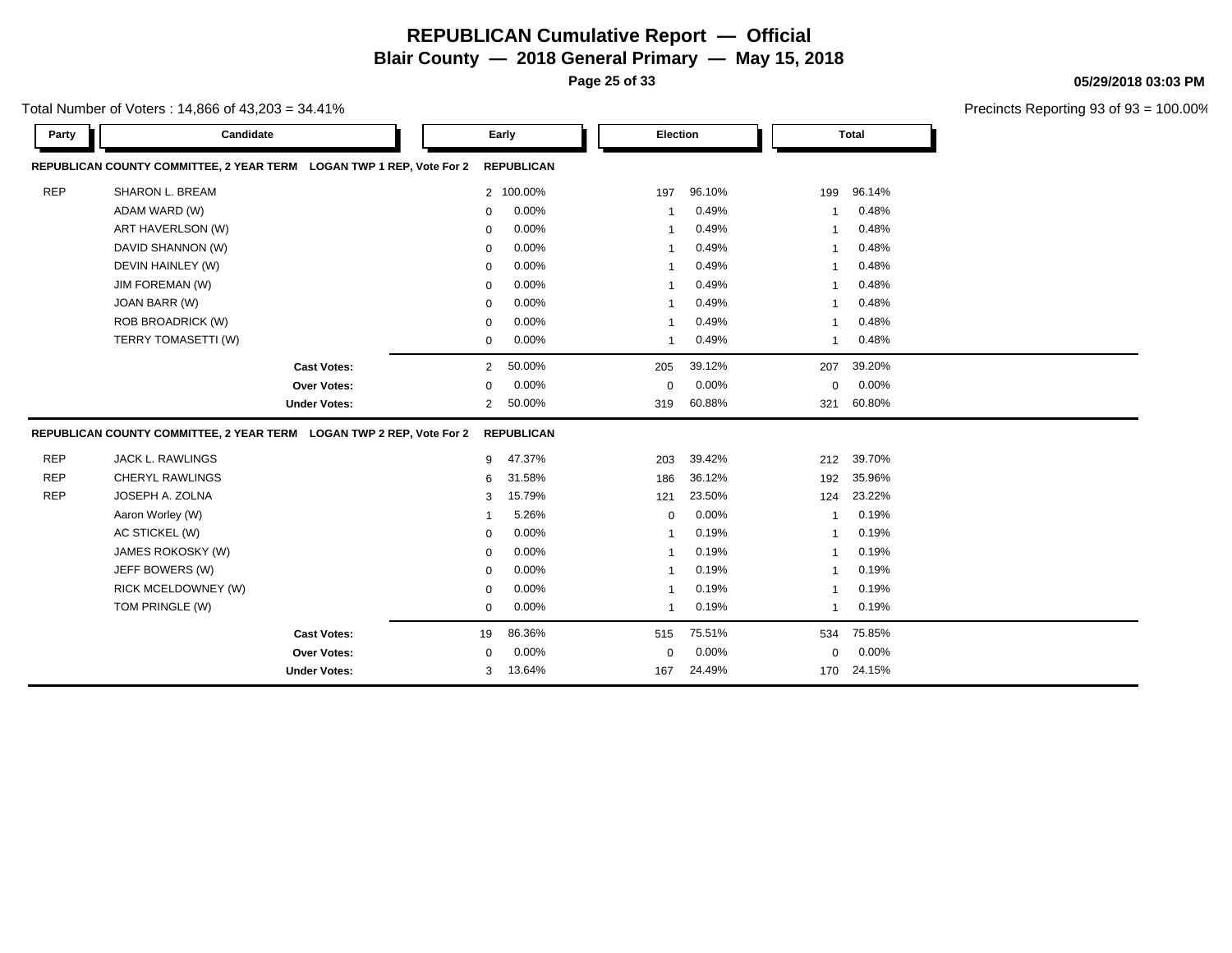**Page 25 of 33**

**05/29/2018 03:03 PM**

| Total Number of Voters : 14,866 of 43,203 = 34.41% |
|----------------------------------------------------|
|----------------------------------------------------|

| Party      | Candidate                                                            |                     |                | Early             | Election       |        |                         | <b>Total</b> |
|------------|----------------------------------------------------------------------|---------------------|----------------|-------------------|----------------|--------|-------------------------|--------------|
|            | REPUBLICAN COUNTY COMMITTEE, 2 YEAR TERM LOGAN TWP 1 REP, Vote For 2 |                     |                | <b>REPUBLICAN</b> |                |        |                         |              |
| <b>REP</b> | SHARON L. BREAM                                                      |                     |                | 2 100.00%         | 197            | 96.10% | 199                     | 96.14%       |
|            | ADAM WARD (W)                                                        |                     | $\Omega$       | 0.00%             | -1             | 0.49%  | -1                      | 0.48%        |
|            | ART HAVERLSON (W)                                                    |                     | $\Omega$       | 0.00%             | -1             | 0.49%  | $\overline{1}$          | 0.48%        |
|            | DAVID SHANNON (W)                                                    |                     | $\Omega$       | 0.00%             |                | 0.49%  |                         | 0.48%        |
|            | DEVIN HAINLEY (W)                                                    |                     | $\Omega$       | 0.00%             | $\mathbf 1$    | 0.49%  | $\mathbf 1$             | 0.48%        |
|            | JIM FOREMAN (W)                                                      |                     | $\Omega$       | 0.00%             | $\mathbf{1}$   | 0.49%  | $\mathbf 1$             | 0.48%        |
|            | JOAN BARR (W)                                                        |                     | $\Omega$       | 0.00%             | $\overline{1}$ | 0.49%  | $\overline{1}$          | 0.48%        |
|            | ROB BROADRICK (W)                                                    |                     | $\Omega$       | 0.00%             | -1             | 0.49%  | $\mathbf{1}$            | 0.48%        |
|            | TERRY TOMASETTI (W)                                                  |                     | 0              | 0.00%             | -1             | 0.49%  | $\mathbf{1}$            | 0.48%        |
|            |                                                                      | <b>Cast Votes:</b>  | $\overline{2}$ | 50.00%            | 205            | 39.12% | 207                     | 39.20%       |
|            |                                                                      | Over Votes:         | $\Omega$       | 0.00%             | $\mathbf 0$    | 0.00%  | $\mathbf 0$             | 0.00%        |
|            |                                                                      | <b>Under Votes:</b> | $\overline{2}$ | 50.00%            | 319            | 60.88% | 321                     | 60.80%       |
|            | REPUBLICAN COUNTY COMMITTEE, 2 YEAR TERM LOGAN TWP 2 REP, Vote For 2 |                     |                | <b>REPUBLICAN</b> |                |        |                         |              |
| <b>REP</b> | <b>JACK L. RAWLINGS</b>                                              |                     | 9              | 47.37%            | 203            | 39.42% | 212                     | 39.70%       |
| <b>REP</b> | <b>CHERYL RAWLINGS</b>                                               |                     | 6              | 31.58%            | 186            | 36.12% | 192                     | 35.96%       |
| <b>REP</b> | JOSEPH A. ZOLNA                                                      |                     | 3              | 15.79%            | 121            | 23.50% | 124                     | 23.22%       |
|            | Aaron Worley (W)                                                     |                     | -1             | 5.26%             | $\mathbf 0$    | 0.00%  | -1                      | 0.19%        |
|            | AC STICKEL (W)                                                       |                     | $\Omega$       | 0.00%             | $\mathbf{1}$   | 0.19%  | $\overline{1}$          | 0.19%        |
|            | JAMES ROKOSKY (W)                                                    |                     | $\Omega$       | 0.00%             | -1             | 0.19%  | $\overline{\mathbf{1}}$ | 0.19%        |
|            | JEFF BOWERS (W)                                                      |                     | $\Omega$       | 0.00%             | -1             | 0.19%  | $\mathbf 1$             | 0.19%        |
|            | RICK MCELDOWNEY (W)                                                  |                     | 0              | 0.00%             | -1             | 0.19%  | $\overline{1}$          | 0.19%        |
|            | TOM PRINGLE (W)                                                      |                     | $\mathbf 0$    | 0.00%             | $\mathbf{1}$   | 0.19%  | $\overline{1}$          | 0.19%        |
|            |                                                                      | <b>Cast Votes:</b>  | 19             | 86.36%            | 515            | 75.51% | 534                     | 75.85%       |
|            |                                                                      | Over Votes:         | $\mathbf 0$    | 0.00%             | $\mathbf 0$    | 0.00%  | $\mathbf 0$             | 0.00%        |
|            |                                                                      | <b>Under Votes:</b> | 3              | 13.64%            | 167            | 24.49% | 170                     | 24.15%       |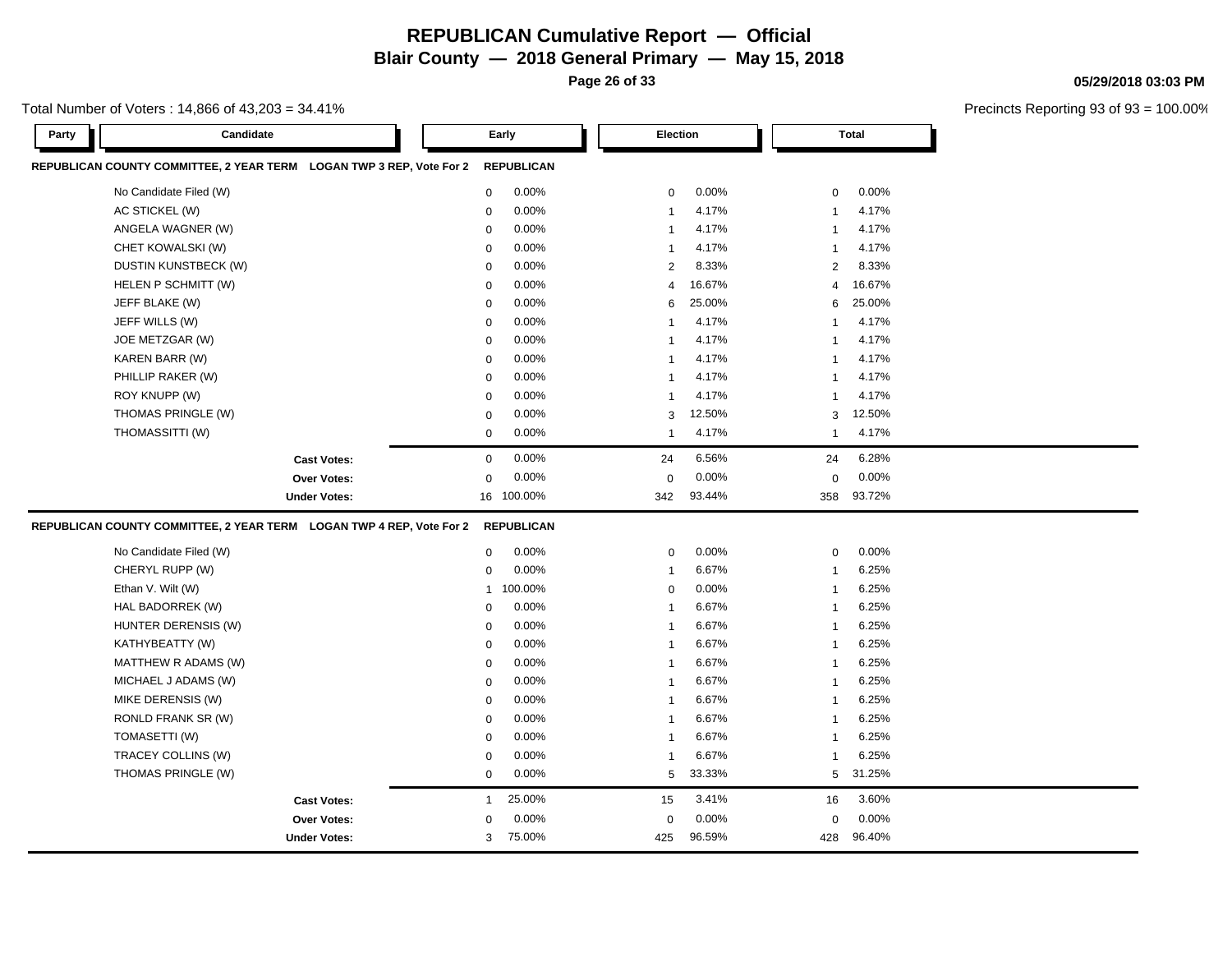**Page 26 of 33**

**05/29/2018 03:03 PM**

| Total Number of Voters : 14,866 of 43,203 = 34.41% |  |
|----------------------------------------------------|--|
|----------------------------------------------------|--|

| Party | Candidate                                                            |                     |              | Early             | <b>Election</b> |        |              | <b>Total</b> |  |
|-------|----------------------------------------------------------------------|---------------------|--------------|-------------------|-----------------|--------|--------------|--------------|--|
|       | REPUBLICAN COUNTY COMMITTEE, 2 YEAR TERM LOGAN TWP 3 REP, Vote For 2 |                     |              | <b>REPUBLICAN</b> |                 |        |              |              |  |
|       | No Candidate Filed (W)                                               |                     | $\mathbf 0$  | 0.00%             | $\mathbf 0$     | 0.00%  | $\mathbf 0$  | 0.00%        |  |
|       | AC STICKEL (W)                                                       |                     | $\mathbf 0$  | 0.00%             | $\mathbf{1}$    | 4.17%  | $\mathbf{1}$ | 4.17%        |  |
|       | ANGELA WAGNER (W)                                                    |                     | $\mathbf 0$  | 0.00%             | $\mathbf{1}$    | 4.17%  | $\mathbf{1}$ | 4.17%        |  |
|       | CHET KOWALSKI (W)                                                    |                     | $\mathbf 0$  | 0.00%             | $\mathbf{1}$    | 4.17%  | $\mathbf{1}$ | 4.17%        |  |
|       | DUSTIN KUNSTBECK (W)                                                 |                     | $\mathbf 0$  | 0.00%             | 2               | 8.33%  | 2            | 8.33%        |  |
|       | HELEN P SCHMITT (W)                                                  |                     | $\mathbf 0$  | 0.00%             | $\overline{4}$  | 16.67% | 4            | 16.67%       |  |
|       | JEFF BLAKE (W)                                                       |                     | $\mathbf 0$  | 0.00%             | 6               | 25.00% | 6            | 25.00%       |  |
|       | JEFF WILLS (W)                                                       |                     | $\mathbf 0$  | 0.00%             | $\mathbf{1}$    | 4.17%  | 1            | 4.17%        |  |
|       | JOE METZGAR (W)                                                      |                     | $\mathbf 0$  | 0.00%             | $\mathbf{1}$    | 4.17%  | -1           | 4.17%        |  |
|       | KAREN BARR (W)                                                       |                     | $\mathbf 0$  | 0.00%             | $\mathbf{1}$    | 4.17%  | -1           | 4.17%        |  |
|       | PHILLIP RAKER (W)                                                    |                     | $\mathbf 0$  | 0.00%             | $\mathbf{1}$    | 4.17%  | $\mathbf{1}$ | 4.17%        |  |
|       | ROY KNUPP (W)                                                        |                     | $\mathbf 0$  | 0.00%             | $\mathbf{1}$    | 4.17%  | -1           | 4.17%        |  |
|       | THOMAS PRINGLE (W)                                                   |                     | $\mathbf 0$  | $0.00\%$          | 3               | 12.50% | 3            | 12.50%       |  |
|       | THOMASSITTI (W)                                                      |                     | $\mathbf 0$  | 0.00%             | $\mathbf{1}$    | 4.17%  | $\mathbf{1}$ | 4.17%        |  |
|       |                                                                      |                     |              |                   |                 |        |              | 6.28%        |  |
|       |                                                                      | <b>Cast Votes:</b>  | $\mathbf 0$  | 0.00%             | 24              | 6.56%  | 24           |              |  |
|       |                                                                      | Over Votes:         | $\mathbf 0$  | 0.00%             | $\mathbf 0$     | 0.00%  | $\mathbf 0$  | 0.00%        |  |
|       |                                                                      | <b>Under Votes:</b> |              | 16 100.00%        | 342             | 93.44% | 358          | 93.72%       |  |
|       | REPUBLICAN COUNTY COMMITTEE, 2 YEAR TERM LOGAN TWP 4 REP, Vote For 2 |                     |              | <b>REPUBLICAN</b> |                 |        |              |              |  |
|       | No Candidate Filed (W)                                               |                     | $\mathbf 0$  | 0.00%             | $\mathbf 0$     | 0.00%  | $\mathbf 0$  | 0.00%        |  |
|       | CHERYL RUPP (W)                                                      |                     | $\mathbf 0$  | 0.00%             | $\mathbf{1}$    | 6.67%  | $\mathbf{1}$ | 6.25%        |  |
|       | Ethan V. Wilt (W)                                                    |                     |              | 1 100.00%         | $\mathbf 0$     | 0.00%  | $\mathbf{1}$ | 6.25%        |  |
|       | HAL BADORREK (W)                                                     |                     | $\mathbf 0$  | 0.00%             | $\mathbf{1}$    | 6.67%  | $\mathbf{1}$ | 6.25%        |  |
|       | HUNTER DERENSIS (W)                                                  |                     | $\mathbf 0$  | 0.00%             | $\mathbf{1}$    | 6.67%  | $\mathbf{1}$ | 6.25%        |  |
|       | KATHYBEATTY (W)                                                      |                     | $\mathbf 0$  | 0.00%             | $\mathbf{1}$    | 6.67%  | $\mathbf{1}$ | 6.25%        |  |
|       | MATTHEW R ADAMS (W)                                                  |                     | $\mathbf 0$  | 0.00%             | $\mathbf{1}$    | 6.67%  | $\mathbf{1}$ | 6.25%        |  |
|       | MICHAEL J ADAMS (W)                                                  |                     | $\mathbf 0$  | 0.00%             | $\mathbf{1}$    | 6.67%  | $\mathbf{1}$ | 6.25%        |  |
|       | MIKE DERENSIS (W)                                                    |                     | $\mathbf 0$  | 0.00%             | $\mathbf{1}$    | 6.67%  | $\mathbf{1}$ | 6.25%        |  |
|       | RONLD FRANK SR (W)                                                   |                     | $\mathbf 0$  | 0.00%             | $\mathbf{1}$    | 6.67%  | -1           | 6.25%        |  |
|       | TOMASETTI (W)                                                        |                     | $\mathbf 0$  | 0.00%             | $\mathbf{1}$    | 6.67%  | $\mathbf{1}$ | 6.25%        |  |
|       | TRACEY COLLINS (W)                                                   |                     | $\mathbf 0$  | 0.00%             | $\mathbf{1}$    | 6.67%  | $\mathbf{1}$ | 6.25%        |  |
|       | THOMAS PRINGLE (W)                                                   |                     | $\mathbf 0$  | 0.00%             | 5               | 33.33% | 5            | 31.25%       |  |
|       |                                                                      | <b>Cast Votes:</b>  | $\mathbf{1}$ | 25.00%            | 15              | 3.41%  | 16           | 3.60%        |  |
|       |                                                                      | <b>Over Votes:</b>  | 0            | 0.00%             | 0               | 0.00%  | 0            | 0.00%        |  |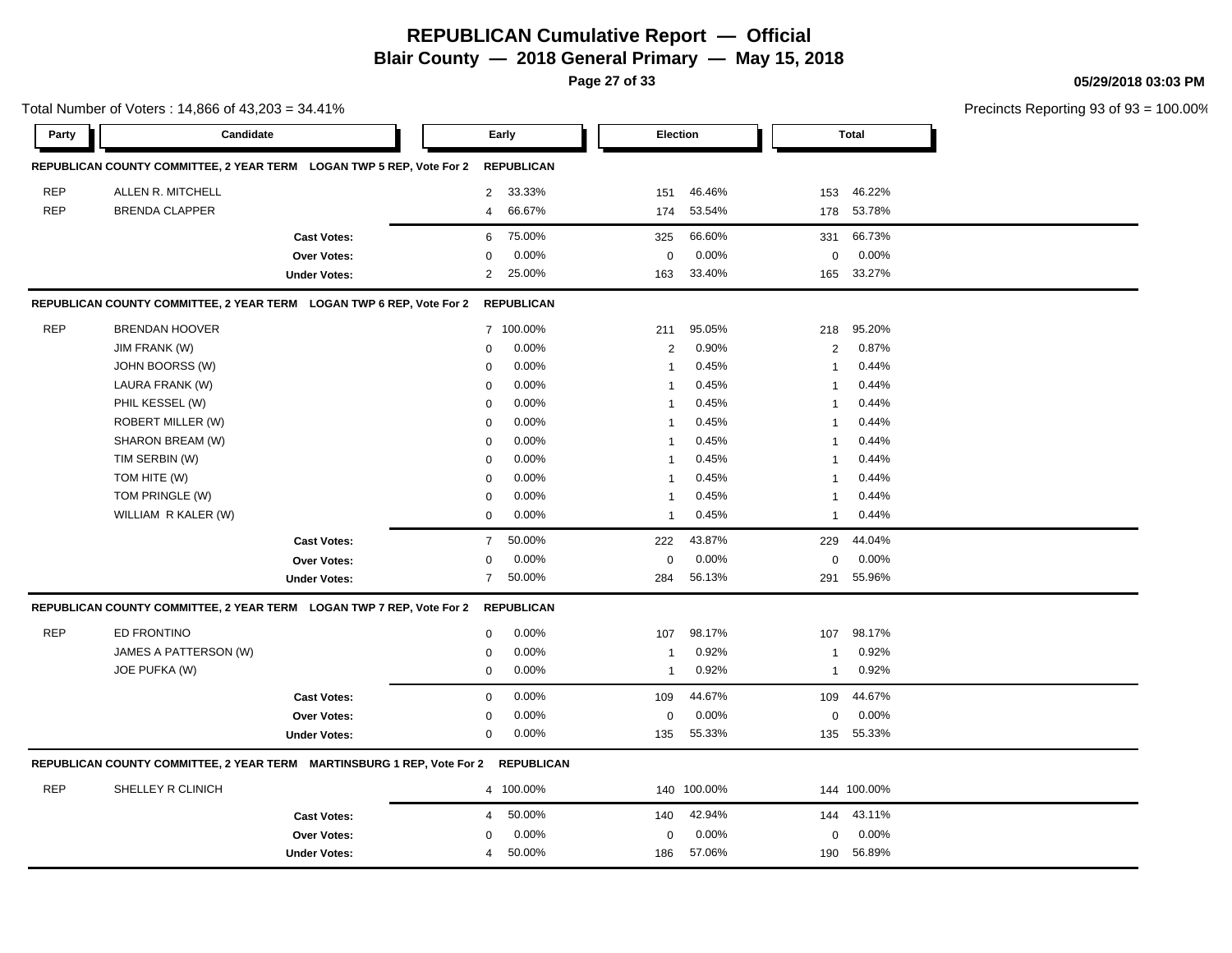**Page 27 of 33**

**05/29/2018 03:03 PM**

|            | Total Number of Voters: 14,866 of 43,203 = 34.41%                      |                     |                |                   |                         |             |        |                         |              | Precincts Reporting 93 of 9: |
|------------|------------------------------------------------------------------------|---------------------|----------------|-------------------|-------------------------|-------------|--------|-------------------------|--------------|------------------------------|
| Party      | Candidate                                                              |                     |                | Early             |                         | Election    |        |                         | <b>Total</b> |                              |
|            | REPUBLICAN COUNTY COMMITTEE, 2 YEAR TERM LOGAN TWP 5 REP, Vote For 2   |                     |                | <b>REPUBLICAN</b> |                         |             |        |                         |              |                              |
| <b>REP</b> | ALLEN R. MITCHELL                                                      |                     | $\overline{2}$ | 33.33%            | 151                     |             | 46.46% | 153                     | 46.22%       |                              |
| <b>REP</b> | <b>BRENDA CLAPPER</b>                                                  |                     | $\overline{4}$ | 66.67%            | 174                     |             | 53.54% | 178                     | 53.78%       |                              |
|            |                                                                        | <b>Cast Votes:</b>  | 6              | 75.00%            | 325                     |             | 66.60% | 331                     | 66.73%       |                              |
|            |                                                                        | <b>Over Votes:</b>  | $\mathbf 0$    | 0.00%             | $\mathbf 0$             |             | 0.00%  | $\mathbf 0$             | 0.00%        |                              |
|            |                                                                        | <b>Under Votes:</b> | $\overline{2}$ | 25.00%            | 163                     |             | 33.40% |                         | 165 33.27%   |                              |
|            | REPUBLICAN COUNTY COMMITTEE, 2 YEAR TERM LOGAN TWP 6 REP, Vote For 2   |                     |                | <b>REPUBLICAN</b> |                         |             |        |                         |              |                              |
| <b>REP</b> | <b>BRENDAN HOOVER</b>                                                  |                     |                | 7 100.00%         | 211                     |             | 95.05% | 218                     | 95.20%       |                              |
|            | JIM FRANK (W)                                                          |                     | 0              | 0.00%             | $\sqrt{2}$              |             | 0.90%  | $\overline{2}$          | 0.87%        |                              |
|            | JOHN BOORSS (W)                                                        |                     | 0              | 0.00%             | $\overline{1}$          |             | 0.45%  | $\mathbf{1}$            | 0.44%        |                              |
|            | LAURA FRANK (W)                                                        |                     | 0              | 0.00%             | $\overline{1}$          |             | 0.45%  | $\mathbf{1}$            | 0.44%        |                              |
|            | PHIL KESSEL (W)                                                        |                     | $\Omega$       | 0.00%             | $\overline{1}$          |             | 0.45%  | $\overline{1}$          | 0.44%        |                              |
|            | ROBERT MILLER (W)                                                      |                     | $\mathsf 0$    | 0.00%             | $\overline{1}$          |             | 0.45%  | $\overline{\mathbf{1}}$ | 0.44%        |                              |
|            | SHARON BREAM (W)                                                       |                     | $\mathbf 0$    | 0.00%             | $\overline{\mathbf{1}}$ |             | 0.45%  | -1                      | 0.44%        |                              |
|            | TIM SERBIN (W)                                                         |                     | $\mathbf 0$    | 0.00%             | $\overline{\mathbf{1}}$ |             | 0.45%  | -1                      | 0.44%        |                              |
|            | TOM HITE (W)                                                           |                     | $\mathbf 0$    | 0.00%             | $\overline{1}$          |             | 0.45%  | -1                      | 0.44%        |                              |
|            | TOM PRINGLE (W)                                                        |                     | 0              | 0.00%             | $\overline{1}$          |             | 0.45%  | -1                      | 0.44%        |                              |
|            | WILLIAM R KALER (W)                                                    |                     | $\mathbf 0$    | 0.00%             | $\overline{1}$          |             | 0.45%  | $\mathbf{1}$            | 0.44%        |                              |
|            |                                                                        | <b>Cast Votes:</b>  | $\overline{7}$ | 50.00%            | 222                     |             | 43.87% | 229                     | 44.04%       |                              |
|            |                                                                        | Over Votes:         | 0              | 0.00%             | $\mathbf 0$             |             | 0.00%  | $\mathbf 0$             | 0.00%        |                              |
|            |                                                                        | <b>Under Votes:</b> | $\overline{7}$ | 50.00%            | 284                     |             | 56.13% | 291                     | 55.96%       |                              |
|            | REPUBLICAN COUNTY COMMITTEE, 2 YEAR TERM LOGAN TWP 7 REP, Vote For 2   |                     |                | <b>REPUBLICAN</b> |                         |             |        |                         |              |                              |
| <b>REP</b> | ED FRONTINO                                                            |                     | 0              | 0.00%             | 107                     |             | 98.17% | 107                     | 98.17%       |                              |
|            | JAMES A PATTERSON (W)                                                  |                     | $\mathsf 0$    | 0.00%             | $\overline{1}$          |             | 0.92%  | $\overline{1}$          | 0.92%        |                              |
|            | JOE PUFKA (W)                                                          |                     | $\mathbf 0$    | 0.00%             | $\overline{1}$          |             | 0.92%  | $\overline{1}$          | 0.92%        |                              |
|            |                                                                        | <b>Cast Votes:</b>  | $\mathbf 0$    | 0.00%             | 109                     |             | 44.67% | 109                     | 44.67%       |                              |
|            |                                                                        | <b>Over Votes:</b>  | 0              | 0.00%             | 0                       |             | 0.00%  | $\mathbf 0$             | 0.00%        |                              |
|            |                                                                        | <b>Under Votes:</b> | 0              | 0.00%             | 135                     |             | 55.33% |                         | 135 55.33%   |                              |
|            | REPUBLICAN COUNTY COMMITTEE, 2 YEAR TERM MARTINSBURG 1 REP, Vote For 2 |                     |                | <b>REPUBLICAN</b> |                         |             |        |                         |              |                              |
| <b>REP</b> | SHELLEY R CLINICH                                                      |                     |                | 4 100.00%         |                         | 140 100.00% |        |                         | 144 100.00%  |                              |
|            |                                                                        | <b>Cast Votes:</b>  | $\overline{4}$ | 50.00%            | 140                     |             | 42.94% | 144                     | 43.11%       |                              |
|            |                                                                        | Over Votes:         | $\Omega$       | 0.00%             | $\Omega$                |             | 0.00%  | $\Omega$                | 0.00%        |                              |
|            |                                                                        | <b>Under Votes:</b> | 4              | 50.00%            | 186                     |             | 57.06% | 190                     | 56.89%       |                              |
|            |                                                                        |                     |                |                   |                         |             |        |                         |              |                              |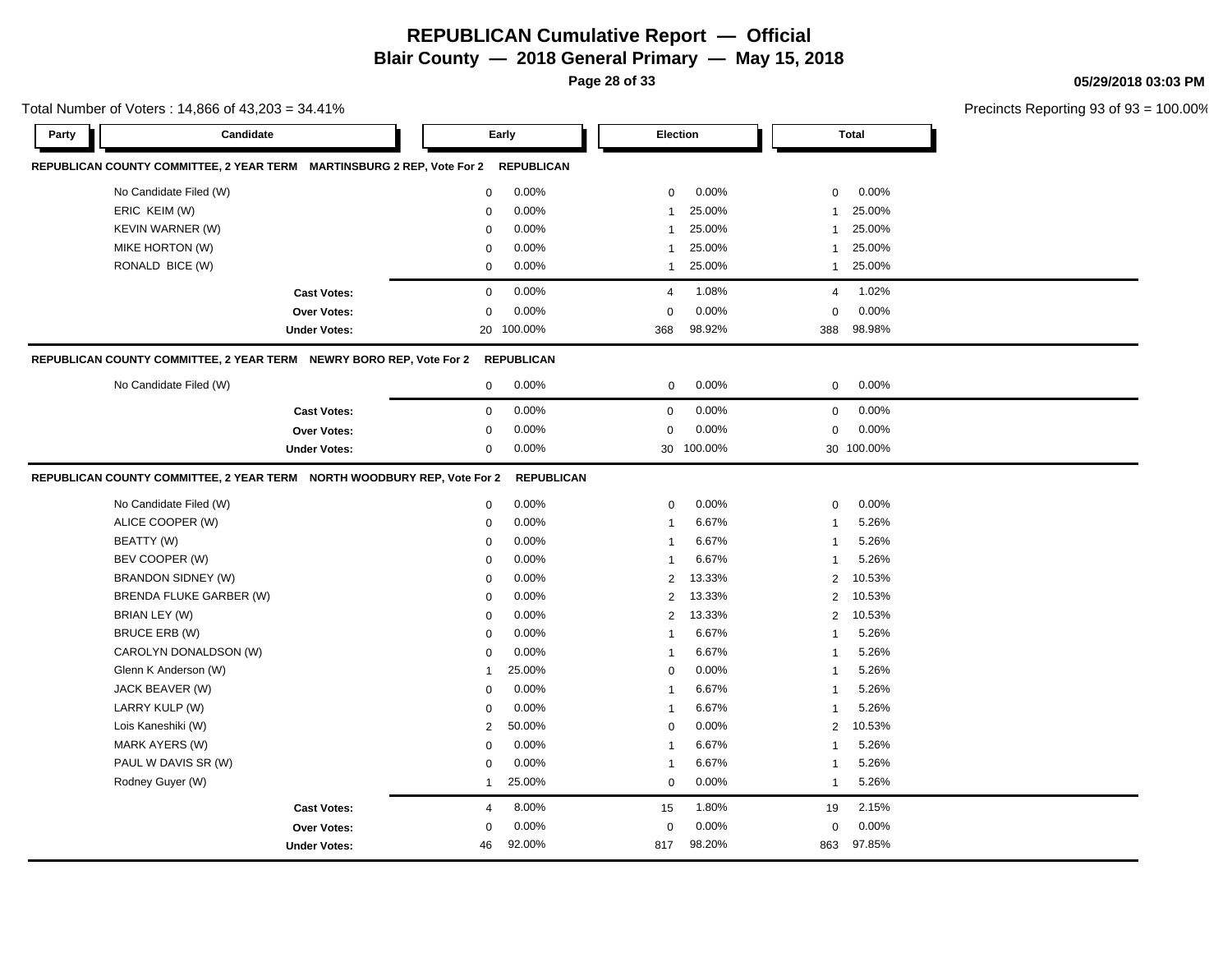**Page 28 of 33**

**05/29/2018 03:03 PM**

|            | Total Number of Voters: 14,866 of 43,203 = 34.41%                        |                |                   |                |            |                |              | Precincts Reporting 93 of 93 |
|------------|--------------------------------------------------------------------------|----------------|-------------------|----------------|------------|----------------|--------------|------------------------------|
| Party      | Candidate                                                                |                | Early             | Election       |            |                | <b>Total</b> |                              |
|            | REPUBLICAN COUNTY COMMITTEE, 2 YEAR TERM MARTINSBURG 2 REP, Vote For 2   |                | <b>REPUBLICAN</b> |                |            |                |              |                              |
|            | No Candidate Filed (W)                                                   | 0              | 0.00%             | 0              | 0.00%      | 0              | $0.00\%$     |                              |
|            | ERIC KEIM (W)                                                            | 0              | 0.00%             | $\mathbf 1$    | 25.00%     | -1             | 25.00%       |                              |
|            | <b>KEVIN WARNER (W)</b>                                                  | $\Omega$       | 0.00%             | $\mathbf{1}$   | 25.00%     | $\overline{1}$ | 25.00%       |                              |
|            | MIKE HORTON (W)                                                          | $\Omega$       | 0.00%             | $\mathbf{1}$   | 25.00%     | $\mathbf{1}$   | 25.00%       |                              |
|            | RONALD BICE (W)                                                          | 0              | 0.00%             | 1              | 25.00%     | $\mathbf{1}$   | 25.00%       |                              |
|            | <b>Cast Votes:</b>                                                       | $\mathbf 0$    | 0.00%             | 4              | 1.08%      | $\overline{4}$ | 1.02%        |                              |
|            | Over Votes:                                                              | $\Omega$       | 0.00%             | $\mathbf 0$    | 0.00%      | $\mathbf 0$    | 0.00%        |                              |
|            | <b>Under Votes:</b>                                                      |                | 20 100.00%        | 368            | 98.92%     | 388            | 98.98%       |                              |
|            | REPUBLICAN COUNTY COMMITTEE, 2 YEAR TERM NEWRY BORO REP, Vote For 2      |                | <b>REPUBLICAN</b> |                |            |                |              |                              |
|            | No Candidate Filed (W)                                                   | $\mathbf 0$    | 0.00%             | $\mathbf 0$    | 0.00%      | 0              | 0.00%        |                              |
|            | <b>Cast Votes:</b>                                                       | $\mathbf 0$    | 0.00%             | $\mathbf 0$    | 0.00%      | 0              | 0.00%        |                              |
|            | Over Votes:                                                              | 0              | 0.00%             | $\pmb{0}$      | 0.00%      | $\mathsf 0$    | 0.00%        |                              |
|            | <b>Under Votes:</b>                                                      | 0              | 0.00%             |                | 30 100.00% |                | 30 100.00%   |                              |
|            | REPUBLICAN COUNTY COMMITTEE, 2 YEAR TERM  NORTH WOODBURY REP, Vote For 2 |                | <b>REPUBLICAN</b> |                |            |                |              |                              |
|            | No Candidate Filed (W)                                                   | $\mathbf 0$    | 0.00%             | $\mathbf 0$    | 0.00%      | 0              | 0.00%        |                              |
|            | ALICE COOPER (W)                                                         | $\mathbf 0$    | 0.00%             | $\mathbf{1}$   | 6.67%      | $\mathbf{1}$   | 5.26%        |                              |
| BEATTY (W) |                                                                          | 0              | 0.00%             | $\mathbf{1}$   | 6.67%      | $\mathbf{1}$   | 5.26%        |                              |
|            | BEV COOPER (W)                                                           | 0              | 0.00%             | $\overline{1}$ | 6.67%      | $\mathbf{1}$   | 5.26%        |                              |
|            | BRANDON SIDNEY (W)                                                       | 0              | 0.00%             | 2              | 13.33%     | 2              | 10.53%       |                              |
|            | BRENDA FLUKE GARBER (W)                                                  | 0              | 0.00%             | 2              | 13.33%     | 2              | 10.53%       |                              |
|            | BRIAN LEY (W)                                                            | $\Omega$       | 0.00%             | $\overline{2}$ | 13.33%     | $\overline{2}$ | 10.53%       |                              |
|            | BRUCE ERB (W)                                                            | 0              | 0.00%             | $\overline{1}$ | 6.67%      | $\overline{1}$ | 5.26%        |                              |
|            | CAROLYN DONALDSON (W)                                                    | $\mathbf 0$    | 0.00%             | $\mathbf{1}$   | 6.67%      | $\mathbf{1}$   | 5.26%        |                              |
|            | Glenn K Anderson (W)                                                     | $\mathbf{1}$   | 25.00%            | $\mathbf 0$    | 0.00%      | $\mathbf{1}$   | 5.26%        |                              |
|            | JACK BEAVER (W)                                                          | 0              | 0.00%             | $\mathbf 1$    | 6.67%      | -1             | 5.26%        |                              |
|            | LARRY KULP (W)                                                           | $\Omega$       | 0.00%             | $\overline{1}$ | 6.67%      | $\overline{1}$ | 5.26%        |                              |
|            | Lois Kaneshiki (W)                                                       | $\overline{2}$ | 50.00%            | $\Omega$       | 0.00%      | $\overline{2}$ | 10.53%       |                              |
|            | MARK AYERS (W)                                                           | $\mathbf 0$    | 0.00%             | $\mathbf{1}$   | 6.67%      | $\mathbf{1}$   | 5.26%        |                              |
|            | PAUL W DAVIS SR (W)                                                      | 0              | 0.00%             | $\overline{1}$ | 6.67%      | $\overline{1}$ | 5.26%        |                              |
|            | Rodney Guyer (W)                                                         | $\overline{1}$ | 25.00%            | $\Omega$       | 0.00%      | $\overline{1}$ | 5.26%        |                              |
|            | <b>Cast Votes:</b>                                                       | 4              | 8.00%             | 15             | 1.80%      | 19             | 2.15%        |                              |
|            | <b>Over Votes:</b>                                                       | 0              | 0.00%             | 0              | 0.00%      | 0              | 0.00%        |                              |
|            | <b>Under Votes:</b>                                                      | 46             | 92.00%            | 817            | 98.20%     | 863            | 97.85%       |                              |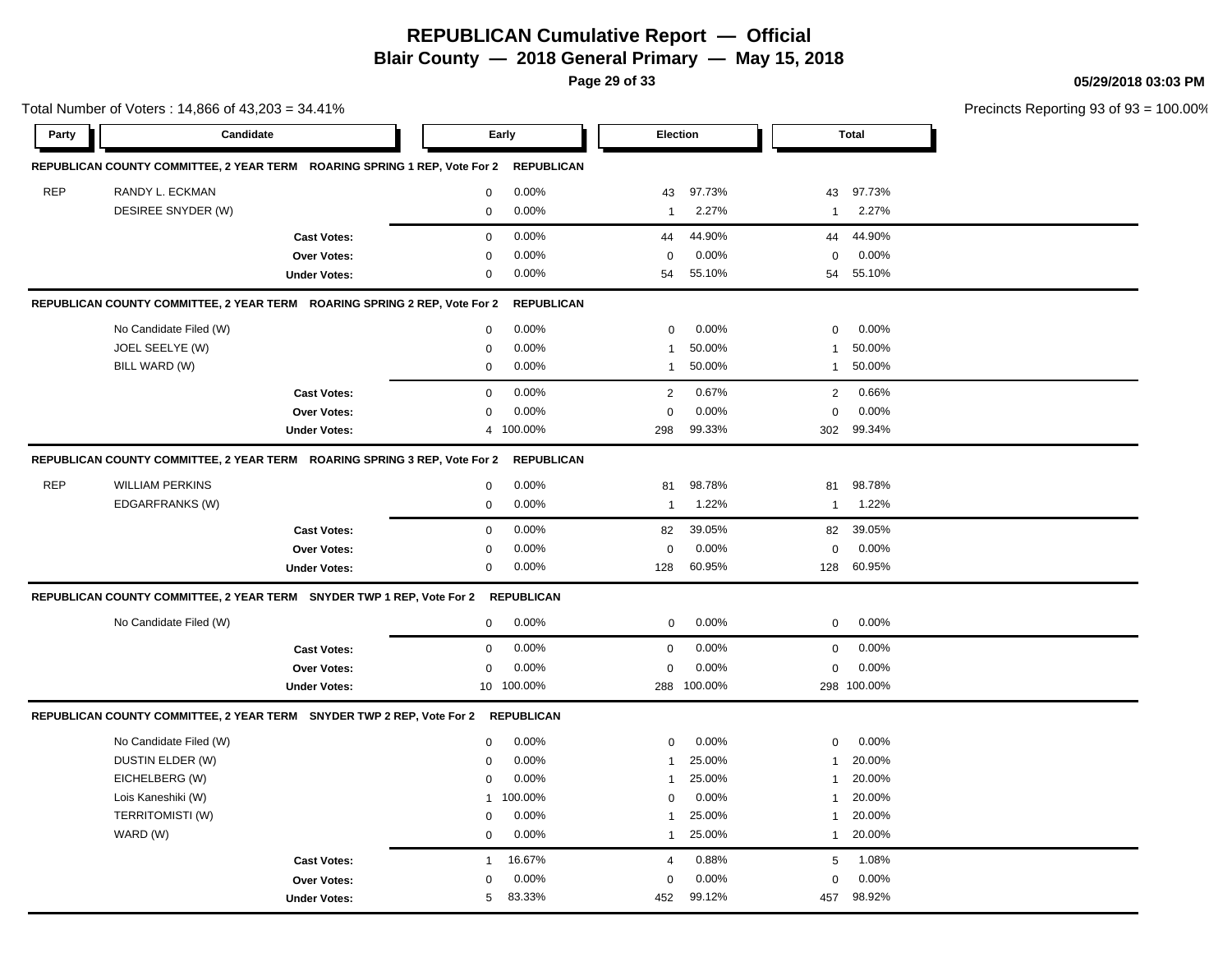**Page 29 of 33**

**05/29/2018 03:03 PM**

|            | Total Number of Voters: 14,866 of 43,203 = 34.41%                                |                     |              |                   |                |             |              |              | Precincts Reporting 93 of 93 |
|------------|----------------------------------------------------------------------------------|---------------------|--------------|-------------------|----------------|-------------|--------------|--------------|------------------------------|
| Party      | Candidate                                                                        |                     |              | Early             |                | Election    |              | <b>Total</b> |                              |
|            | REPUBLICAN COUNTY COMMITTEE, 2 YEAR TERM ROARING SPRING 1 REP, Vote For 2        |                     |              | <b>REPUBLICAN</b> |                |             |              |              |                              |
| <b>REP</b> | RANDY L. ECKMAN                                                                  |                     | $\mathbf 0$  | 0.00%             | 43             | 97.73%      | 43           | 97.73%       |                              |
|            | DESIREE SNYDER (W)                                                               |                     | 0            | 0.00%             | 1              | 2.27%       | $\mathbf{1}$ | 2.27%        |                              |
|            |                                                                                  | <b>Cast Votes:</b>  | $\mathbf 0$  | 0.00%             | 44             | 44.90%      | 44           | 44.90%       |                              |
|            |                                                                                  | <b>Over Votes:</b>  | $\mathbf 0$  | 0.00%             | $\mathbf 0$    | 0.00%       | 0            | 0.00%        |                              |
|            |                                                                                  | <b>Under Votes:</b> | $\pmb{0}$    | 0.00%             | 54             | 55.10%      | 54           | 55.10%       |                              |
|            | REPUBLICAN COUNTY COMMITTEE, 2 YEAR TERM ROARING SPRING 2 REP, Vote For 2        |                     |              | <b>REPUBLICAN</b> |                |             |              |              |                              |
|            | No Candidate Filed (W)                                                           |                     | $\mathbf 0$  | 0.00%             | $\mathbf 0$    | 0.00%       | $\mathbf 0$  | 0.00%        |                              |
|            | JOEL SEELYE (W)                                                                  |                     | $\mathbf 0$  | 0.00%             | 1              | 50.00%      | $\mathbf{1}$ | 50.00%       |                              |
|            | BILL WARD (W)                                                                    |                     | $\mathbf 0$  | 0.00%             | $\mathbf{1}$   | 50.00%      | $\mathbf{1}$ | 50.00%       |                              |
|            |                                                                                  | <b>Cast Votes:</b>  | $\mathbf 0$  | 0.00%             | 2              | 0.67%       | 2            | 0.66%        |                              |
|            |                                                                                  | <b>Over Votes:</b>  | $\mathbf 0$  | 0.00%             | $\Omega$       | 0.00%       | $\mathsf 0$  | 0.00%        |                              |
|            |                                                                                  | <b>Under Votes:</b> |              | 4 100.00%         | 298            | 99.33%      | 302          | 99.34%       |                              |
|            | REPUBLICAN COUNTY COMMITTEE, 2 YEAR TERM ROARING SPRING 3 REP, Vote For 2        |                     |              | <b>REPUBLICAN</b> |                |             |              |              |                              |
| <b>REP</b> | <b>WILLIAM PERKINS</b>                                                           |                     | 0            | 0.00%             | 81             | 98.78%      | 81           | 98.78%       |                              |
|            | EDGARFRANKS (W)                                                                  |                     | $\mathbf 0$  | 0.00%             | $\mathbf{1}$   | 1.22%       | $\mathbf{1}$ | 1.22%        |                              |
|            |                                                                                  | <b>Cast Votes:</b>  | $\mathbf 0$  | 0.00%             | 82             | 39.05%      | 82           | 39.05%       |                              |
|            |                                                                                  | <b>Over Votes:</b>  | $\mathbf 0$  | 0.00%             | $\mathbf 0$    | 0.00%       | $\mathbf 0$  | 0.00%        |                              |
|            |                                                                                  | <b>Under Votes:</b> | $\mathbf 0$  | 0.00%             | 128            | 60.95%      | 128          | 60.95%       |                              |
|            | REPUBLICAN COUNTY COMMITTEE, 2 YEAR TERM SNYDER TWP 1 REP, Vote For 2 REPUBLICAN |                     |              |                   |                |             |              |              |                              |
|            | No Candidate Filed (W)                                                           |                     | 0            | 0.00%             | $\mathbf 0$    | 0.00%       | 0            | 0.00%        |                              |
|            |                                                                                  | <b>Cast Votes:</b>  | $\mathbf 0$  | 0.00%             | $\mathbf 0$    | 0.00%       | $\mathbf 0$  | 0.00%        |                              |
|            |                                                                                  | <b>Over Votes:</b>  | $\mathbf 0$  | 0.00%             | $\mathbf 0$    | 0.00%       | $\mathsf 0$  | 0.00%        |                              |
|            |                                                                                  | <b>Under Votes:</b> |              | 10 100.00%        |                | 288 100.00% |              | 298 100.00%  |                              |
|            | REPUBLICAN COUNTY COMMITTEE, 2 YEAR TERM SNYDER TWP 2 REP, Vote For 2 REPUBLICAN |                     |              |                   |                |             |              |              |                              |
|            | No Candidate Filed (W)                                                           |                     | $\mathbf 0$  | 0.00%             | $\Omega$       | 0.00%       | 0            | 0.00%        |                              |
|            | DUSTIN ELDER (W)                                                                 |                     | 0            | 0.00%             | $\mathbf{1}$   | 25.00%      | $\mathbf{1}$ | 20.00%       |                              |
|            | EICHELBERG (W)                                                                   |                     | $\mathbf 0$  | 0.00%             | 1              | 25.00%      | 1            | 20.00%       |                              |
|            | Lois Kaneshiki (W)                                                               |                     | 1            | 100.00%           | $\mathbf 0$    | 0.00%       | $\mathbf{1}$ | 20.00%       |                              |
|            | <b>TERRITOMISTI (W)</b>                                                          |                     | 0            | 0.00%             | $\mathbf{1}$   | 25.00%      | $\mathbf{1}$ | 20.00%       |                              |
|            | WARD (W)                                                                         |                     | $\mathbf 0$  | 0.00%             | $\mathbf{1}$   | 25.00%      | $\mathbf{1}$ | 20.00%       |                              |
|            |                                                                                  | <b>Cast Votes:</b>  | $\mathbf{1}$ | 16.67%            | $\overline{4}$ | 0.88%       | 5            | 1.08%        |                              |
|            |                                                                                  | Over Votes:         | 0            | 0.00%             | 0              | 0.00%       | 0            | 0.00%        |                              |
|            |                                                                                  | <b>Under Votes:</b> | 5            | 83.33%            | 452            | 99.12%      | 457          | 98.92%       |                              |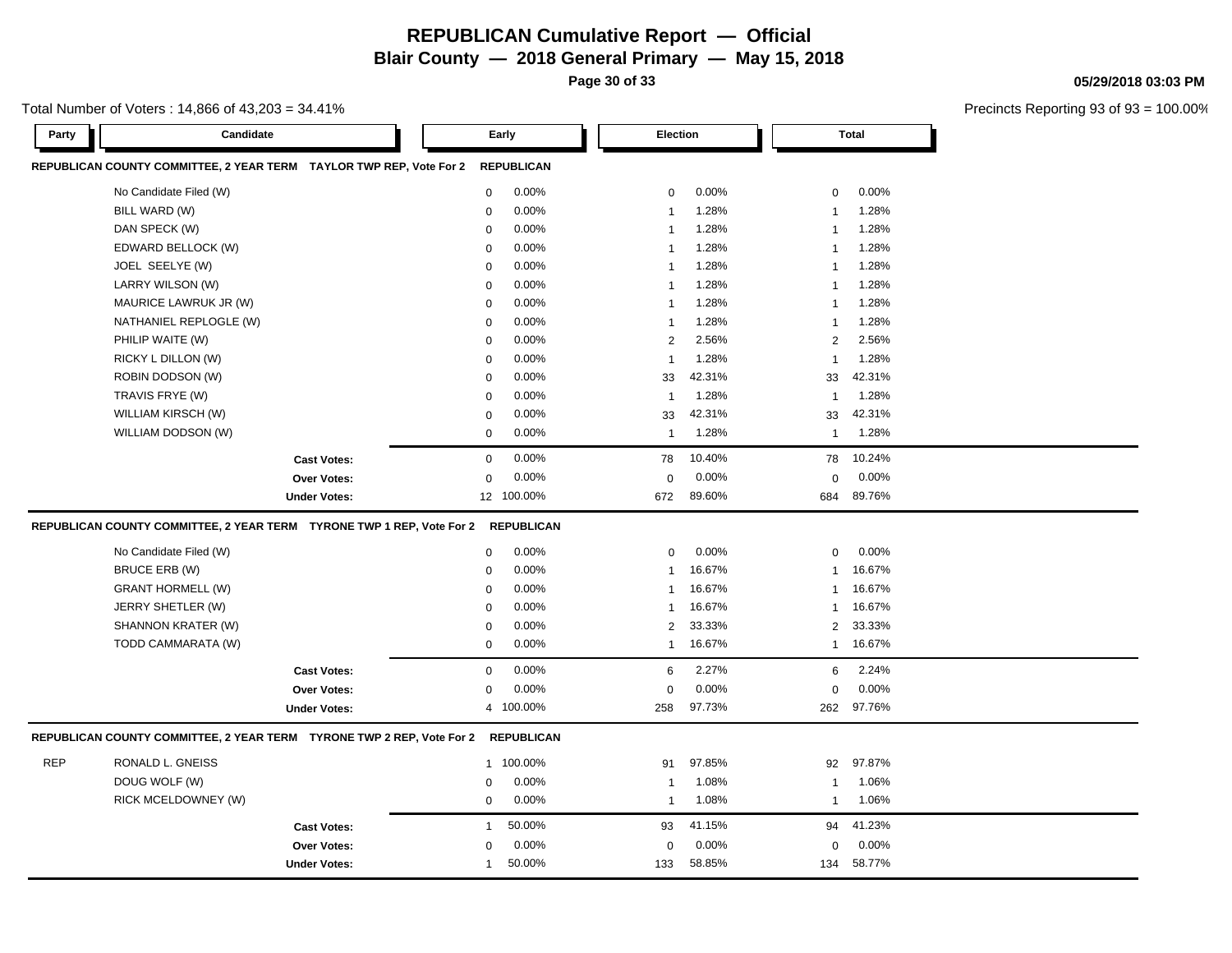**Page 30 of 33**

Total Number of Voters : 14,866 of 43,203 = 34.41%

Precincts Reporting 93 of 93 = 100.00%

**05/29/2018 03:03 PM**

| Party      | Candidate                                                                | Early                  | Election                | <b>Total</b>                     |  |
|------------|--------------------------------------------------------------------------|------------------------|-------------------------|----------------------------------|--|
|            | REPUBLICAN COUNTY COMMITTEE, 2 YEAR TERM TAYLOR TWP REP, Vote For 2      | <b>REPUBLICAN</b>      |                         |                                  |  |
|            | No Candidate Filed (W)                                                   | $\mathbf 0$<br>0.00%   | 0.00%<br>0              | 0.00%<br>$\mathbf 0$             |  |
|            | BILL WARD (W)                                                            | 0.00%<br>$\mathbf 0$   | 1.28%<br>-1             | 1.28%<br>1                       |  |
|            | DAN SPECK (W)                                                            | 0.00%<br>$\mathbf 0$   | 1.28%<br>$\mathbf{1}$   | 1.28%<br>1                       |  |
|            | EDWARD BELLOCK (W)                                                       | 0.00%<br>$\mathbf 0$   | 1.28%<br>$\mathbf{1}$   | 1.28%<br>1                       |  |
|            | JOEL SEELYE (W)                                                          | 0.00%<br>$\mathbf 0$   | 1.28%<br>$\mathbf{1}$   | 1.28%<br>1                       |  |
|            | LARRY WILSON (W)                                                         | 0.00%<br>$\mathbf 0$   | 1.28%<br>$\mathbf{1}$   | 1.28%<br>1                       |  |
|            | MAURICE LAWRUK JR (W)                                                    | 0.00%<br>$\mathbf 0$   | 1.28%<br>$\mathbf{1}$   | 1.28%<br>$\overline{1}$          |  |
|            | NATHANIEL REPLOGLE (W)                                                   | 0.00%<br>$\mathbf 0$   | 1.28%<br>$\mathbf{1}$   | 1.28%<br>1                       |  |
|            | PHILIP WAITE (W)                                                         | 0.00%<br>$\mathbf 0$   | $\overline{2}$<br>2.56% | $\overline{\mathbf{c}}$<br>2.56% |  |
|            | RICKY L DILLON (W)                                                       | 0.00%<br>$\mathbf 0$   | 1.28%<br>$\mathbf{1}$   | 1.28%<br>$\overline{1}$          |  |
|            | ROBIN DODSON (W)                                                         | 0.00%<br>$\mathbf 0$   | 42.31%<br>33            | 42.31%<br>33                     |  |
|            | TRAVIS FRYE (W)                                                          | 0.00%<br>$\mathbf 0$   | 1.28%<br>$\mathbf{1}$   | 1.28%<br>$\overline{1}$          |  |
|            | WILLIAM KIRSCH (W)                                                       | 0.00%<br>$\mathbf 0$   | 42.31%<br>33            | 42.31%<br>33                     |  |
|            | WILLIAM DODSON (W)                                                       | 0.00%<br>$\mathbf 0$   | 1.28%<br>$\mathbf{1}$   | 1.28%<br>1                       |  |
|            | <b>Cast Votes:</b>                                                       | 0.00%<br>$\mathbf 0$   | 10.40%<br>78            | 10.24%<br>78                     |  |
|            | Over Votes:                                                              | 0.00%<br>$\Omega$      | 0.00%<br>0              | 0.00%<br>$\Omega$                |  |
|            | <b>Under Votes:</b>                                                      | 100.00%<br>12          | 89.60%<br>672           | 89.76%<br>684                    |  |
|            | REPUBLICAN COUNTY COMMITTEE, 2 YEAR TERM    TYRONE TWP 1 REP, Vote For 2 | <b>REPUBLICAN</b>      |                         |                                  |  |
|            | No Candidate Filed (W)                                                   | 0.00%<br>$\mathbf 0$   | 0.00%<br>$\mathbf 0$    | 0.00%<br>$\mathbf 0$             |  |
|            | <b>BRUCE ERB (W)</b>                                                     | $\pmb{0}$<br>0.00%     | 16.67%<br>$\mathbf{1}$  | 16.67%<br>1                      |  |
|            | <b>GRANT HORMELL (W)</b>                                                 | 0.00%<br>$\mathbf 0$   | 16.67%<br>1             | 16.67%<br>$\mathbf 1$            |  |
|            | JERRY SHETLER (W)                                                        | 0.00%<br>$\Omega$      | 16.67%<br>1             | 16.67%<br>1                      |  |
|            | SHANNON KRATER (W)                                                       | 0.00%<br>$\mathbf 0$   | 33.33%<br>2             | 33.33%<br>$\overline{2}$         |  |
|            | TODD CAMMARATA (W)                                                       | 0.00%<br>$\mathbf 0$   | 16.67%<br>$\mathbf{1}$  | 16.67%<br>$\mathbf{1}$           |  |
|            | <b>Cast Votes:</b>                                                       | 0.00%<br>$\mathbf 0$   | 2.27%<br>6              | 2.24%<br>6                       |  |
|            | <b>Over Votes:</b>                                                       | 0.00%<br>$\mathbf 0$   | 0.00%<br>$\mathbf 0$    | 0.00%<br>$\mathbf 0$             |  |
|            | <b>Under Votes:</b>                                                      | 4 100.00%              | 97.73%<br>258           | 97.76%<br>262                    |  |
|            | REPUBLICAN COUNTY COMMITTEE, 2 YEAR TERM    TYRONE TWP 2 REP, Vote For 2 | <b>REPUBLICAN</b>      |                         |                                  |  |
| <b>REP</b> | RONALD L. GNEISS                                                         | 1 100.00%              | 97.85%<br>91            | 92<br>97.87%                     |  |
|            | DOUG WOLF (W)                                                            | 0.00%<br>$\mathbf 0$   | 1.08%<br>$\mathbf{1}$   | 1.06%<br>1                       |  |
|            | RICK MCELDOWNEY (W)                                                      | 0.00%<br>$\mathbf 0$   | 1.08%<br>$\mathbf{1}$   | 1.06%<br>-1                      |  |
|            | <b>Cast Votes:</b>                                                       | 50.00%<br>$\mathbf 1$  | 93<br>41.15%            | 94<br>41.23%                     |  |
|            | <b>Over Votes:</b>                                                       | 0.00%<br>$\mathbf 0$   | 0.00%<br>0              | 0.00%<br>0                       |  |
|            | <b>Under Votes:</b>                                                      | 50.00%<br>$\mathbf{1}$ | 58.85%<br>133           | 58.77%<br>134                    |  |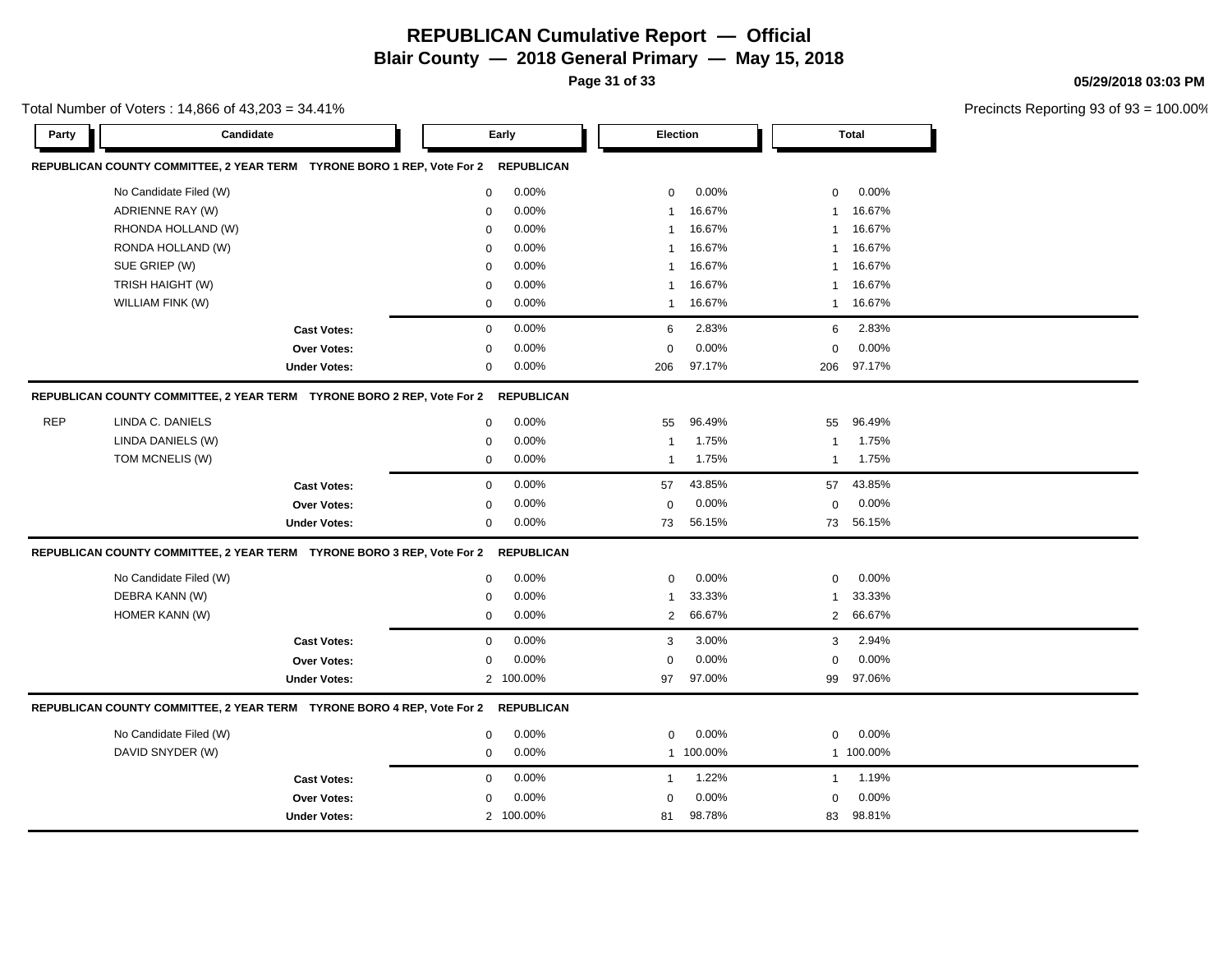**Page 31 of 33**

**05/29/2018 03:03 PM**

| Total Number of Voters: 14,866 of 43,203 = 34.41% |                                                                        |                     |             |                          |                |           |              |           | Precincts Reporting 93 of |
|---------------------------------------------------|------------------------------------------------------------------------|---------------------|-------------|--------------------------|----------------|-----------|--------------|-----------|---------------------------|
| Party                                             | Candidate                                                              |                     |             | Early<br><b>Election</b> |                |           | <b>Total</b> |           |                           |
|                                                   | REPUBLICAN COUNTY COMMITTEE, 2 YEAR TERM TYRONE BORO 1 REP, Vote For 2 |                     |             | <b>REPUBLICAN</b>        |                |           |              |           |                           |
|                                                   | No Candidate Filed (W)                                                 |                     | $\mathbf 0$ | 0.00%                    | $\mathbf 0$    | 0.00%     | $\mathbf 0$  | 0.00%     |                           |
|                                                   | ADRIENNE RAY (W)                                                       |                     | $\mathbf 0$ | 0.00%                    | $\mathbf{1}$   | 16.67%    | $\mathbf{1}$ | 16.67%    |                           |
|                                                   | RHONDA HOLLAND (W)                                                     |                     | $\mathbf 0$ | 0.00%                    | $\mathbf{1}$   | 16.67%    | $\mathbf{1}$ | 16.67%    |                           |
|                                                   | RONDA HOLLAND (W)                                                      |                     | $\mathbf 0$ | 0.00%                    | 1              | 16.67%    | 1            | 16.67%    |                           |
|                                                   | SUE GRIEP (W)                                                          |                     | $\mathbf 0$ | 0.00%                    | $\mathbf{1}$   | 16.67%    | $\mathbf{1}$ | 16.67%    |                           |
|                                                   | TRISH HAIGHT (W)                                                       |                     | $\mathbf 0$ | 0.00%                    | 1              | 16.67%    | -1           | 16.67%    |                           |
|                                                   | WILLIAM FINK (W)                                                       |                     | 0           | 0.00%                    | $\mathbf{1}$   | 16.67%    | $\mathbf{1}$ | 16.67%    |                           |
|                                                   |                                                                        | <b>Cast Votes:</b>  | $\mathbf 0$ | 0.00%                    | 6              | 2.83%     | 6            | 2.83%     |                           |
|                                                   |                                                                        | Over Votes:         | $\Omega$    | 0.00%                    | $\mathbf 0$    | 0.00%     | $\mathbf 0$  | 0.00%     |                           |
|                                                   |                                                                        | <b>Under Votes:</b> | 0           | 0.00%                    | 206            | 97.17%    | 206          | 97.17%    |                           |
|                                                   | REPUBLICAN COUNTY COMMITTEE, 2 YEAR TERM TYRONE BORO 2 REP, Vote For 2 |                     |             | <b>REPUBLICAN</b>        |                |           |              |           |                           |
| <b>REP</b>                                        | LINDA C. DANIELS                                                       |                     | $\mathbf 0$ | 0.00%                    | 55             | 96.49%    | 55           | 96.49%    |                           |
|                                                   | LINDA DANIELS (W)                                                      |                     | 0           | 0.00%                    | $\mathbf 1$    | 1.75%     | -1           | 1.75%     |                           |
|                                                   | TOM MCNELIS (W)                                                        |                     | $\mathbf 0$ | 0.00%                    | $\overline{1}$ | 1.75%     | $\mathbf{1}$ | 1.75%     |                           |
|                                                   |                                                                        | <b>Cast Votes:</b>  | $\mathbf 0$ | 0.00%                    | 57             | 43.85%    | 57           | 43.85%    |                           |
|                                                   |                                                                        | Over Votes:         | $\Omega$    | 0.00%                    | $\mathbf 0$    | 0.00%     | $\mathbf 0$  | 0.00%     |                           |
|                                                   |                                                                        | <b>Under Votes:</b> | 0           | 0.00%                    | 73             | 56.15%    | 73           | 56.15%    |                           |
|                                                   | REPUBLICAN COUNTY COMMITTEE, 2 YEAR TERM TYRONE BORO 3 REP, Vote For 2 |                     |             | <b>REPUBLICAN</b>        |                |           |              |           |                           |
|                                                   | No Candidate Filed (W)                                                 |                     | $\mathbf 0$ | 0.00%                    | $\mathbf 0$    | 0.00%     | $\mathbf 0$  | 0.00%     |                           |
|                                                   | DEBRA KANN (W)                                                         |                     | 0           | 0.00%                    | 1              | 33.33%    | -1           | 33.33%    |                           |
|                                                   | HOMER KANN (W)                                                         |                     | $\Omega$    | 0.00%                    | 2              | 66.67%    | 2            | 66.67%    |                           |
|                                                   |                                                                        | <b>Cast Votes:</b>  | $\mathbf 0$ | 0.00%                    | 3              | 3.00%     | 3            | 2.94%     |                           |
|                                                   |                                                                        | Over Votes:         | 0           | 0.00%                    | $\mathbf 0$    | 0.00%     | $\mathbf 0$  | 0.00%     |                           |
|                                                   |                                                                        | <b>Under Votes:</b> |             | 2 100.00%                | 97             | 97.00%    | 99           | 97.06%    |                           |
|                                                   | REPUBLICAN COUNTY COMMITTEE, 2 YEAR TERM TYRONE BORO 4 REP, Vote For 2 |                     |             | <b>REPUBLICAN</b>        |                |           |              |           |                           |
|                                                   | No Candidate Filed (W)                                                 |                     | $\mathbf 0$ | 0.00%                    | $\mathbf 0$    | 0.00%     | $\mathbf 0$  | 0.00%     |                           |
|                                                   | DAVID SNYDER (W)                                                       |                     | $\mathbf 0$ | 0.00%                    |                | 1 100.00% |              | 1 100.00% |                           |
|                                                   |                                                                        | <b>Cast Votes:</b>  | $\mathbf 0$ | 0.00%                    | $\mathbf{1}$   | 1.22%     | $\mathbf{1}$ | 1.19%     |                           |
|                                                   |                                                                        | Over Votes:         | $\Omega$    | 0.00%                    | $\mathbf 0$    | 0.00%     | $\mathbf 0$  | 0.00%     |                           |
|                                                   |                                                                        | <b>Under Votes:</b> |             | 2 100.00%                | 81             | 98.78%    | 83           | 98.81%    |                           |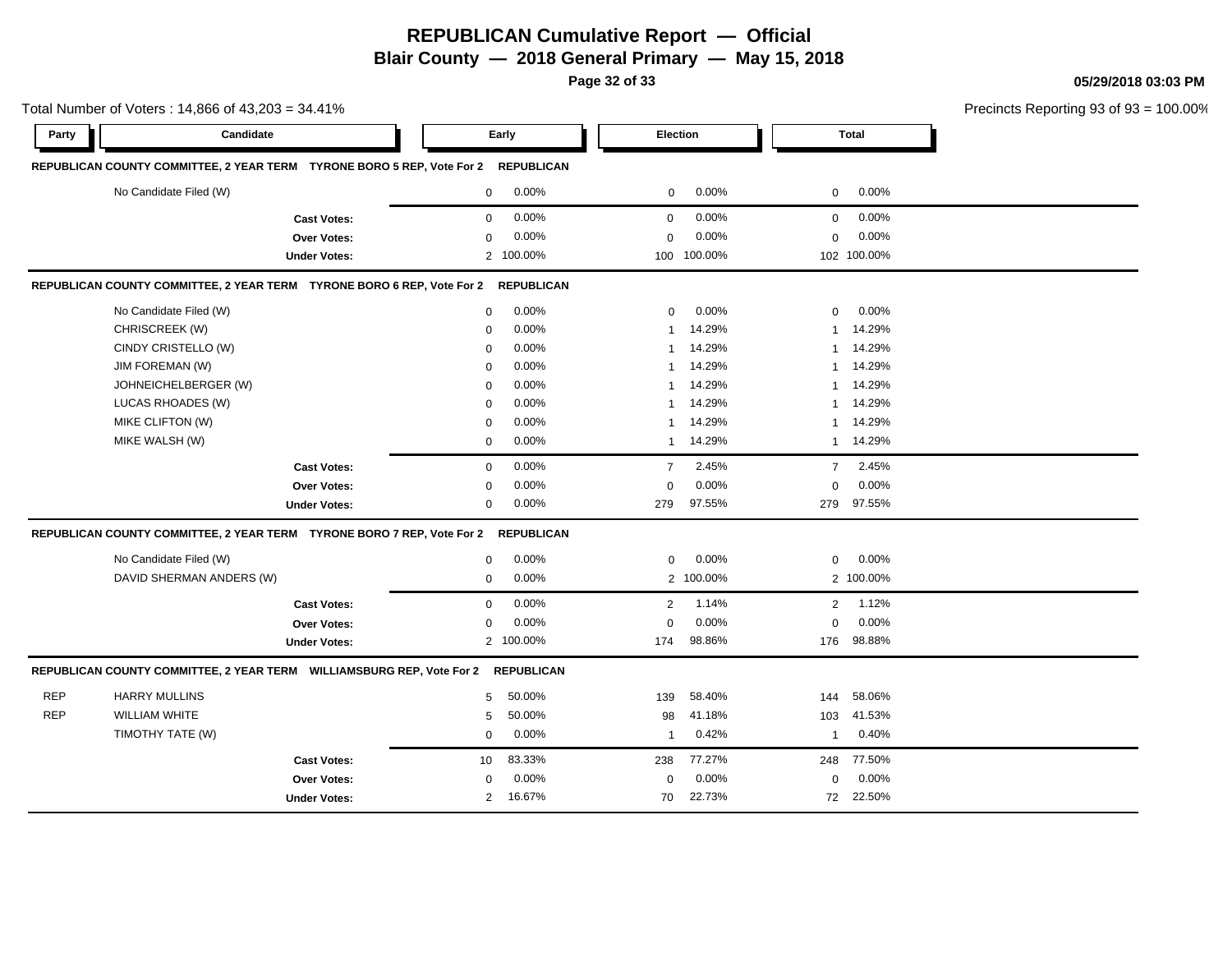**Page 32 of 33**

**05/29/2018 03:03 PM**

|            | Total Number of Voters: 14,866 of 43,203 = 34.41%                                 |                     |                |           |                |             |                |              | Precincts Reporting 93 of 93 = 100.00% |
|------------|-----------------------------------------------------------------------------------|---------------------|----------------|-----------|----------------|-------------|----------------|--------------|----------------------------------------|
| Party      | Candidate                                                                         |                     | Early          |           |                | Election    |                | <b>Total</b> |                                        |
|            | REPUBLICAN COUNTY COMMITTEE, 2 YEAR TERM TYRONE BORO 5 REP, Vote For 2 REPUBLICAN |                     |                |           |                |             |                |              |                                        |
|            | No Candidate Filed (W)                                                            |                     | $\mathbf 0$    | 0.00%     | 0              | 0.00%       | $\mathbf 0$    | 0.00%        |                                        |
|            |                                                                                   | <b>Cast Votes:</b>  | 0              | 0.00%     | $\mathbf 0$    | 0.00%       | $\mathbf 0$    | 0.00%        |                                        |
|            |                                                                                   | Over Votes:         | 0              | 0.00%     | $\mathbf 0$    | 0.00%       | $\mathbf 0$    | 0.00%        |                                        |
|            |                                                                                   | <b>Under Votes:</b> |                | 2 100.00% |                | 100 100.00% |                | 102 100.00%  |                                        |
|            | REPUBLICAN COUNTY COMMITTEE, 2 YEAR TERM TYRONE BORO 6 REP, Vote For 2 REPUBLICAN |                     |                |           |                |             |                |              |                                        |
|            | No Candidate Filed (W)                                                            |                     | 0              | 0.00%     | $\mathbf 0$    | 0.00%       | $\mathbf 0$    | 0.00%        |                                        |
|            | CHRISCREEK (W)                                                                    |                     | $\Omega$       | 0.00%     | -1             | 14.29%      | $\mathbf{1}$   | 14.29%       |                                        |
|            | CINDY CRISTELLO (W)                                                               |                     | $\Omega$       | 0.00%     |                | 14.29%      | $\mathbf{1}$   | 14.29%       |                                        |
|            | JIM FOREMAN (W)                                                                   |                     | $\mathbf{0}$   | 0.00%     | -1             | 14.29%      |                | 1 14.29%     |                                        |
|            | JOHNEICHELBERGER (W)                                                              |                     | 0              | 0.00%     | -1             | 14.29%      |                | 1 14.29%     |                                        |
|            | LUCAS RHOADES (W)                                                                 |                     | 0              | 0.00%     | -1             | 14.29%      | 1              | 14.29%       |                                        |
|            | MIKE CLIFTON (W)                                                                  |                     | $\mathbf 0$    | 0.00%     | 1              | 14.29%      |                | 1 14.29%     |                                        |
|            | MIKE WALSH (W)                                                                    |                     | $\mathbf 0$    | 0.00%     |                | 1 14.29%    |                | 1 14.29%     |                                        |
|            |                                                                                   | <b>Cast Votes:</b>  | $\mathbf{0}$   | 0.00%     | $\overline{7}$ | 2.45%       | $\overline{7}$ | 2.45%        |                                        |
|            |                                                                                   | Over Votes:         | $\mathbf 0$    | 0.00%     | $\mathbf 0$    | 0.00%       | $\mathbf 0$    | 0.00%        |                                        |
|            |                                                                                   | <b>Under Votes:</b> | 0              | 0.00%     | 279            | 97.55%      |                | 279 97.55%   |                                        |
|            | REPUBLICAN COUNTY COMMITTEE, 2 YEAR TERM TYRONE BORO 7 REP, Vote For 2 REPUBLICAN |                     |                |           |                |             |                |              |                                        |
|            | No Candidate Filed (W)                                                            |                     | 0              | 0.00%     | $\mathbf 0$    | 0.00%       | $\mathbf 0$    | 0.00%        |                                        |
|            | DAVID SHERMAN ANDERS (W)                                                          |                     | $\mathbf 0$    | 0.00%     |                | 2 100.00%   |                | 2 100.00%    |                                        |
|            |                                                                                   | <b>Cast Votes:</b>  | $\mathbf{0}$   | 0.00%     | 2              | 1.14%       | $\overline{2}$ | 1.12%        |                                        |
|            |                                                                                   | Over Votes:         | $\mathbf 0$    | 0.00%     | $\mathbf 0$    | 0.00%       | $\mathbf 0$    | 0.00%        |                                        |
|            |                                                                                   | <b>Under Votes:</b> |                | 2 100.00% | 174            | 98.86%      | 176            | 98.88%       |                                        |
|            | REPUBLICAN COUNTY COMMITTEE, 2 YEAR TERM WILLIAMSBURG REP, Vote For 2 REPUBLICAN  |                     |                |           |                |             |                |              |                                        |
| <b>REP</b> | <b>HARRY MULLINS</b>                                                              |                     | 5              | 50.00%    | 139            | 58.40%      | 144            | 58.06%       |                                        |
| <b>REP</b> | <b>WILLIAM WHITE</b>                                                              |                     | 5              | 50.00%    | 98             | 41.18%      | 103            | 41.53%       |                                        |
|            | TIMOTHY TATE (W)                                                                  |                     | 0              | 0.00%     | $\mathbf{1}$   | 0.42%       | $\mathbf{1}$   | 0.40%        |                                        |
|            |                                                                                   | <b>Cast Votes:</b>  | 10             | 83.33%    | 238            | 77.27%      | 248            | 77.50%       |                                        |
|            |                                                                                   | <b>Over Votes:</b>  | 0              | 0.00%     | 0              | 0.00%       | $\mathbf 0$    | 0.00%        |                                        |
|            |                                                                                   | <b>Under Votes:</b> | $\overline{2}$ | 16.67%    | 70             | 22.73%      | 72             | 22.50%       |                                        |